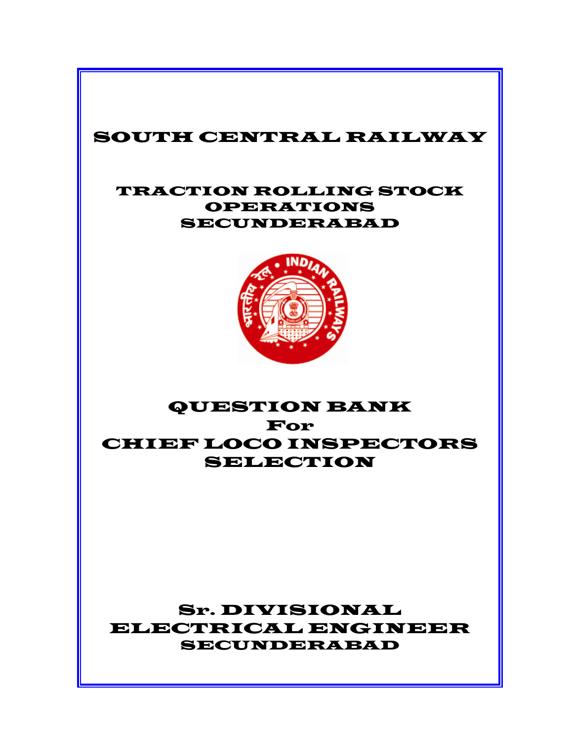# SOUTH CENTRAL RAILWAY

## TRACTION ROLLING STOCK OPERATIONS SECUNDERABAD



# QUESTION BANK For CHIEF LOCO INSPECTORS SELECTION

# Sr. DIVISIONAL ELECTRICAL ENGINEER SECUNDERABAD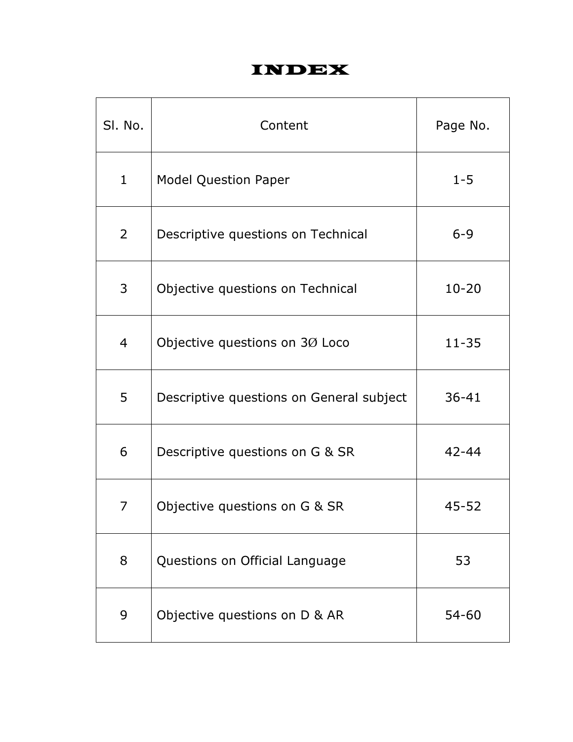# INDEX

| SI. No.        | Content                                  | Page No.  |
|----------------|------------------------------------------|-----------|
| $\mathbf{1}$   | <b>Model Question Paper</b>              | $1 - 5$   |
| 2              | Descriptive questions on Technical       | $6 - 9$   |
| 3              | Objective questions on Technical         | $10 - 20$ |
| $\overline{4}$ | Objective questions on 30 Loco           | $11 - 35$ |
| 5              | Descriptive questions on General subject | $36 - 41$ |
| 6              | Descriptive questions on G & SR          | $42 - 44$ |
| 7              | Objective questions on G & SR            | $45 - 52$ |
| 8              | Questions on Official Language           | 53        |
| 9              | Objective questions on D & AR            | 54-60     |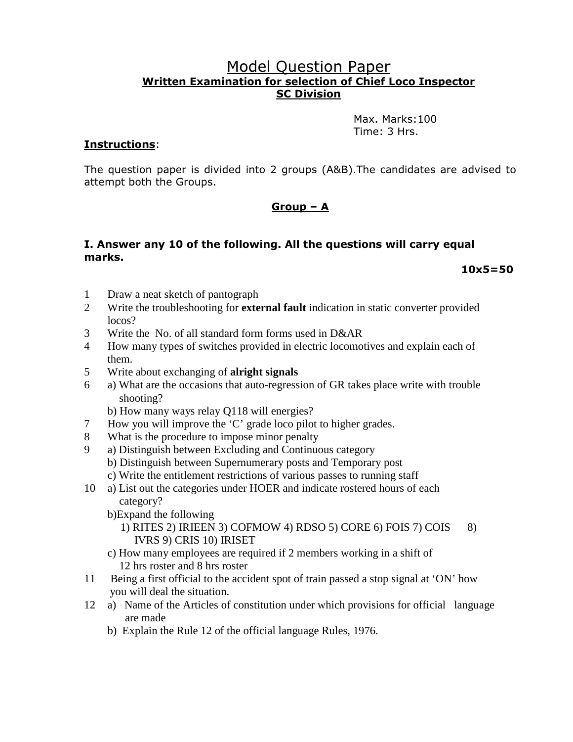### Model Question Paper Written Examination for selection of Chief Loco Inspector SC Division

 Max. Marks:100 Time: 3 Hrs.

#### Instructions:

The question paper is divided into 2 groups (A&B).The candidates are advised to attempt both the Groups.

### Group – A

#### I. Answer any 10 of the following. All the questions will carry equal marks.

 $10x5=50$ 

- 1 Draw a neat sketch of pantograph
- 2 Write the troubleshooting for **external fault** indication in static converter provided locos?
- 3 Write the No. of all standard form forms used in D&AR
- 4 How many types of switches provided in electric locomotives and explain each of them.
- 5 Write about exchanging of **alright signals**
- 6 a) What are the occasions that auto-regression of GR takes place write with trouble shooting?
	- b) How many ways relay Q118 will energies?
- 7 How you will improve the 'C' grade loco pilot to higher grades.
- 8 What is the procedure to impose minor penalty
- 9 a) Distinguish between Excluding and Continuous category
	- b) Distinguish between Supernumerary posts and Temporary post
	- c) Write the entitlement restrictions of various passes to running staff
- 10 a) List out the categories under HOER and indicate rostered hours of each category?
	- b)Expand the following
		- 1) RITES 2) IRIEEN 3) COFMOW 4) RDSO 5) CORE 6) FOIS 7) COIS 8) IVRS 9) CRIS 10) IRISET
	- c) How many employees are required if 2 members working in a shift of 12 hrs roster and 8 hrs roster
- 11 Being a first official to the accident spot of train passed a stop signal at 'ON' how you will deal the situation.
- 12 a) Name of the Articles of constitution under which provisions for official language are made
	- b) Explain the Rule 12 of the official language Rules, 1976.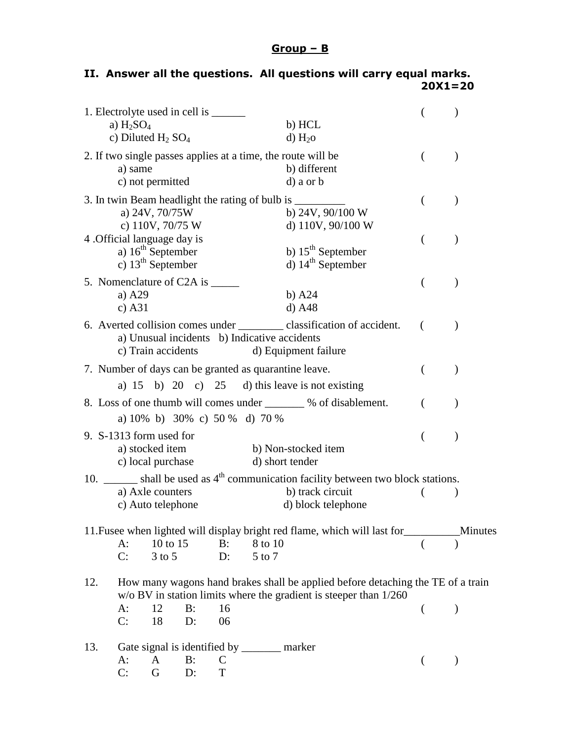## Group – B

|     | a) $H2SO4$<br>c) Diluted $H_2$ SO <sub>4</sub> |                                               | 1. Electrolyte used in cell is ________ |                   |                   | b) HCL<br>$d)$ H <sub>2</sub> O                                                                                                                                                                                                                                                                                                                                                                                                                                         |          |               |
|-----|------------------------------------------------|-----------------------------------------------|-----------------------------------------|-------------------|-------------------|-------------------------------------------------------------------------------------------------------------------------------------------------------------------------------------------------------------------------------------------------------------------------------------------------------------------------------------------------------------------------------------------------------------------------------------------------------------------------|----------|---------------|
|     | a) same                                        | c) not permitted                              |                                         |                   |                   | 2. If two single passes applies at a time, the route will be<br>b) different<br>d) a or b                                                                                                                                                                                                                                                                                                                                                                               | €        |               |
|     |                                                | a) 24V, 70/75W<br>c) 110V, 70/75 W            |                                         |                   |                   | 3. In twin Beam headlight the rating of bulb is ______<br>b) $24V$ , $90/100 W$<br>d) 110V, 90/100 W                                                                                                                                                                                                                                                                                                                                                                    |          |               |
|     | 4. Official language day is                    | a) $16th$ September<br>c) $13^{th}$ September |                                         |                   |                   | b) $15th$ September<br>d) $14th$ September                                                                                                                                                                                                                                                                                                                                                                                                                              | €        |               |
|     | a) $A29$<br>c) $A31$                           |                                               | 5. Nomenclature of C2A is ______        |                   |                   | $b)$ A24<br>$d)$ A48                                                                                                                                                                                                                                                                                                                                                                                                                                                    | (        | $\lambda$     |
|     |                                                | c) Train accidents                            |                                         |                   |                   | 6. Averted collision comes under ____________ classification of accident.<br>a) Unusual incidents b) Indicative accidents<br>d) Equipment failure                                                                                                                                                                                                                                                                                                                       | (        |               |
|     |                                                |                                               |                                         |                   |                   | 7. Number of days can be granted as quarantine leave.<br>a) $15$ b) $20$ c) $25$ d) this leave is not existing                                                                                                                                                                                                                                                                                                                                                          | €        |               |
|     |                                                |                                               | a) 10% b) 30% c) 50 % d) 70 %           |                   |                   | 8. Loss of one thumb will comes under _______ % of disablement.                                                                                                                                                                                                                                                                                                                                                                                                         |          |               |
|     | 9. S-1313 form used for                        | a) stocked item<br>c) local purchase          |                                         |                   |                   | b) Non-stocked item<br>d) short tender                                                                                                                                                                                                                                                                                                                                                                                                                                  |          |               |
|     |                                                | a) Axle counters<br>c) Auto telephone         |                                         |                   |                   | 10. $\frac{1}{\sqrt{1-\frac{1}{\sqrt{1-\frac{1}{\sqrt{1-\frac{1}{\sqrt{1-\frac{1}{\sqrt{1-\frac{1}{\sqrt{1-\frac{1}{\sqrt{1-\frac{1}{\sqrt{1-\frac{1}{\sqrt{1-\frac{1}{\sqrt{1-\frac{1}{\sqrt{1-\frac{1}{\sqrt{1-\frac{1}{\sqrt{1-\frac{1}{\sqrt{1-\frac{1}{\sqrt{1-\frac{1}{\sqrt{1-\frac{1}{\sqrt{1-\frac{1}{\sqrt{1-\frac{1}{\sqrt{1-\frac{1}{\sqrt{1-\frac{1}{\sqrt{1-\frac{1}{\sqrt{1-\frac{1}{\sqrt{1-\frac{1}{\sqrt{1$<br>b) track circuit<br>d) block telephone |          | $)$           |
|     | $A$ :<br>C:                                    | 10 to 15<br>$3$ to $5$                        |                                         | B:<br>D:          | 8 to 10<br>5 to 7 | 11. Fusee when lighted will display bright red flame, which will last for____________ Minutes                                                                                                                                                                                                                                                                                                                                                                           |          |               |
| 12. | $A$ :<br>C:                                    | 12<br>18                                      | B:<br>$D$ :                             | 16<br>06          |                   | How many wagons hand brakes shall be applied before detaching the TE of a train<br>$w$ /o BV in station limits where the gradient is steeper than $1/260$                                                                                                                                                                                                                                                                                                               | $\left($ | $\mathcal{E}$ |
| 13. | $A$ :<br>C:                                    | A<br>G                                        | B:<br>$D$ :                             | $\mathsf{C}$<br>T |                   | Gate signal is identified by _________ marker                                                                                                                                                                                                                                                                                                                                                                                                                           |          |               |

## II. Answer all the questions. All questions will carry equal marks. 20X1=20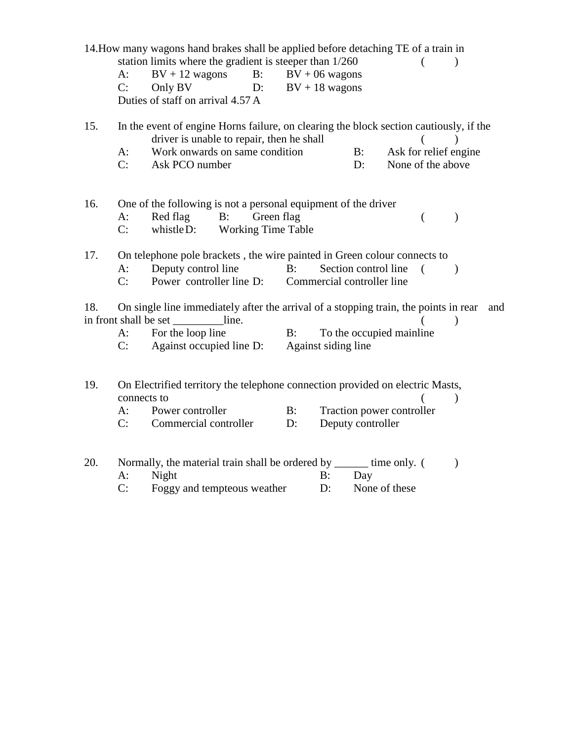|     | $A$ :<br>C:                | 14. How many wagons hand brakes shall be applied before detaching TE of a train in<br>station limits where the gradient is steeper than 1/260<br>$BV + 12$ wagons<br>Only BV<br>D:<br>Duties of staff on arrival 4.57 A | B:         | $BV + 06$ wagons<br>$BV + 18$ wagons |          |                                                    |                                            |          | $\mathcal{E}$ |     |
|-----|----------------------------|-------------------------------------------------------------------------------------------------------------------------------------------------------------------------------------------------------------------------|------------|--------------------------------------|----------|----------------------------------------------------|--------------------------------------------|----------|---------------|-----|
| 15. | $A$ :<br>C:                | In the event of engine Horns failure, on clearing the block section cautiously, if the<br>driver is unable to repair, then he shall<br>Work onwards on same condition<br>Ask PCO number                                 |            |                                      |          | $B$ :<br>D:                                        | Ask for relief engine<br>None of the above |          |               |     |
| 16. | $A$ :<br>C:                | One of the following is not a personal equipment of the driver<br>Red flag<br>B:<br><b>Working Time Table</b><br>whistle D:                                                                                             | Green flag |                                      |          |                                                    |                                            | $\left($ | $\mathcal{E}$ |     |
| 17. | $A$ :<br>C:                | On telephone pole brackets, the wire painted in Green colour connects to<br>Deputy control line<br>Power controller line D:                                                                                             |            | $B$ :                                |          | Section control line<br>Commercial controller line |                                            |          | $\lambda$     |     |
| 18. | $A$ :<br>C:                | On single line immediately after the arrival of a stopping train, the points in rear<br>in front shall be set ____________line.<br>For the loop line<br>Against occupied line D:                                        |            | $B$ :<br>Against siding line         |          |                                                    | To the occupied mainline                   |          | $\mathcal{E}$ | and |
| 19. | connects to<br>$A$ :<br>C: | On Electrified territory the telephone connection provided on electric Masts,<br>Power controller<br>Commercial controller                                                                                              |            | $B$ :<br>$D$ :                       |          | Deputy controller                                  | Traction power controller                  |          | $\mathcal{E}$ |     |
| 20. | $A$ :<br>C:                | Normally, the material train shall be ordered by _______ time only. (<br>Night<br>Foggy and tempteous weather                                                                                                           |            |                                      | B:<br>D: | Day<br>None of these                               |                                            |          | $\mathcal{E}$ |     |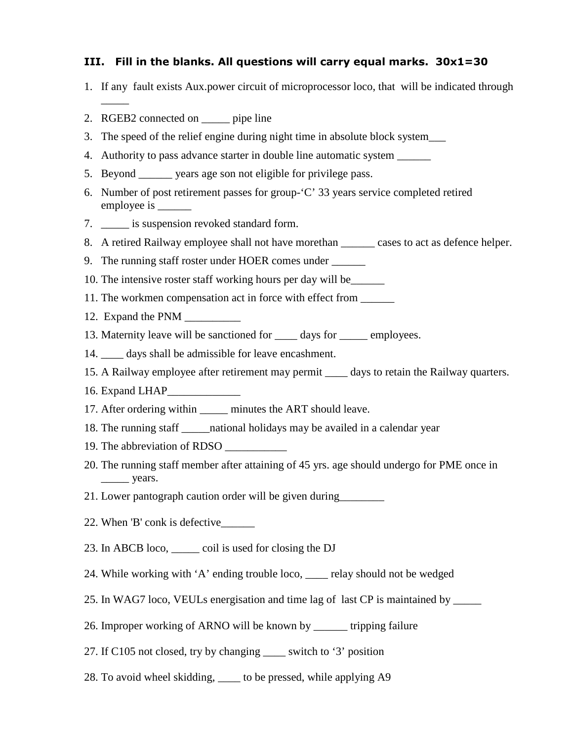#### III. Fill in the blanks. All questions will carry equal marks.  $30x1=30$

- 1. If any fault exists Aux.power circuit of microprocessor loco, that will be indicated through
- 2. RGEB2 connected on \_\_\_\_\_ pipe line

 $\overline{\phantom{a}}$ 

- 3. The speed of the relief engine during night time in absolute block system\_\_\_
- 4. Authority to pass advance starter in double line automatic system
- 5. Beyond \_\_\_\_\_\_ years age son not eligible for privilege pass.
- 6. Number of post retirement passes for group-'C' 33 years service completed retired employee is \_\_\_\_\_\_\_\_
- 7. \_\_\_\_\_ is suspension revoked standard form.
- 8. A retired Railway employee shall not have morethan \_\_\_\_\_\_\_ cases to act as defence helper.
- 9. The running staff roster under HOER comes under \_\_\_\_\_\_\_
- 10. The intensive roster staff working hours per day will be\_\_\_\_\_\_
- 11. The workmen compensation act in force with effect from  $\qquad$
- 12. Expand the PNM \_\_\_\_\_\_\_\_\_\_
- 13. Maternity leave will be sanctioned for \_\_\_\_ days for \_\_\_\_\_ employees.
- 14.  $\Box$  days shall be admissible for leave encashment.
- 15. A Railway employee after retirement may permit days to retain the Railway quarters.
- 16. Expand LHAP\_\_\_\_\_\_\_\_\_\_\_\_\_
- 17. After ordering within \_\_\_\_\_ minutes the ART should leave.
- 18. The running staff \_\_\_\_\_national holidays may be availed in a calendar year
- 19. The abbreviation of RDSO \_\_\_\_\_\_\_\_\_\_\_
- 20. The running staff member after attaining of 45 yrs. age should undergo for PME once in \_\_\_\_\_ years.
- 21. Lower pantograph caution order will be given during\_\_\_\_\_\_\_\_
- 22. When 'B' conk is defective\_\_\_\_\_\_
- 23. In ABCB loco, coil is used for closing the DJ
- 24. While working with 'A' ending trouble loco, relay should not be wedged
- 25. In WAG7 loco, VEULs energisation and time lag of last CP is maintained by \_\_\_\_\_
- 26. Improper working of ARNO will be known by \_\_\_\_\_\_ tripping failure
- 27. If C105 not closed, try by changing \_\_\_\_ switch to '3' position
- 28. To avoid wheel skidding, \_\_\_\_ to be pressed, while applying A9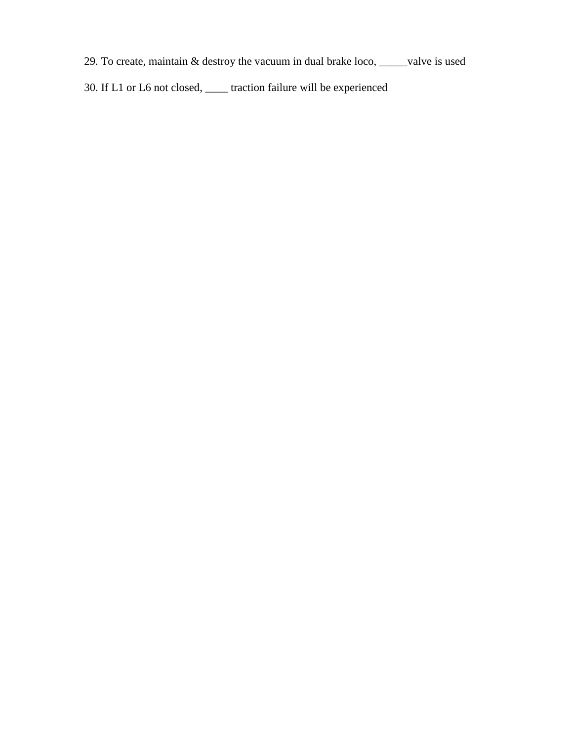- 29. To create, maintain & destroy the vacuum in dual brake loco, \_\_\_\_\_valve is used
- 30. If L1 or L6 not closed, \_\_\_\_ traction failure will be experienced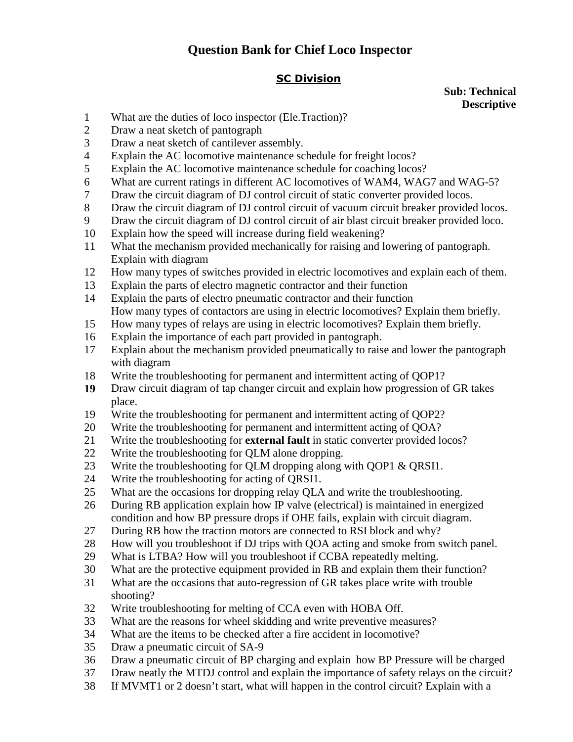## **Question Bank for Chief Loco Inspector**

### SC Division

**Sub: Technical Descriptive** 

- 1 What are the duties of loco inspector (Ele.Traction)?
- 2 Draw a neat sketch of pantograph
- 3 Draw a neat sketch of cantilever assembly.
- 4 Explain the AC locomotive maintenance schedule for freight locos?
- 5 Explain the AC locomotive maintenance schedule for coaching locos?
- 6 What are current ratings in different AC locomotives of WAM4, WAG7 and WAG-5?
- 7 Draw the circuit diagram of DJ control circuit of static converter provided locos.
- 8 Draw the circuit diagram of DJ control circuit of vacuum circuit breaker provided locos.
- 9 Draw the circuit diagram of DJ control circuit of air blast circuit breaker provided loco.
- 10 Explain how the speed will increase during field weakening?
- 11 What the mechanism provided mechanically for raising and lowering of pantograph. Explain with diagram
- 12 How many types of switches provided in electric locomotives and explain each of them.
- 13 Explain the parts of electro magnetic contractor and their function
- 14 Explain the parts of electro pneumatic contractor and their function How many types of contactors are using in electric locomotives? Explain them briefly.
- 15 How many types of relays are using in electric locomotives? Explain them briefly.
- 16 Explain the importance of each part provided in pantograph.
- 17 Explain about the mechanism provided pneumatically to raise and lower the pantograph with diagram
- 18 Write the troubleshooting for permanent and intermittent acting of QOP1?
- **19** Draw circuit diagram of tap changer circuit and explain how progression of GR takes place.
- 19 Write the troubleshooting for permanent and intermittent acting of QOP2?
- 20 Write the troubleshooting for permanent and intermittent acting of QOA?
- 21 Write the troubleshooting for **external fault** in static converter provided locos?
- 22 Write the troubleshooting for QLM alone dropping.
- 23 Write the troubleshooting for QLM dropping along with QOP1 & QRSI1.
- 24 Write the troubleshooting for acting of QRSI1.
- 25 What are the occasions for dropping relay QLA and write the troubleshooting.
- 26 During RB application explain how IP valve (electrical) is maintained in energized condition and how BP pressure drops if OHE fails, explain with circuit diagram.
- 27 During RB how the traction motors are connected to RSI block and why?
- 28 How will you troubleshoot if DJ trips with QOA acting and smoke from switch panel.
- 29 What is LTBA? How will you troubleshoot if CCBA repeatedly melting.
- 30 What are the protective equipment provided in RB and explain them their function?
- 31 What are the occasions that auto-regression of GR takes place write with trouble shooting?
- 32 Write troubleshooting for melting of CCA even with HOBA Off.
- 33 What are the reasons for wheel skidding and write preventive measures?
- 34 What are the items to be checked after a fire accident in locomotive?
- 35 Draw a pneumatic circuit of SA-9
- 36 Draw a pneumatic circuit of BP charging and explain how BP Pressure will be charged
- 37 Draw neatly the MTDJ control and explain the importance of safety relays on the circuit?
- 38 If MVMT1 or 2 doesn't start, what will happen in the control circuit? Explain with a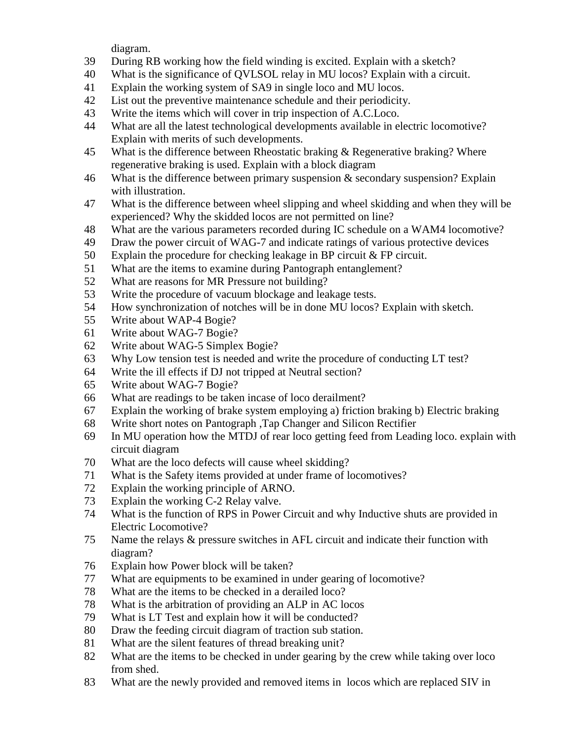diagram.

- 39 During RB working how the field winding is excited. Explain with a sketch?
- 40 What is the significance of QVLSOL relay in MU locos? Explain with a circuit.
- 41 Explain the working system of SA9 in single loco and MU locos.
- 42 List out the preventive maintenance schedule and their periodicity.
- 43 Write the items which will cover in trip inspection of A.C.Loco.
- 44 What are all the latest technological developments available in electric locomotive? Explain with merits of such developments.
- 45 What is the difference between Rheostatic braking & Regenerative braking? Where regenerative braking is used. Explain with a block diagram
- 46 What is the difference between primary suspension  $\&$  secondary suspension? Explain with illustration.
- 47 What is the difference between wheel slipping and wheel skidding and when they will be experienced? Why the skidded locos are not permitted on line?
- 48 What are the various parameters recorded during IC schedule on a WAM4 locomotive?
- 49 Draw the power circuit of WAG-7 and indicate ratings of various protective devices
- 50 Explain the procedure for checking leakage in BP circuit & FP circuit.
- 51 What are the items to examine during Pantograph entanglement?
- 52 What are reasons for MR Pressure not building?
- 53 Write the procedure of vacuum blockage and leakage tests.
- 54 How synchronization of notches will be in done MU locos? Explain with sketch.
- 55 Write about WAP-4 Bogie?
- 61 Write about WAG-7 Bogie?
- 62 Write about WAG-5 Simplex Bogie?
- 63 Why Low tension test is needed and write the procedure of conducting LT test?
- 64 Write the ill effects if DJ not tripped at Neutral section?
- 65 Write about WAG-7 Bogie?
- 66 What are readings to be taken incase of loco derailment?
- 67 Explain the working of brake system employing a) friction braking b) Electric braking
- 68 Write short notes on Pantograph ,Tap Changer and Silicon Rectifier
- 69 In MU operation how the MTDJ of rear loco getting feed from Leading loco. explain with circuit diagram
- 70 What are the loco defects will cause wheel skidding?
- 71 What is the Safety items provided at under frame of locomotives?
- 72 Explain the working principle of ARNO.
- 73 Explain the working C-2 Relay valve.
- 74 What is the function of RPS in Power Circuit and why Inductive shuts are provided in Electric Locomotive?
- 75 Name the relays & pressure switches in AFL circuit and indicate their function with diagram?
- 76 Explain how Power block will be taken?
- 77 What are equipments to be examined in under gearing of locomotive?
- 78 What are the items to be checked in a derailed loco?
- 78 What is the arbitration of providing an ALP in AC locos
- 79 What is LT Test and explain how it will be conducted?
- 80 Draw the feeding circuit diagram of traction sub station.
- 81 What are the silent features of thread breaking unit?
- 82 What are the items to be checked in under gearing by the crew while taking over loco from shed.
- 83 What are the newly provided and removed items in locos which are replaced SIV in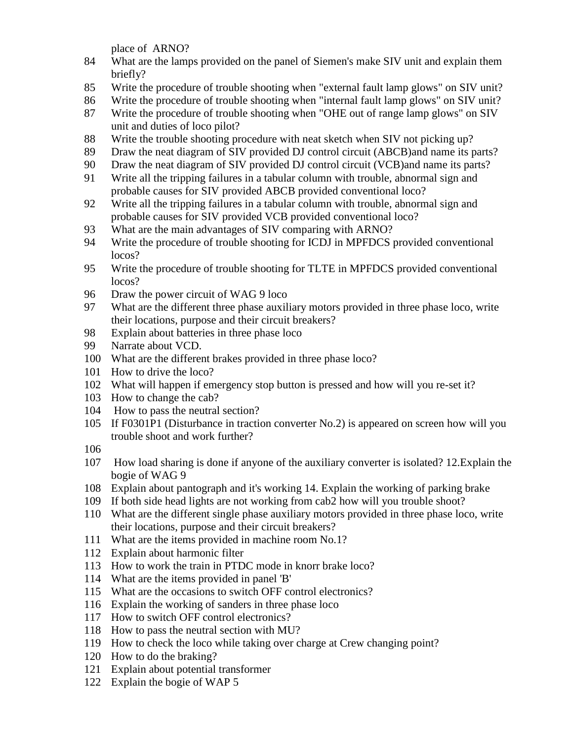place of ARNO?

- 84 What are the lamps provided on the panel of Siemen's make SIV unit and explain them briefly?
- 85 Write the procedure of trouble shooting when "external fault lamp glows" on SIV unit?
- 86 Write the procedure of trouble shooting when "internal fault lamp glows" on SIV unit?
- 87 Write the procedure of trouble shooting when "OHE out of range lamp glows" on SIV unit and duties of loco pilot?
- 88 Write the trouble shooting procedure with neat sketch when SIV not picking up?
- 89 Draw the neat diagram of SIV provided DJ control circuit (ABCB)and name its parts?
- 90 Draw the neat diagram of SIV provided DJ control circuit (VCB)and name its parts?
- 91 Write all the tripping failures in a tabular column with trouble, abnormal sign and probable causes for SIV provided ABCB provided conventional loco?
- 92 Write all the tripping failures in a tabular column with trouble, abnormal sign and probable causes for SIV provided VCB provided conventional loco?
- 93 What are the main advantages of SIV comparing with ARNO?
- 94 Write the procedure of trouble shooting for ICDJ in MPFDCS provided conventional locos?
- 95 Write the procedure of trouble shooting for TLTE in MPFDCS provided conventional locos?
- 96 Draw the power circuit of WAG 9 loco
- 97 What are the different three phase auxiliary motors provided in three phase loco, write their locations, purpose and their circuit breakers?
- 98 Explain about batteries in three phase loco
- 99 Narrate about VCD.
- 100 What are the different brakes provided in three phase loco?
- 101 How to drive the loco?
- 102 What will happen if emergency stop button is pressed and how will you re-set it?
- 103 How to change the cab?
- 104 How to pass the neutral section?
- 105 If F0301P1 (Disturbance in traction converter No.2) is appeared on screen how will you trouble shoot and work further?
- 106
- 107 How load sharing is done if anyone of the auxiliary converter is isolated? 12.Explain the bogie of WAG 9
- 108 Explain about pantograph and it's working 14. Explain the working of parking brake
- 109 If both side head lights are not working from cab2 how will you trouble shoot?
- 110 What are the different single phase auxiliary motors provided in three phase loco, write their locations, purpose and their circuit breakers?
- 111 What are the items provided in machine room No.1?
- 112 Explain about harmonic filter
- 113 How to work the train in PTDC mode in knorr brake loco?
- 114 What are the items provided in panel 'B'
- 115 What are the occasions to switch OFF control electronics?
- 116 Explain the working of sanders in three phase loco
- 117 How to switch OFF control electronics?
- 118 How to pass the neutral section with MU?
- 119 How to check the loco while taking over charge at Crew changing point?
- 120 How to do the braking?
- 121 Explain about potential transformer
- 122 Explain the bogie of WAP 5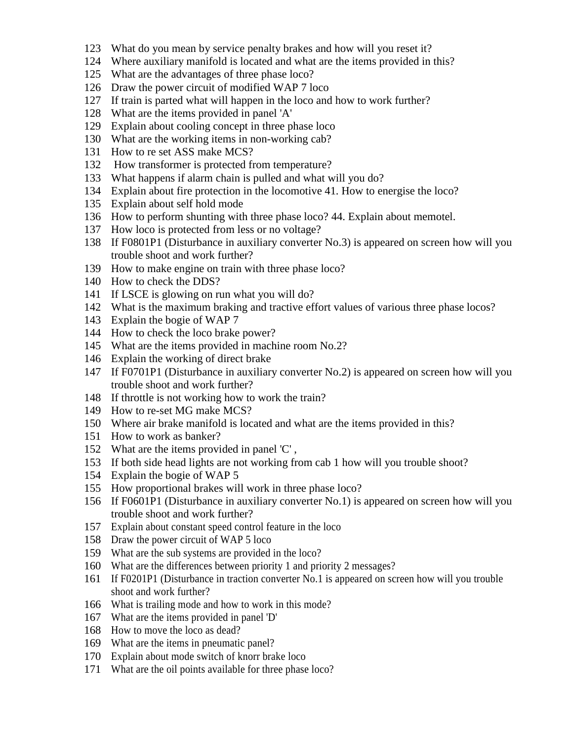- What do you mean by service penalty brakes and how will you reset it?
- Where auxiliary manifold is located and what are the items provided in this?
- What are the advantages of three phase loco?
- Draw the power circuit of modified WAP 7 loco
- If train is parted what will happen in the loco and how to work further?
- What are the items provided in panel 'A'
- Explain about cooling concept in three phase loco
- What are the working items in non-working cab?
- How to re set ASS make MCS?
- 132 How transformer is protected from temperature?
- What happens if alarm chain is pulled and what will you do?
- Explain about fire protection in the locomotive 41. How to energise the loco?
- Explain about self hold mode
- How to perform shunting with three phase loco? 44. Explain about memotel.
- How loco is protected from less or no voltage?
- If F0801P1 (Disturbance in auxiliary converter No.3) is appeared on screen how will you trouble shoot and work further?
- How to make engine on train with three phase loco?
- How to check the DDS?
- If LSCE is glowing on run what you will do?
- What is the maximum braking and tractive effort values of various three phase locos?
- Explain the bogie of WAP 7
- How to check the loco brake power?
- What are the items provided in machine room No.2?
- Explain the working of direct brake
- If F0701P1 (Disturbance in auxiliary converter No.2) is appeared on screen how will you trouble shoot and work further?
- If throttle is not working how to work the train?
- How to re-set MG make MCS?
- Where air brake manifold is located and what are the items provided in this?
- How to work as banker?
- What are the items provided in panel 'C' ,
- If both side head lights are not working from cab 1 how will you trouble shoot?
- Explain the bogie of WAP 5
- How proportional brakes will work in three phase loco?
- If F0601P1 (Disturbance in auxiliary converter No.1) is appeared on screen how will you trouble shoot and work further?
- Explain about constant speed control feature in the loco
- Draw the power circuit of WAP 5 loco
- What are the sub systems are provided in the loco?
- What are the differences between priority 1 and priority 2 messages?
- If F0201P1 (Disturbance in traction converter No.1 is appeared on screen how will you trouble shoot and work further?
- What is trailing mode and how to work in this mode?
- What are the items provided in panel 'D'
- How to move the loco as dead?
- What are the items in pneumatic panel?
- Explain about mode switch of knorr brake loco
- What are the oil points available for three phase loco?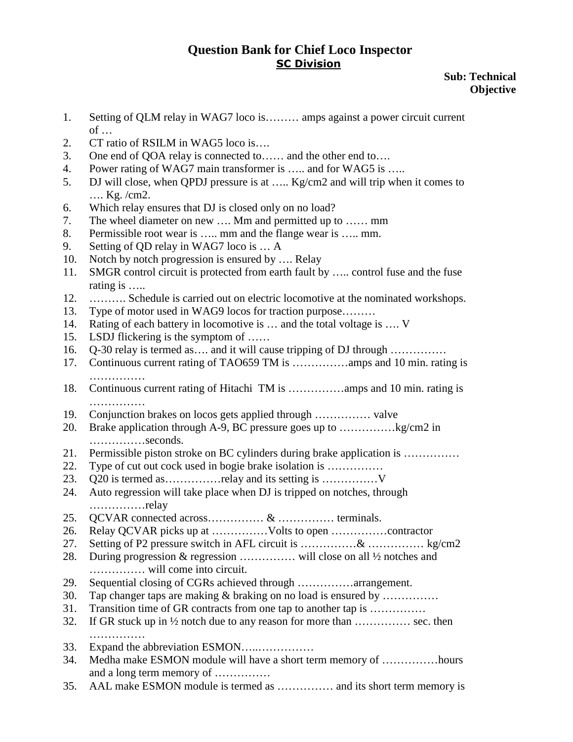**Sub: Technical Objective** 

- 1. Setting of QLM relay in WAG7 loco is……… amps against a power circuit current  $of \dots$
- 2. CT ratio of RSILM in WAG5 loco is….
- 3. One end of QOA relay is connected to…… and the other end to….
- 4. Power rating of WAG7 main transformer is ….. and for WAG5 is …..
- 5. DJ will close, when QPDJ pressure is at ….. Kg/cm2 and will trip when it comes to …. Kg. /cm2.
- 6. Which relay ensures that DJ is closed only on no load?
- 7. The wheel diameter on new …. Mm and permitted up to …… mm
- 8. Permissible root wear is ….. mm and the flange wear is ….. mm.
- 9. Setting of QD relay in WAG7 loco is … A
- 10. Notch by notch progression is ensured by .... Relay
- 11. SMGR control circuit is protected from earth fault by ….. control fuse and the fuse rating is …..
- 12. ………. Schedule is carried out on electric locomotive at the nominated workshops.
- 13. Type of motor used in WAG9 locos for traction purpose………
- 14. Rating of each battery in locomotive is ... and the total voltage is .... V
- 15. LSDJ flickering is the symptom of ……
- 16. Q-30 relay is termed as…. and it will cause tripping of DJ through ……………
- 17. Continuous current rating of TAO659 TM is ……………amps and 10 min. rating is ………………
- 18. Continuous current rating of Hitachi TM is ……………amps and 10 min. rating is ……………
- 19. Conjunction brakes on locos gets applied through …………… valve
- 20. Brake application through A-9, BC pressure goes up to ……………kg/cm2 in ……………seconds.
- 21. Permissible piston stroke on BC cylinders during brake application is ……………
- 22. Type of cut out cock used in bogie brake isolation is ……………
- 23. Q20 is termed as……………relay and its setting is ……………V
- 24. Auto regression will take place when DJ is tripped on notches, through ……………relay
- 25. QCVAR connected across…………… & …………… terminals.
- 26. Relay QCVAR picks up at ……………Volts to open ……………contractor
- 27. Setting of P2 pressure switch in AFL circuit is ……………& …………… kg/cm2
- 28. During progression & regression …………… will close on all ½ notches and …………… will come into circuit.
- 29. Sequential closing of CGRs achieved through ……………arrangement.
- 30. Tap changer taps are making  $\&$  braking on no load is ensured by ..............
- 31. Transition time of GR contracts from one tap to another tap is ……………
- 32. If GR stuck up in  $\frac{1}{2}$  notch due to any reason for more than  $\dots$  sec. then ……………
- 33. Expand the abbreviation ESMON…..……………
- 34. Medha make ESMON module will have a short term memory of ……………hours and a long term memory of ……………
- 35. AAL make ESMON module is termed as …………… and its short term memory is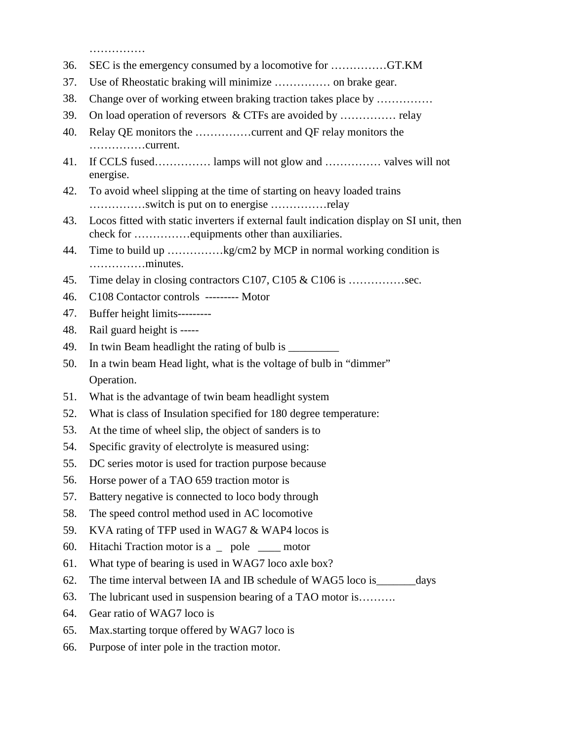……………

- 36. SEC is the emergency consumed by a locomotive for ……………GT.KM
- 37. Use of Rheostatic braking will minimize …………… on brake gear.
- 38. Change over of working etween braking traction takes place by ……………
- 39. On load operation of reversors & CTFs are avoided by …………… relay
- 40. Relay QE monitors the ……………current and QF relay monitors the ……………current.
- 41. If CCLS fused…………… lamps will not glow and …………… valves will not energise.
- 42. To avoid wheel slipping at the time of starting on heavy loaded trains ……………switch is put on to energise ……………relay
- 43. Locos fitted with static inverters if external fault indication display on SI unit, then check for ……………equipments other than auxiliaries.
- 44. Time to build up ……………kg/cm2 by MCP in normal working condition is ……………minutes.
- 45. Time delay in closing contractors C107, C105 & C106 is ................sec.
- 46. C108 Contactor controls --------- Motor
- 47. Buffer height limits---------
- 48. Rail guard height is -----
- 49. In twin Beam headlight the rating of bulb is \_\_\_\_\_\_\_\_\_\_\_\_\_\_\_\_\_\_\_\_\_\_\_\_\_\_\_\_\_\_\_
- 50. In a twin beam Head light, what is the voltage of bulb in "dimmer" Operation.
- 51. What is the advantage of twin beam headlight system
- 52. What is class of Insulation specified for 180 degree temperature:
- 53. At the time of wheel slip, the object of sanders is to
- 54. Specific gravity of electrolyte is measured using:
- 55. DC series motor is used for traction purpose because
- 56. Horse power of a TAO 659 traction motor is
- 57. Battery negative is connected to loco body through
- 58. The speed control method used in AC locomotive
- 59. KVA rating of TFP used in WAG7 & WAP4 locos is
- 60. Hitachi Traction motor is a \_ pole \_\_\_\_ motor
- 61. What type of bearing is used in WAG7 loco axle box?
- 62. The time interval between IA and IB schedule of WAG5 loco is\_\_\_\_\_\_\_days
- 63. The lubricant used in suspension bearing of a TAO motor is……….
- 64. Gear ratio of WAG7 loco is
- 65. Max.starting torque offered by WAG7 loco is
- 66. Purpose of inter pole in the traction motor.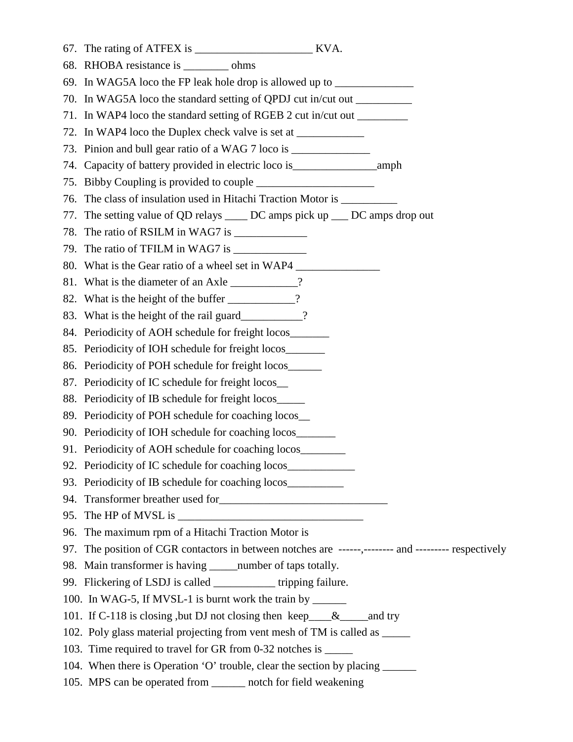- 67. The rating of ATFEX is \_\_\_\_\_\_\_\_\_\_\_\_\_\_\_\_\_\_\_\_\_ KVA. 68. RHOBA resistance is \_\_\_\_\_\_\_\_ ohms 69. In WAG5A loco the FP leak hole drop is allowed up to **with the VAGSA** loco the FP leak hole drop is allowed up to 70. In WAG5A loco the standard setting of QPDJ cut in/cut out \_\_\_\_\_\_\_\_\_\_ 71. In WAP4 loco the standard setting of RGEB 2 cut in/cut out  $\equiv$ 72. In WAP4 loco the Duplex check valve is set at \_\_\_\_\_\_\_\_\_\_\_\_\_\_\_\_\_\_\_\_\_\_\_\_\_\_\_\_\_\_\_ 73. Pinion and bull gear ratio of a WAG 7 loco is \_\_\_\_\_\_\_\_\_\_\_\_\_\_\_\_\_\_\_\_\_\_\_\_\_\_\_\_\_\_ 74. Capacity of battery provided in electric loco is\_\_\_\_\_\_\_\_\_\_\_\_\_\_\_amph 75. Bibby Coupling is provided to couple 76. The class of insulation used in Hitachi Traction Motor is \_\_\_\_\_\_\_\_\_\_ 77. The setting value of QD relays \_\_\_\_ DC amps pick up \_\_\_ DC amps drop out 78. The ratio of RSILM in WAG7 is \_\_\_\_\_\_\_\_\_\_\_\_\_ 79. The ratio of TFILM in WAG7 is 80. What is the Gear ratio of a wheel set in WAP4 81. What is the diameter of an Axle \_\_\_\_\_\_\_\_\_? 82. What is the height of the buffer \_\_\_\_\_\_\_\_\_? 83. What is the height of the rail guard\_\_\_\_\_\_\_\_\_? 84. Periodicity of AOH schedule for freight locos\_\_\_\_\_\_\_\_\_\_\_\_\_\_\_\_\_\_\_\_\_\_\_\_\_\_\_\_\_\_\_\_ 85. Periodicity of IOH schedule for freight locos\_\_\_\_\_\_\_ 86. Periodicity of POH schedule for freight locos\_\_\_\_\_\_ 87. Periodicity of IC schedule for freight locos\_\_ 88. Periodicity of IB schedule for freight locos\_\_\_\_\_ 89. Periodicity of POH schedule for coaching locos\_\_ 90. Periodicity of IOH schedule for coaching locos 91. Periodicity of AOH schedule for coaching locos 92. Periodicity of IC schedule for coaching locos\_\_\_\_\_\_\_\_\_\_\_\_\_\_\_\_\_\_\_\_\_\_\_\_\_\_\_\_\_\_\_ 93. Periodicity of IB schedule for coaching locos\_\_\_\_\_\_\_\_\_\_\_ 94. Transformer breather used for 95. The HP of MVSL is 96. The maximum rpm of a Hitachi Traction Motor is 97. The position of CGR contactors in between notches are ------,-------- and --------- respectively 98. Main transformer is having \_\_\_\_\_number of taps totally. 99. Flickering of LSDJ is called \_\_\_\_\_\_\_\_\_\_\_ tripping failure. 100. In WAG-5, If MVSL-1 is burnt work the train by \_\_\_\_\_\_ 101. If C-118 is closing, but DJ not closing then keep\_\_\_&\_\_\_\_and try 102. Poly glass material projecting from vent mesh of TM is called as \_\_\_\_\_ 103. Time required to travel for GR from 0-32 notches is \_\_\_\_\_ 104. When there is Operation 'O' trouble, clear the section by placing \_\_\_\_\_\_
- 105. MPS can be operated from \_\_\_\_\_\_ notch for field weakening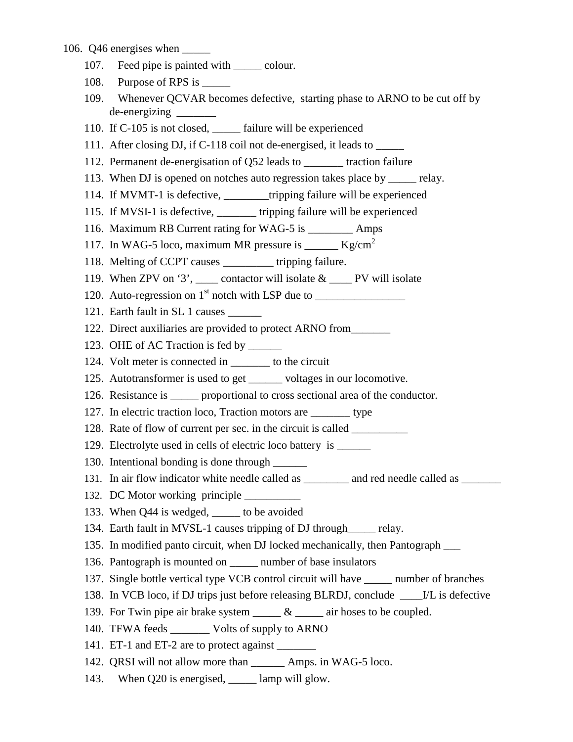#### 106. Q46 energises when \_\_\_\_\_

- 107. Feed pipe is painted with \_\_\_\_\_ colour.
- 108. Purpose of RPS is \_\_\_\_\_\_
- 109. Whenever QCVAR becomes defective, starting phase to ARNO to be cut off by de-energizing \_\_\_\_\_\_\_
- 110. If C-105 is not closed, \_\_\_\_\_ failure will be experienced
- 111. After closing DJ, if C-118 coil not de-energised, it leads to \_\_\_\_\_
- 112. Permanent de-energisation of Q52 leads to \_\_\_\_\_\_\_ traction failure
- 113. When DJ is opened on notches auto regression takes place by \_\_\_\_\_ relay.
- 114. If MVMT-1 is defective, \_\_\_\_\_\_\_\_tripping failure will be experienced
- 115. If MVSI-1 is defective, \_\_\_\_\_\_\_ tripping failure will be experienced
- 116. Maximum RB Current rating for WAG-5 is \_\_\_\_\_\_\_\_ Amps
- 117. In WAG-5 loco, maximum MR pressure is \_\_\_\_\_\_ Kg/cm<sup>2</sup>
- 118. Melting of CCPT causes \_\_\_\_\_\_\_\_\_ tripping failure.
- 119. When ZPV on '3', contactor will isolate  $\&$  PV will isolate
- 120. Auto-regression on  $1<sup>st</sup>$  notch with LSP due to
- 121. Earth fault in SL 1 causes
- 122. Direct auxiliaries are provided to protect ARNO from\_\_\_\_\_\_\_
- 123. OHE of AC Traction is fed by \_\_\_\_\_\_\_
- 124. Volt meter is connected in to the circuit
- 125. Autotransformer is used to get \_\_\_\_\_\_ voltages in our locomotive.
- 126. Resistance is \_\_\_\_\_ proportional to cross sectional area of the conductor.
- 127. In electric traction loco, Traction motors are \_\_\_\_\_\_\_ type
- 128. Rate of flow of current per sec. in the circuit is called \_\_\_\_\_\_\_\_\_\_
- 129. Electrolyte used in cells of electric loco battery is \_\_\_\_\_\_\_\_
- 130. Intentional bonding is done through \_\_\_\_\_\_
- 131. In air flow indicator white needle called as \_\_\_\_\_\_\_\_ and red needle called as \_\_\_\_\_\_\_
- 132. DC Motor working principle
- 133. When Q44 is wedged, to be avoided
- 134. Earth fault in MVSL-1 causes tripping of DJ through\_\_\_\_\_ relay.
- 135. In modified panto circuit, when DJ locked mechanically, then Pantograph \_\_\_
- 136. Pantograph is mounted on mumber of base insulators
- 137. Single bottle vertical type VCB control circuit will have \_\_\_\_\_ number of branches
- 138. In VCB loco, if DJ trips just before releasing BLRDJ, conclude \_\_\_\_I/L is defective
- 139. For Twin pipe air brake system  $\_\_\_\&\_\_\$ air hoses to be coupled.
- 140. TFWA feeds \_\_\_\_\_\_\_ Volts of supply to ARNO
- 141. ET-1 and ET-2 are to protect against
- 142. ORSI will not allow more than Amps. in WAG-5 loco.
- 143. When Q20 is energised, \_\_\_\_\_ lamp will glow.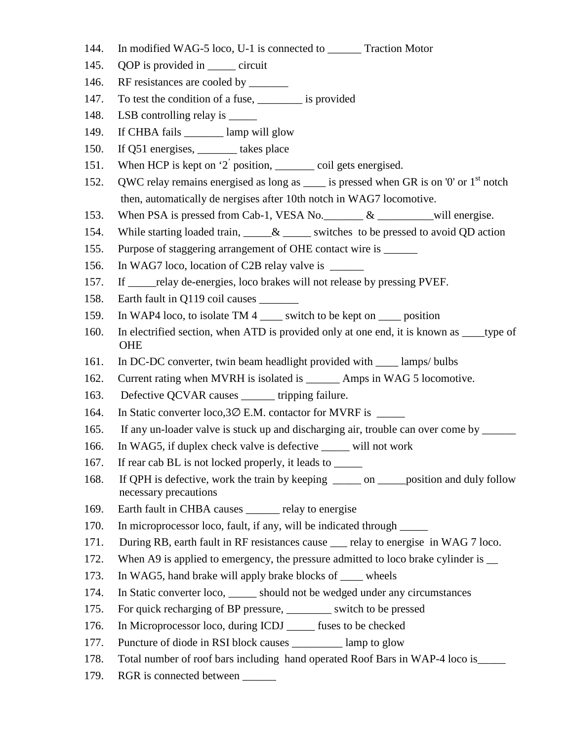- 144. In modified WAG-5 loco, U-1 is connected to \_\_\_\_\_\_ Traction Motor
- 145. QOP is provided in <u>\_\_\_\_\_</u> circuit
- 146. RF resistances are cooled by \_\_\_\_\_\_\_\_
- 147. To test the condition of a fuse, \_\_\_\_\_\_\_\_ is provided
- 148. LSB controlling relay is
- 149. If CHBA fails \_\_\_\_\_\_\_ lamp will glow
- 150. If Q51 energises, \_\_\_\_\_\_\_ takes place
- 151. When HCP is kept on '2' position, \_\_\_\_\_\_\_\_\_ coil gets energised.
- 152. QWC relay remains energised as long as  $\equiv$  is pressed when GR is on '0' or 1<sup>st</sup> notch then, automatically de nergises after 10th notch in WAG7 locomotive.
- 153. When PSA is pressed from Cab-1, VESA No. \_\_\_\_\_\_\_ & \_\_\_\_\_\_\_\_\_\_will energise.
- 154. While starting loaded train,  $\& \_\_\_\$  switches to be pressed to avoid QD action
- 155. Purpose of staggering arrangement of OHE contact wire is \_\_\_\_\_\_
- 156. In WAG7 loco, location of C2B relay valve is \_\_\_\_\_\_
- 157. If \_\_\_\_\_relay de-energies, loco brakes will not release by pressing PVEF.
- 158. Earth fault in Q119 coil causes \_\_\_\_\_\_\_
- 159. In WAP4 loco, to isolate TM 4 switch to be kept on position
- 160. In electrified section, when ATD is provided only at one end, it is known as \_\_\_\_type of **OHE**
- 161. In DC-DC converter, twin beam headlight provided with lamps/ bulbs
- 162. Current rating when MVRH is isolated is \_\_\_\_\_\_ Amps in WAG 5 locomotive.
- 163. Defective QCVAR causes \_\_\_\_\_\_ tripping failure.
- 164. In Static converter loco,3∅ E.M. contactor for MVRF is \_\_\_\_\_
- 165. If any un-loader valve is stuck up and discharging air, trouble can over come by \_\_\_\_\_\_
- 166. In WAG5, if duplex check valve is defective \_\_\_\_\_ will not work
- 167. If rear cab BL is not locked properly, it leads to \_\_\_\_\_
- 168. If QPH is defective, work the train by keeping \_\_\_\_\_ on \_\_\_\_\_position and duly follow necessary precautions
- 169. Earth fault in CHBA causes \_\_\_\_\_\_ relay to energise
- 170. In microprocessor loco, fault, if any, will be indicated through \_\_\_\_\_
- 171. During RB, earth fault in RF resistances cause \_\_\_ relay to energise in WAG 7 loco.
- 172. When A9 is applied to emergency, the pressure admitted to loco brake cylinder is
- 173. In WAG5, hand brake will apply brake blocks of \_\_\_\_ wheels
- 174. In Static converter loco, \_\_\_\_\_ should not be wedged under any circumstances
- 175. For quick recharging of BP pressure, \_\_\_\_\_\_\_\_ switch to be pressed
- 176. In Microprocessor loco, during ICDJ \_\_\_\_\_ fuses to be checked
- 177. Puncture of diode in RSI block causes \_\_\_\_\_\_\_\_\_ lamp to glow
- 178. Total number of roof bars including hand operated Roof Bars in WAP-4 loco is\_\_\_\_\_
- 179. RGR is connected between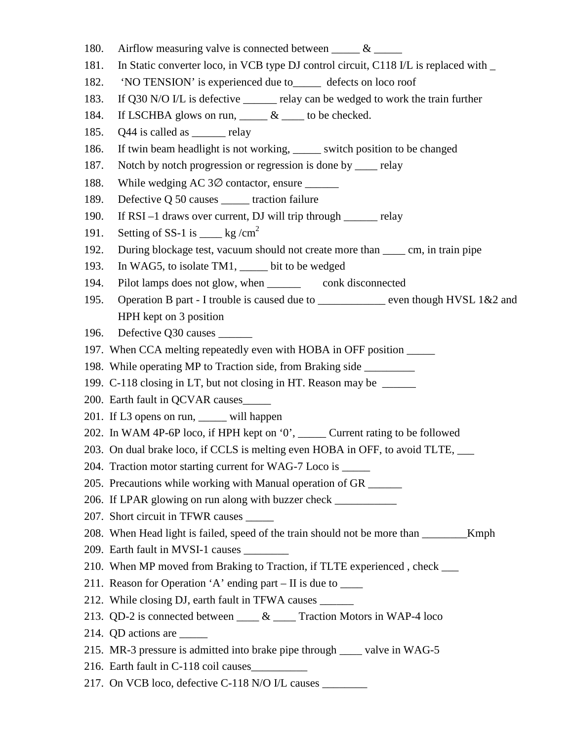- 180. Airflow measuring valve is connected between  $\&$
- 181. In Static converter loco, in VCB type DJ control circuit, C118 I/L is replaced with \_
- 182. 'NO TENSION' is experienced due to\_\_\_\_\_ defects on loco roof
- 183. If Q30 N/O I/L is defective \_\_\_\_\_\_ relay can be wedged to work the train further
- 184. If LSCHBA glows on run,  $\&$  to be checked.
- 185. Q44 is called as electric relay
- 186. If twin beam headlight is not working, \_\_\_\_\_ switch position to be changed
- 187. Notch by notch progression or regression is done by \_\_\_\_ relay
- 188. While wedging AC 3∅ contactor, ensure \_\_\_\_\_\_
- 189. Defective Q 50 causes \_\_\_\_\_ traction failure
- 190. If RSI –1 draws over current, DJ will trip through \_\_\_\_\_\_ relay
- 191. Setting of SS-1 is  $\_\_\_\$  kg/cm<sup>2</sup>
- 192. During blockage test, vacuum should not create more than \_\_\_\_ cm, in train pipe
- 193. In WAG5, to isolate TM1, \_\_\_\_\_ bit to be wedged
- 194. Pilot lamps does not glow, when \_\_\_\_\_\_ conk disconnected
- 195. Operation B part I trouble is caused due to <u>example the even though HVSL 1&2</u> and HPH kept on 3 position
- 196. Defective Q30 causes \_\_\_\_\_\_
- 197. When CCA melting repeatedly even with HOBA in OFF position \_\_\_\_\_
- 198. While operating MP to Traction side, from Braking side \_\_\_\_\_\_\_\_\_
- 199. C-118 closing in LT, but not closing in HT. Reason may be \_\_\_\_\_\_
- 200. Earth fault in QCVAR causes\_\_\_\_\_
- 201. If L3 opens on run, \_\_\_\_\_ will happen
- 202. In WAM 4P-6P loco, if HPH kept on '0', \_\_\_\_\_ Current rating to be followed
- 203. On dual brake loco, if CCLS is melting even HOBA in OFF, to avoid TLTE, \_\_\_
- 204. Traction motor starting current for WAG-7 Loco is
- 205. Precautions while working with Manual operation of GR \_\_\_\_\_\_
- 206. If LPAR glowing on run along with buzzer check \_\_\_\_\_\_\_\_\_\_\_
- 207. Short circuit in TFWR causes
- 208. When Head light is failed, speed of the train should not be more than \_\_\_\_\_\_\_\_Kmph
- 209. Earth fault in MVSI-1 causes
- 210. When MP moved from Braking to Traction, if TLTE experienced , check \_\_\_
- 211. Reason for Operation 'A' ending part  $-$  II is due to  $\_\_$
- 212. While closing DJ, earth fault in TFWA causes \_\_\_\_\_\_
- 213. QD-2 is connected between  $\_\_\_\&$  Traction Motors in WAP-4 loco
- 214. QD actions are \_\_\_\_\_
- 215. MR-3 pressure is admitted into brake pipe through \_\_\_\_ valve in WAG-5
- 216. Earth fault in C-118 coil causes\_\_\_\_\_\_\_\_\_\_
- 217. On VCB loco, defective C-118 N/O I/L causes \_\_\_\_\_\_\_\_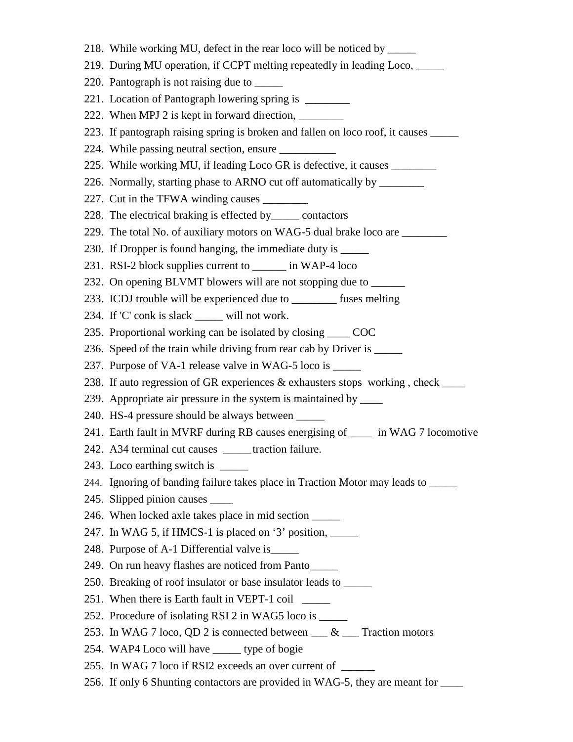218. While working MU, defect in the rear loco will be noticed by \_\_\_\_\_ 219. During MU operation, if CCPT melting repeatedly in leading Loco, \_\_\_\_\_ 220. Pantograph is not raising due to \_\_\_\_\_\_ 221. Location of Pantograph lowering spring is 222. When MPJ 2 is kept in forward direction, 223. If pantograph raising spring is broken and fallen on loco roof, it causes 224. While passing neutral section, ensure 225. While working MU, if leading Loco GR is defective, it causes 226. Normally, starting phase to ARNO cut off automatically by \_\_\_\_\_\_\_\_ 227. Cut in the TFWA winding causes \_\_\_\_\_\_\_\_\_ 228. The electrical braking is effected by\_\_\_\_\_ contactors 229. The total No. of auxiliary motors on WAG-5 dual brake loco are 230. If Dropper is found hanging, the immediate duty is \_\_\_\_\_\_ 231. RSI-2 block supplies current to \_\_\_\_\_\_ in WAP-4 loco 232. On opening BLVMT blowers will are not stopping due to \_\_\_\_\_\_\_ 233. ICDJ trouble will be experienced due to \_\_\_\_\_\_\_\_ fuses melting 234. If 'C' conk is slack will not work. 235. Proportional working can be isolated by closing COC 236. Speed of the train while driving from rear cab by Driver is \_\_\_\_\_\_ 237. Purpose of VA-1 release valve in WAG-5 loco is \_\_\_\_\_\_ 238. If auto regression of GR experiences  $\&$  exhausters stops working, check 239. Appropriate air pressure in the system is maintained by \_\_\_\_ 240. HS-4 pressure should be always between \_\_\_\_\_ 241. Earth fault in MVRF during RB causes energising of \_\_\_\_ in WAG 7 locomotive 242. A34 terminal cut causes \_\_\_\_\_ traction failure. 243. Loco earthing switch is \_\_\_\_\_\_ 244. Ignoring of banding failure takes place in Traction Motor may leads to \_\_\_\_\_ 245. Slipped pinion causes \_\_\_\_ 246. When locked axle takes place in mid section \_\_\_\_\_ 247. In WAG 5, if HMCS-1 is placed on  $3'$  position,  $\frac{1}{2}$ 248. Purpose of A-1 Differential valve is\_\_\_\_\_ 249. On run heavy flashes are noticed from Panto\_\_\_\_\_ 250. Breaking of roof insulator or base insulator leads to \_\_\_\_\_ 251. When there is Earth fault in VEPT-1 coil \_\_\_\_\_ 252. Procedure of isolating RSI 2 in WAG5 loco is \_\_\_\_\_\_ 253. In WAG 7 loco, QD 2 is connected between \_\_\_ & \_\_\_ Traction motors 254. WAP4 Loco will have \_\_\_\_\_ type of bogie 255. In WAG 7 loco if RSI2 exceeds an over current of 256. If only 6 Shunting contactors are provided in WAG-5, they are meant for \_\_\_\_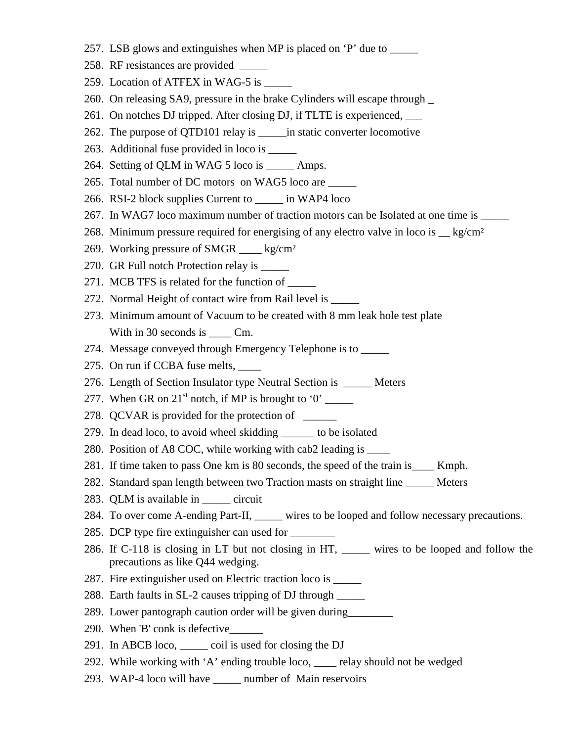- 257. LSB glows and extinguishes when MP is placed on 'P' due to
- 258. RF resistances are provided \_\_\_\_\_
- 259. Location of ATFEX in WAG-5 is \_\_\_\_\_\_
- 260. On releasing SA9, pressure in the brake Cylinders will escape through \_
- 261. On notches DJ tripped. After closing DJ, if TLTE is experienced, \_\_\_
- 262. The purpose of QTD101 relay is \_\_\_\_\_in static converter locomotive
- 263. Additional fuse provided in loco is \_\_\_\_\_
- 264. Setting of QLM in WAG 5 loco is \_\_\_\_\_ Amps.
- 265. Total number of DC motors on WAG5 loco are \_\_\_\_\_
- 266. RSI-2 block supplies Current to \_\_\_\_\_ in WAP4 loco
- 267. In WAG7 loco maximum number of traction motors can be Isolated at one time is \_\_\_\_\_
- 268. Minimum pressure required for energising of any electro valve in loco is  $\leq$  kg/cm<sup>2</sup>
- 269. Working pressure of SMGR \_\_\_\_ kg/cm²
- 270. GR Full notch Protection relay is \_\_\_\_\_
- 271. MCB TFS is related for the function of \_\_\_\_\_\_
- 272. Normal Height of contact wire from Rail level is \_\_\_\_\_
- 273. Minimum amount of Vacuum to be created with 8 mm leak hole test plate With in 30 seconds is \_\_\_\_\_ Cm.
- 274. Message conveyed through Emergency Telephone is to \_\_\_\_\_\_
- 275. On run if CCBA fuse melts,
- 276. Length of Section Insulator type Neutral Section is Meters
- 277. When GR on  $21<sup>st</sup>$  notch, if MP is brought to '0' \_\_\_\_\_
- 278. QCVAR is provided for the protection of \_\_\_\_\_\_\_\_
- 279. In dead loco, to avoid wheel skidding \_\_\_\_\_\_ to be isolated
- 280. Position of A8 COC, while working with cab2 leading is \_\_\_\_
- 281. If time taken to pass One km is 80 seconds, the speed of the train is\_\_\_\_ Kmph.
- 282. Standard span length between two Traction masts on straight line \_\_\_\_\_ Meters
- 283. QLM is available in \_\_\_\_\_ circuit
- 284. To over come A-ending Part-II, wires to be looped and follow necessary precautions.
- 285. DCP type fire extinguisher can used for
- 286. If C-118 is closing in LT but not closing in HT, \_\_\_\_\_ wires to be looped and follow the precautions as like Q44 wedging.
- 287. Fire extinguisher used on Electric traction loco is \_\_\_\_\_
- 288. Earth faults in SL-2 causes tripping of DJ through \_\_\_\_\_
- 289. Lower pantograph caution order will be given during\_\_\_\_\_\_\_\_
- 290. When 'B' conk is defective\_\_\_\_\_\_
- 291. In ABCB loco, \_\_\_\_\_ coil is used for closing the DJ
- 292. While working with 'A' ending trouble loco, \_\_\_\_ relay should not be wedged
- 293. WAP-4 loco will have \_\_\_\_\_ number of Main reservoirs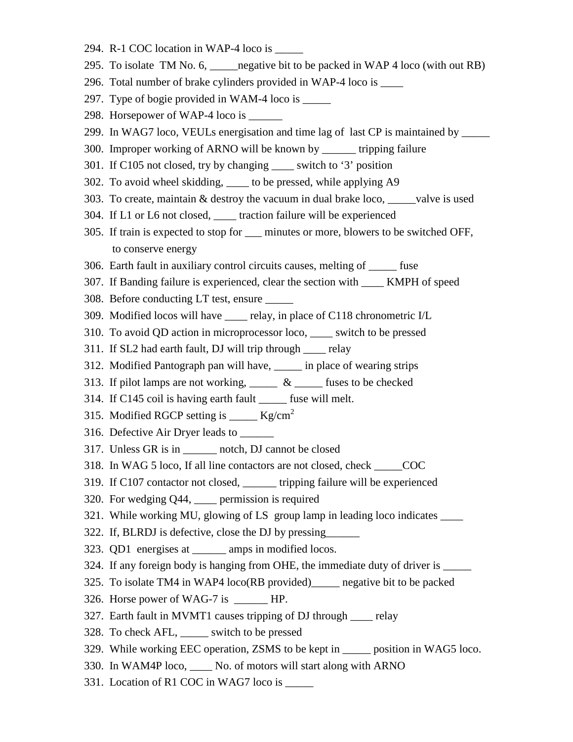- 294. R-1 COC location in WAP-4 loco is
- 295. To isolate TM No. 6, \_\_\_\_\_negative bit to be packed in WAP 4 loco (with out RB)
- 296. Total number of brake cylinders provided in WAP-4 loco is \_\_\_\_
- 297. Type of bogie provided in WAM-4 loco is \_\_\_\_\_
- 298. Horsepower of WAP-4 loco is
- 299. In WAG7 loco, VEULs energisation and time lag of last CP is maintained by \_\_\_\_\_
- 300. Improper working of ARNO will be known by \_\_\_\_\_\_ tripping failure
- 301. If C105 not closed, try by changing \_\_\_\_ switch to '3' position
- 302. To avoid wheel skidding, \_\_\_\_ to be pressed, while applying A9
- 303. To create, maintain & destroy the vacuum in dual brake loco, \_\_\_\_\_valve is used
- 304. If L1 or L6 not closed, \_\_\_\_ traction failure will be experienced
- 305. If train is expected to stop for \_\_\_ minutes or more, blowers to be switched OFF, to conserve energy
- 306. Earth fault in auxiliary control circuits causes, melting of \_\_\_\_\_ fuse
- 307. If Banding failure is experienced, clear the section with \_\_\_\_ KMPH of speed
- 308. Before conducting LT test, ensure \_\_\_\_\_
- 309. Modified locos will have relay, in place of C118 chronometric I/L
- 310. To avoid QD action in microprocessor loco, \_\_\_\_ switch to be pressed
- 311. If SL2 had earth fault, DJ will trip through \_\_\_\_ relay
- 312. Modified Pantograph pan will have, \_\_\_\_\_ in place of wearing strips
- 313. If pilot lamps are not working,  $\frac{1}{x}$   $\frac{1}{x}$  fuses to be checked
- 314. If C145 coil is having earth fault \_\_\_\_\_ fuse will melt.
- 315. Modified RGCP setting is  $Kg/cm^2$
- 316. Defective Air Dryer leads to \_\_\_\_\_\_
- 317. Unless GR is in  $\qquad$  notch, DJ cannot be closed
- 318. In WAG 5 loco, If all line contactors are not closed, check \_\_\_\_\_COC
- 319. If C107 contactor not closed, \_\_\_\_\_\_ tripping failure will be experienced
- 320. For wedging Q44, \_\_\_\_ permission is required
- 321. While working MU, glowing of LS group lamp in leading loco indicates \_\_\_\_
- 322. If, BLRDJ is defective, close the DJ by pressing\_\_\_\_\_\_
- 323. QD1 energises at \_\_\_\_\_\_ amps in modified locos.
- 324. If any foreign body is hanging from OHE, the immediate duty of driver is \_\_\_\_\_
- 325. To isolate TM4 in WAP4 loco(RB provided)\_\_\_\_\_ negative bit to be packed
- 326. Horse power of WAG-7 is HP.
- 327. Earth fault in MVMT1 causes tripping of DJ through \_\_\_\_ relay
- 328. To check AFL, \_\_\_\_\_ switch to be pressed
- 329. While working EEC operation, ZSMS to be kept in \_\_\_\_\_ position in WAG5 loco.
- 330. In WAM4P loco, \_\_\_\_ No. of motors will start along with ARNO
- 331. Location of R1 COC in WAG7 loco is \_\_\_\_\_\_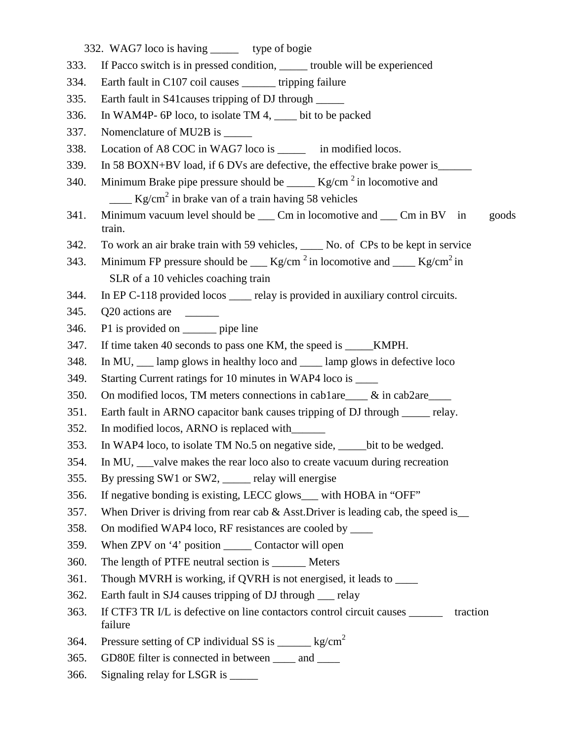332. WAG7 loco is having \_\_\_\_\_ type of bogie

- 333. If Pacco switch is in pressed condition, \_\_\_\_\_ trouble will be experienced
- 334. Earth fault in C107 coil causes \_\_\_\_\_\_ tripping failure
- 335. Earth fault in S41causes tripping of DJ through \_\_\_\_\_
- 336. In WAM4P- 6P loco, to isolate TM 4, \_\_\_\_ bit to be packed
- 337. Nomenclature of MU2B is \_\_\_\_\_
- 338. Location of A8 COC in WAG7 loco is in modified locos.
- 339. In 58 BOXN+BV load, if 6 DVs are defective, the effective brake power is\_\_\_\_\_\_
- 340. Minimum Brake pipe pressure should be  $Kg/cm^2$  in locomotive and  $\frac{1}{\sqrt{2}}$  Kg/cm<sup>2</sup> in brake van of a train having 58 vehicles
- 341. Minimum vacuum level should be \_\_\_ Cm in locomotive and \_\_\_ Cm in BV in goods train.
- 342. To work an air brake train with 59 vehicles, No. of CPs to be kept in service
- 343. Minimum FP pressure should be  $Kg/cm^2$  in locomotive and  $Kg/cm^2$  in SLR of a 10 vehicles coaching train
- 344. In EP C-118 provided locos \_\_\_\_ relay is provided in auxiliary control circuits.
- 345. Q20 actions are \_\_\_\_\_\_
- 346. P1 is provided on \_\_\_\_\_\_ pipe line
- 347. If time taken 40 seconds to pass one KM, the speed is \_\_\_\_\_KMPH.
- 348. In MU, lamp glows in healthy loco and lamp glows in defective loco
- 349. Starting Current ratings for 10 minutes in WAP4 loco is \_\_\_\_\_
- 350. On modified locos, TM meters connections in cab1are\_\_\_\_ & in cab2are\_\_\_\_
- 351. Earth fault in ARNO capacitor bank causes tripping of DJ through relay.
- 352. In modified locos, ARNO is replaced with\_\_\_\_\_\_
- 353. In WAP4 loco, to isolate TM No.5 on negative side, \_\_\_\_\_bit to be wedged.
- 354. In MU, \_\_\_valve makes the rear loco also to create vacuum during recreation
- 355. By pressing SW1 or SW2, \_\_\_\_\_ relay will energise
- 356. If negative bonding is existing, LECC glows\_\_\_ with HOBA in "OFF"
- 357. When Driver is driving from rear cab  $&$  Asst. Driver is leading cab, the speed is
- 358. On modified WAP4 loco, RF resistances are cooled by \_\_\_\_
- 359. When ZPV on '4' position \_\_\_\_\_ Contactor will open
- 360. The length of PTFE neutral section is Meters
- 361. Though MVRH is working, if QVRH is not energised, it leads to \_\_\_\_
- 362. Earth fault in SJ4 causes tripping of DJ through relay
- 363. If CTF3 TR I/L is defective on line contactors control circuit causes \_\_\_\_\_\_ traction failure
- 364. Pressure setting of CP individual SS is  $\_\_\_\_\_\$  kg/cm<sup>2</sup>
- 365. GD80E filter is connected in between \_\_\_\_ and \_\_\_\_
- 366. Signaling relay for LSGR is \_\_\_\_\_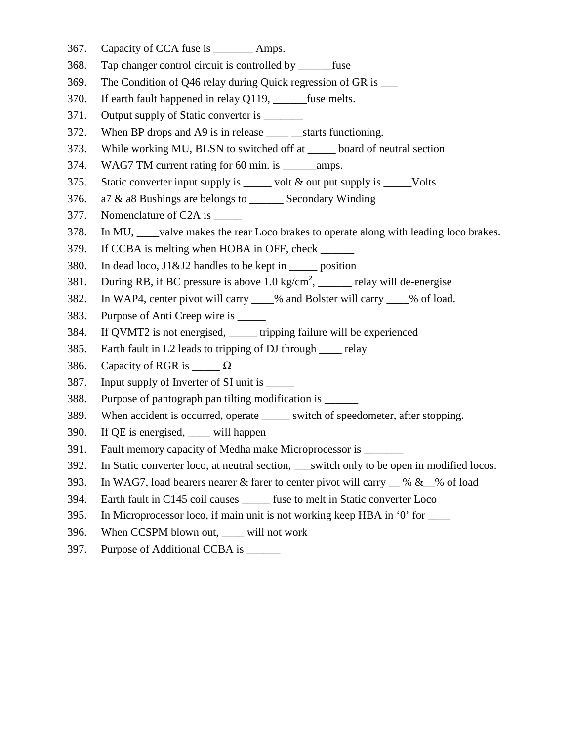- 367. Capacity of CCA fuse is \_\_\_\_\_\_\_ Amps.
- 368. Tap changer control circuit is controlled by \_\_\_\_\_\_fuse
- 369. The Condition of Q46 relay during Quick regression of GR is \_\_\_
- 370. If earth fault happened in relay Q119, fuse melts.
- 371. Output supply of Static converter is
- 372. When BP drops and A9 is in release starts functioning.
- 373. While working MU, BLSN to switched off at \_\_\_\_\_ board of neutral section
- 374. WAG7 TM current rating for 60 min. is \_\_\_\_\_\_\_ amps.
- 375. Static converter input supply is \_\_\_\_\_ volt & out put supply is \_\_\_\_\_Volts
- 376. a7 & a8 Bushings are belongs to \_\_\_\_\_\_ Secondary Winding
- 377. Nomenclature of C2A is \_\_\_\_\_
- 378. In MU, \_\_\_\_valve makes the rear Loco brakes to operate along with leading loco brakes.
- 379. If CCBA is melting when HOBA in OFF, check
- 380. In dead loco, J1&J2 handles to be kept in \_\_\_\_\_ position
- 381. During RB, if BC pressure is above  $1.0 \text{ kg/cm}^2$ , \_\_\_\_\_ relay will de-energise
- 382. In WAP4, center pivot will carry \_\_\_\_% and Bolster will carry \_\_\_\_% of load.
- 383. Purpose of Anti Creep wire is \_\_\_\_\_
- 384. If QVMT2 is not energised, \_\_\_\_\_ tripping failure will be experienced
- 385. Earth fault in L2 leads to tripping of DJ through \_\_\_\_ relay
- 386. Capacity of RGR is  $\Omega$
- 387. Input supply of Inverter of SI unit is \_\_\_\_\_
- 388. Purpose of pantograph pan tilting modification is
- 389. When accident is occurred, operate \_\_\_\_\_ switch of speedometer, after stopping.
- 390. If QE is energised, \_\_\_\_ will happen
- 391. Fault memory capacity of Medha make Microprocessor is
- 392. In Static converter loco, at neutral section, switch only to be open in modified locos.
- 393. In WAG7, load bearers nearer & farer to center pivot will carry  $\_\%$  &  $\_\%$  of load
- 394. Earth fault in C145 coil causes \_\_\_\_\_ fuse to melt in Static converter Loco
- 395. In Microprocessor loco, if main unit is not working keep HBA in '0' for \_\_\_\_
- 396. When CCSPM blown out, \_\_\_\_ will not work
- 397. Purpose of Additional CCBA is \_\_\_\_\_\_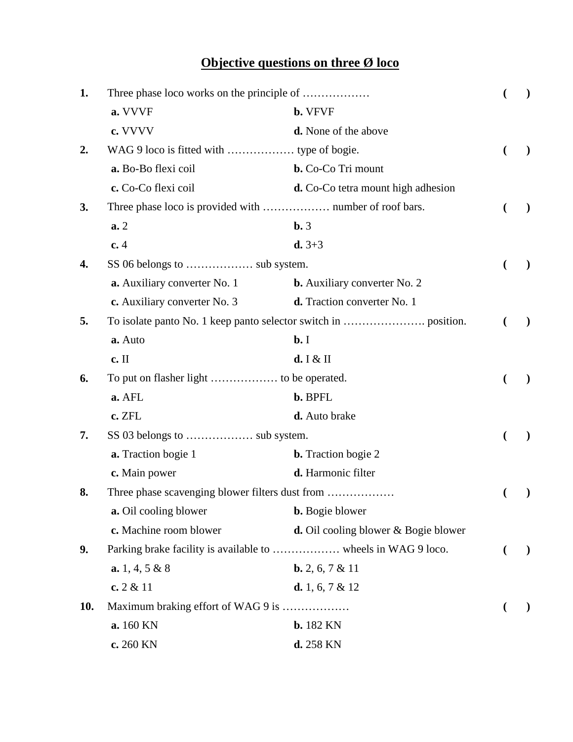## **Objective questions on three Ø loco**

| 1.  |                                                 |                                                |                          |               |  |
|-----|-------------------------------------------------|------------------------------------------------|--------------------------|---------------|--|
|     | a. VVVF                                         | <b>b.</b> VFVF                                 |                          |               |  |
|     | c. VVVV                                         | d. None of the above                           |                          |               |  |
| 2.  |                                                 |                                                | €                        |               |  |
|     | a. Bo-Bo flexi coil                             | <b>b.</b> Co-Co Tri mount                      |                          |               |  |
|     | c. Co-Co flexi coil                             | <b>d.</b> Co-Co tetra mount high adhesion      |                          |               |  |
| 3.  |                                                 |                                                | $\overline{\mathcal{L}}$ |               |  |
|     | a.2                                             | $\mathbf{b.3}$                                 |                          |               |  |
|     | c.4                                             | $d. 3 + 3$                                     |                          |               |  |
| 4.  |                                                 |                                                |                          |               |  |
|     | a. Auxiliary converter No. 1                    | <b>b.</b> Auxiliary converter No. 2            |                          |               |  |
|     | c. Auxiliary converter No. 3                    | d. Traction converter No. 1                    |                          |               |  |
| 5.  |                                                 |                                                | (                        | $\mathcal{E}$ |  |
|     | a. Auto                                         | $b$ . I                                        |                          |               |  |
|     | c. II                                           | d. I & H                                       |                          |               |  |
| 6.  |                                                 |                                                |                          |               |  |
|     | a. AFL                                          | b. BPFL                                        |                          |               |  |
|     | c. ZFL                                          | d. Auto brake                                  |                          |               |  |
| 7.  |                                                 |                                                |                          |               |  |
|     | <b>a.</b> Traction bogie 1                      | <b>b.</b> Traction bogie 2                     |                          |               |  |
|     | c. Main power                                   | d. Harmonic filter                             |                          |               |  |
| 8.  | Three phase scavenging blower filters dust from |                                                |                          |               |  |
|     | a. Oil cooling blower                           | <b>b.</b> Bogie blower                         |                          |               |  |
|     | c. Machine room blower                          | <b>d.</b> Oil cooling blower $\&$ Bogie blower |                          |               |  |
| 9.  |                                                 |                                                |                          | $\mathcal{E}$ |  |
|     | a. $1, 4, 5 \& 8$                               | <b>b.</b> 2, 6, 7 & 11                         |                          |               |  |
|     | c. $2 & 11$                                     | <b>d.</b> 1, 6, 7 & 12                         |                          |               |  |
| 10. | Maximum braking effort of WAG 9 is              |                                                |                          |               |  |
|     | a. 160 KN                                       | <b>b.</b> 182 KN                               |                          |               |  |
|     | c. 260 KN                                       | d. 258 KN                                      |                          |               |  |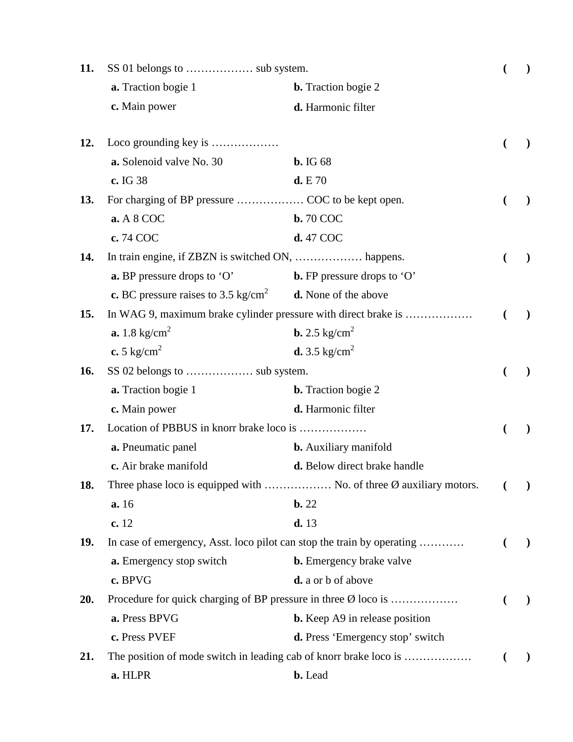| 11. |                                                                                    |                                                                          |   |           |
|-----|------------------------------------------------------------------------------------|--------------------------------------------------------------------------|---|-----------|
|     | <b>a.</b> Traction bogie 1                                                         | <b>b.</b> Traction bogie 2                                               |   |           |
|     | c. Main power                                                                      | d. Harmonic filter                                                       |   |           |
| 12. | Loco grounding key is                                                              |                                                                          |   |           |
|     | a. Solenoid valve No. 30                                                           | <b>b.</b> IG 68                                                          |   |           |
|     | c. IG 38                                                                           | d. E70                                                                   |   |           |
| 13. |                                                                                    |                                                                          |   |           |
|     | a. A 8 COC                                                                         | <b>b.</b> 70 COC                                                         |   |           |
|     | c. 74 COC                                                                          | d. 47 COC                                                                |   |           |
| 14. |                                                                                    |                                                                          |   |           |
|     | a. BP pressure drops to 'O'                                                        | <b>b.</b> FP pressure drops to 'O'                                       |   |           |
|     | <b>c.</b> BC pressure raises to 3.5 kg/cm <sup>2</sup> <b>d.</b> None of the above |                                                                          |   |           |
| 15. |                                                                                    | In WAG 9, maximum brake cylinder pressure with direct brake is           | € | $\lambda$ |
|     | <b>a.</b> 1.8 kg/cm <sup>2</sup>                                                   | <b>b.</b> 2.5 kg/cm <sup>2</sup>                                         |   |           |
|     | c. 5 kg/cm <sup>2</sup>                                                            | <b>d.</b> 3.5 kg/cm <sup>2</sup>                                         |   |           |
| 16. |                                                                                    |                                                                          |   |           |
|     | <b>a.</b> Traction bogie 1                                                         | <b>b.</b> Traction bogie 2                                               |   |           |
|     | c. Main power                                                                      | d. Harmonic filter                                                       |   |           |
| 17. | Location of PBBUS in knorr brake loco is                                           |                                                                          |   |           |
|     | a. Pneumatic panel                                                                 | <b>b.</b> Auxiliary manifold                                             |   |           |
|     | c. Air brake manifold                                                              | d. Below direct brake handle                                             |   |           |
| 18. |                                                                                    | Three phase loco is equipped with  No. of three Ø auxiliary motors.      |   | $\lambda$ |
|     | a. 16                                                                              | $\mathbf{b.}22$                                                          |   |           |
|     | c.12                                                                               | d. 13                                                                    |   |           |
| 19. |                                                                                    | In case of emergency, Asst. loco pilot can stop the train by operating   |   |           |
|     | a. Emergency stop switch                                                           | <b>b.</b> Emergency brake valve                                          |   |           |
|     | c. BPVG                                                                            | d. a or b of above                                                       |   |           |
| 20. |                                                                                    | Procedure for quick charging of BP pressure in three $\emptyset$ loco is |   | $\lambda$ |
|     | a. Press BPVG                                                                      | <b>b.</b> Keep A9 in release position                                    |   |           |
|     | c. Press PVEF                                                                      | <b>d.</b> Press 'Emergency stop' switch                                  |   |           |
| 21. |                                                                                    | The position of mode switch in leading cab of knorr brake loco is        |   |           |
|     | a. HLPR                                                                            | <b>b.</b> Lead                                                           |   |           |
|     |                                                                                    |                                                                          |   |           |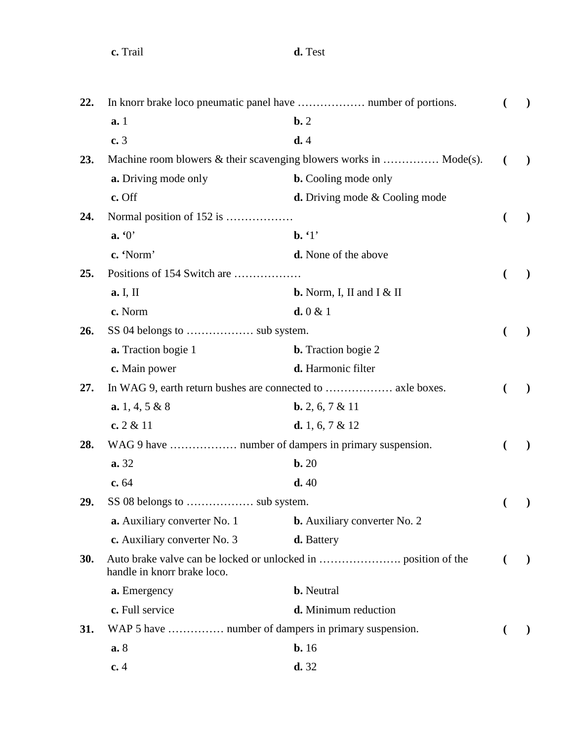| 22. |                                                      |                                                                    |                | $\lambda$ |
|-----|------------------------------------------------------|--------------------------------------------------------------------|----------------|-----------|
|     | a.1                                                  | $\mathbf{b.}2$                                                     |                |           |
|     | c.3                                                  | d.4                                                                |                |           |
| 23. |                                                      | Machine room blowers & their scavenging blowers works in  Mode(s). |                |           |
|     | <b>a.</b> Driving mode only                          | <b>b.</b> Cooling mode only                                        |                |           |
|     | c. Off                                               | <b>d.</b> Driving mode $\&$ Cooling mode                           |                |           |
| 24. | Normal position of 152 is                            |                                                                    | €              |           |
|     | a. 6                                                 | $\mathbf{b.} 1'$                                                   |                |           |
|     | c. 'Norm'                                            | <b>d.</b> None of the above                                        |                |           |
| 25. | Positions of 154 Switch are                          |                                                                    |                |           |
|     | a. I, II                                             | <b>b.</b> Norm, I, II and I $&$ II                                 |                |           |
|     | c. Norm                                              | d.0 & 1                                                            |                |           |
| 26. |                                                      |                                                                    |                |           |
|     | <b>a.</b> Traction bogie 1                           | <b>b.</b> Traction bogie 2                                         |                |           |
|     | c. Main power                                        | d. Harmonic filter                                                 |                |           |
| 27. |                                                      |                                                                    |                |           |
|     | <b>a.</b> 1, 4, 5 & 8                                | <b>b.</b> 2, 6, 7 & 11                                             |                |           |
|     | c. $2 & 11$                                          | d. 1, 6, 7 & 12                                                    |                |           |
| 28. |                                                      |                                                                    |                |           |
|     | a. 32                                                | $\mathbf{b.}20$                                                    |                |           |
|     | c. 64                                                | d.40                                                               |                |           |
| 29. |                                                      |                                                                    |                |           |
|     | a. Auxiliary converter No. 1                         | <b>b.</b> Auxiliary converter No. 2                                |                |           |
|     | c. Auxiliary converter No. 3                         | d. Battery                                                         |                |           |
| 30. | handle in knorr brake loco.                          |                                                                    | $\overline{ }$ | $\lambda$ |
|     | a. Emergency                                         | <b>b.</b> Neutral                                                  |                |           |
|     | c. Full service                                      | d. Minimum reduction                                               |                |           |
| 31. | WAP 5 have  number of dampers in primary suspension. |                                                                    |                |           |
|     | a.8                                                  | b.16                                                               |                |           |
|     | c.4                                                  | d.32                                                               |                |           |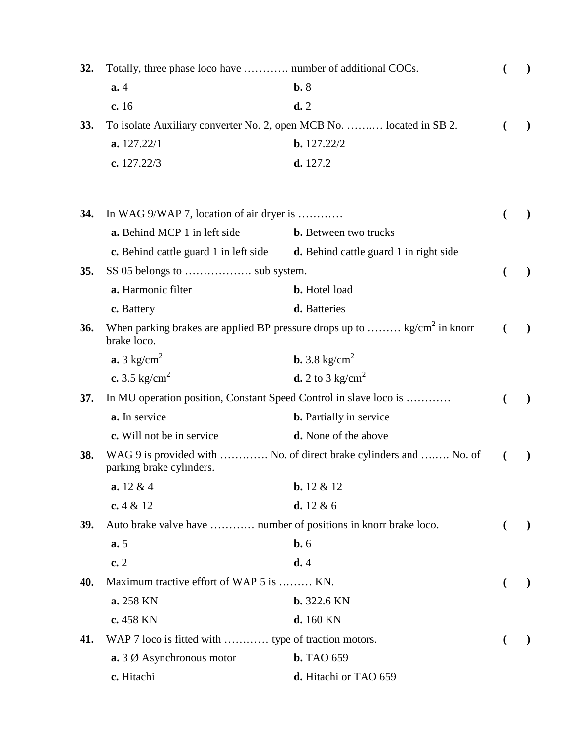| 32.        | Totally, three phase loco have  number of additional COCs.           |                                                                                   |              |
|------------|----------------------------------------------------------------------|-----------------------------------------------------------------------------------|--------------|
|            | a.4                                                                  | b.8                                                                               |              |
|            | c.16                                                                 | d.2                                                                               |              |
| 33.        | To isolate Auxiliary converter No. 2, open MCB No.  located in SB 2. |                                                                                   |              |
|            | a. 127.22/1                                                          | b. 127.22/2                                                                       |              |
|            | c. $127.22/3$                                                        | d. 127.2                                                                          |              |
| 34.        | In WAG 9/WAP 7, location of air dryer is                             |                                                                                   |              |
|            | a. Behind MCP 1 in left side                                         | <b>b.</b> Between two trucks                                                      |              |
|            | c. Behind cattle guard 1 in left side                                | <b>d.</b> Behind cattle guard 1 in right side                                     |              |
| 35.        |                                                                      |                                                                                   |              |
|            | a. Harmonic filter                                                   | <b>b.</b> Hotel load                                                              |              |
|            | c. Battery                                                           | d. Batteries                                                                      |              |
| 36.        | brake loco.                                                          | When parking brakes are applied BP pressure drops up to $\text{kg/cm}^2$ in knorr |              |
|            | $\mathbf{a.3}$ kg/cm <sup>2</sup>                                    | <b>b.</b> 3.8 kg/cm <sup>2</sup>                                                  |              |
|            | c. 3.5 kg/cm <sup>2</sup>                                            | <b>d.</b> 2 to 3 kg/cm <sup>2</sup>                                               |              |
| 37.        | In MU operation position, Constant Speed Control in slave loco is    |                                                                                   |              |
|            | a. In service                                                        | <b>b.</b> Partially in service                                                    |              |
|            | c. Will not be in service                                            | <b>d.</b> None of the above                                                       |              |
| 38.        | parking brake cylinders.                                             | WAG 9 is provided with  No. of direct brake cylinders and  No. of                 |              |
|            | a. 12 & 4                                                            | <b>b.</b> $12 \& 12$                                                              |              |
|            | c. $4 & 12$                                                          | d. $12 & 6$                                                                       |              |
| <b>39.</b> | Auto brake valve have  number of positions in knorr brake loco.      |                                                                                   | $\mathbf{I}$ |
|            | a.5                                                                  | $b. 6$                                                                            |              |
|            | c.2                                                                  | d.4                                                                               |              |
| 40.        | Maximum tractive effort of WAP 5 is  KN.                             |                                                                                   |              |
|            | a. 258 KN                                                            | $b.322.6$ KN                                                                      |              |
|            | c. 458 KN                                                            | d. 160 KN                                                                         |              |
| 41.        | WAP 7 loco is fitted with  type of traction motors.                  |                                                                                   |              |
|            | $\mathbf{a}$ . 3 $\emptyset$ Asynchronous motor                      | <b>b.</b> TAO 659                                                                 |              |
|            | c. Hitachi                                                           | d. Hitachi or TAO 659                                                             |              |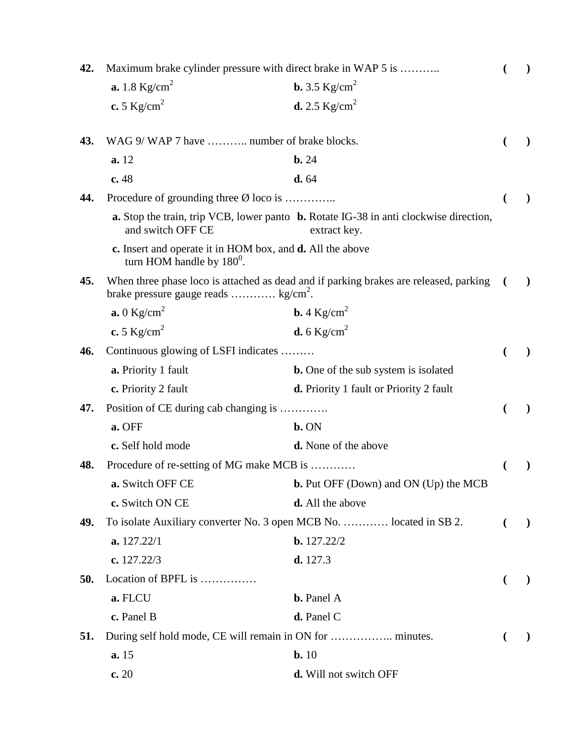| 42. |                                                                                           | Maximum brake cylinder pressure with direct brake in WAP 5 is                                         |               |
|-----|-------------------------------------------------------------------------------------------|-------------------------------------------------------------------------------------------------------|---------------|
|     | <b>a.</b> 1.8 $Kg/cm^2$                                                                   | <b>b.</b> 3.5 $Kg/cm^2$                                                                               |               |
|     | c. 5 $\text{Kg/cm}^2$                                                                     | <b>d.</b> 2.5 $Kg/cm^2$                                                                               |               |
| 43. | WAG 9/ WAP 7 have  number of brake blocks.                                                |                                                                                                       |               |
|     | a. 12                                                                                     | $b. 24$                                                                                               |               |
|     | c. 48                                                                                     | d. 64                                                                                                 |               |
| 44. | Procedure of grounding three $\emptyset$ loco is                                          |                                                                                                       |               |
|     | and switch OFF CE                                                                         | a. Stop the train, trip VCB, lower panto b. Rotate IG-38 in anti clockwise direction,<br>extract key. |               |
|     | c. Insert and operate it in HOM box, and d. All the above<br>turn HOM handle by $180^0$ . |                                                                                                       |               |
| 45. | brake pressure gauge reads $kg/cm2$ .                                                     | When three phase loco is attached as dead and if parking brakes are released, parking                 | $\lambda$     |
|     | $\mathbf{a.0}$ Kg/cm <sup>2</sup>                                                         | <b>b.</b> 4 $Kg/cm^2$                                                                                 |               |
|     | c. 5 $\text{Kg/cm}^2$                                                                     | <b>d.</b> 6 Kg/cm <sup>2</sup>                                                                        |               |
| 46. | Continuous glowing of LSFI indicates                                                      |                                                                                                       |               |
|     | a. Priority 1 fault                                                                       | <b>b.</b> One of the sub system is isolated                                                           |               |
|     | c. Priority 2 fault                                                                       | <b>d.</b> Priority 1 fault or Priority 2 fault                                                        |               |
| 47. | Position of CE during cab changing is                                                     |                                                                                                       |               |
|     | a. OFF                                                                                    | b. ON                                                                                                 |               |
|     | c. Self hold mode                                                                         | <b>d.</b> None of the above                                                                           |               |
| 48. | Procedure of re-setting of MG make MCB is                                                 |                                                                                                       |               |
|     | a. Switch OFF CE                                                                          | <b>b.</b> Put OFF (Down) and ON (Up) the MCB                                                          |               |
|     | c. Switch ON CE                                                                           | <b>d.</b> All the above                                                                               |               |
| 49. |                                                                                           | To isolate Auxiliary converter No. 3 open MCB No.  located in SB 2.                                   | $\mathcal{L}$ |
|     | a. 127.22/1                                                                               | b. 127.22/2                                                                                           |               |
|     | c. $127.22/3$                                                                             | d. 127.3                                                                                              |               |
| 50. | Location of BPFL is                                                                       |                                                                                                       |               |
|     | a. FLCU                                                                                   | <b>b.</b> Panel A                                                                                     |               |
|     | c. Panel B                                                                                | d. Panel C                                                                                            |               |
| 51. |                                                                                           |                                                                                                       |               |
|     | a.15                                                                                      | $b. 10$                                                                                               |               |
|     | c. 20                                                                                     | d. Will not switch OFF                                                                                |               |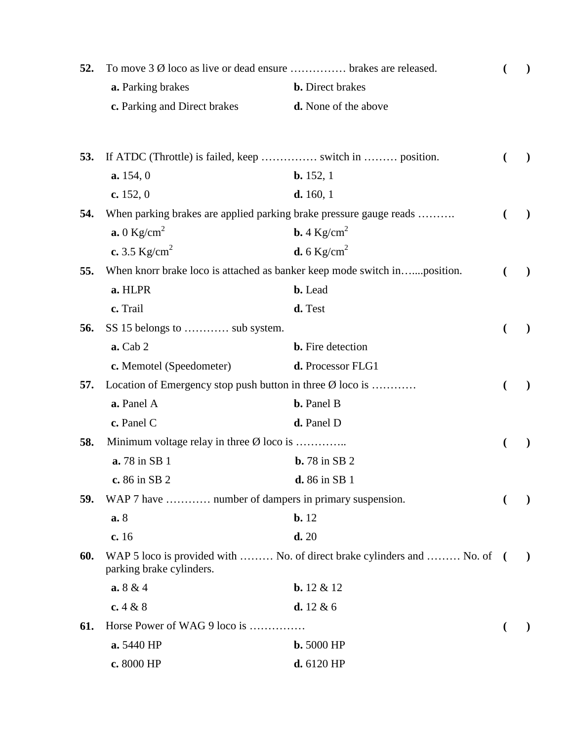| 52. | To move $3\emptyset$ loco as live or dead ensure  brakes are released.   |                                                                          |   | $\mathcal{F}^{\prime}(\mathcal{F}) = \mathcal{F}^{\prime}(\mathcal{F})$ |
|-----|--------------------------------------------------------------------------|--------------------------------------------------------------------------|---|-------------------------------------------------------------------------|
|     | a. Parking brakes                                                        | <b>b.</b> Direct brakes                                                  |   |                                                                         |
|     | c. Parking and Direct brakes                                             | d. None of the above                                                     |   |                                                                         |
| 53. |                                                                          |                                                                          |   |                                                                         |
|     | a. 154, 0                                                                | $b. 152, 1$                                                              |   |                                                                         |
|     | c. $152, 0$                                                              | d. 160, 1                                                                |   |                                                                         |
| 54. | When parking brakes are applied parking brake pressure gauge reads       |                                                                          | € | $\mathcal{L}$                                                           |
|     | $\mathbf{a.0}$ Kg/cm <sup>2</sup>                                        | <b>b.</b> 4 Kg/cm <sup>2</sup>                                           |   |                                                                         |
|     | c. 3.5 $Kg/cm^2$                                                         | <b>d.</b> 6 Kg/cm <sup>2</sup>                                           |   |                                                                         |
| 55. | When knorr brake loco is attached as banker keep mode switch inposition. |                                                                          | € | $\lambda$                                                               |
|     | a. HLPR                                                                  | <b>b.</b> Lead                                                           |   |                                                                         |
|     | c. Trail                                                                 | d. Test                                                                  |   |                                                                         |
| 56. | SS 15 belongs to  sub system.                                            |                                                                          |   |                                                                         |
|     | $a.$ Cab $2$                                                             | <b>b.</b> Fire detection                                                 |   |                                                                         |
|     | c. Memotel (Speedometer)                                                 | d. Processor FLG1                                                        |   |                                                                         |
| 57. | Location of Emergency stop push button in three $\emptyset$ loco is      |                                                                          |   |                                                                         |
|     | a. Panel A                                                               | <b>b.</b> Panel B                                                        |   |                                                                         |
|     | c. Panel C                                                               | d. Panel D                                                               |   |                                                                         |
| 58. | Minimum voltage relay in three $\emptyset$ loco is                       |                                                                          |   |                                                                         |
|     | <b>a.</b> 78 in SB 1                                                     | <b>b.</b> 78 in SB 2                                                     |   |                                                                         |
|     | c. 86 in SB 2                                                            | <b>d.</b> 86 in SB 1                                                     |   |                                                                         |
| 59. | WAP 7 have  number of dampers in primary suspension.                     |                                                                          |   |                                                                         |
|     | a. 8                                                                     | $b. 12$                                                                  |   |                                                                         |
|     | c. 16                                                                    | d.20                                                                     |   |                                                                         |
| 60. | parking brake cylinders.                                                 | WAP 5 loco is provided with  No. of direct brake cylinders and  No. of ( |   | $\big)$                                                                 |
|     | a.8 & 4                                                                  | <b>b.</b> $12 \& 12$                                                     |   |                                                                         |
|     | c. $4 & 8$                                                               | <b>d.</b> $12 & 6$                                                       |   |                                                                         |
| 61. | Horse Power of WAG 9 loco is                                             |                                                                          |   |                                                                         |
|     | a. 5440 HP                                                               | $b.5000$ HP                                                              |   |                                                                         |
|     | c. 8000 HP                                                               | d. 6120 HP                                                               |   |                                                                         |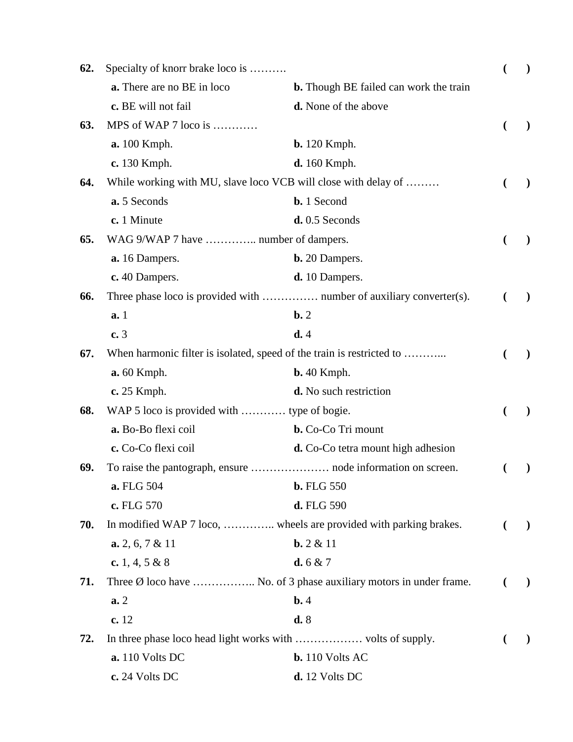| 62. | Specialty of knorr brake loco is                                      |                                                                              |   |                                                                                                           |
|-----|-----------------------------------------------------------------------|------------------------------------------------------------------------------|---|-----------------------------------------------------------------------------------------------------------|
|     | a. There are no BE in loco                                            | <b>b.</b> Though BE failed can work the train                                |   |                                                                                                           |
|     | c. BE will not fail                                                   | <b>d.</b> None of the above                                                  |   |                                                                                                           |
| 63. | MPS of WAP 7 loco is                                                  |                                                                              |   |                                                                                                           |
|     | <b>a.</b> 100 Kmph.                                                   | <b>b.</b> 120 Kmph.                                                          |   |                                                                                                           |
|     | c. 130 Kmph.                                                          | <b>d.</b> 160 Kmph.                                                          |   |                                                                                                           |
| 64. | While working with MU, slave loco VCB will close with delay of        |                                                                              |   | $\mathcal{F}^{\prime}(\mathcal{F}) = \mathcal{F}^{\prime}(\mathcal{F}) \mathcal{F}^{\prime}(\mathcal{F})$ |
|     | a. 5 Seconds                                                          | <b>b.</b> 1 Second                                                           |   |                                                                                                           |
|     | c. 1 Minute                                                           | $d. 0.5$ Seconds                                                             |   |                                                                                                           |
| 65. | WAG 9/WAP 7 have  number of dampers.                                  |                                                                              | € |                                                                                                           |
|     | a. 16 Dampers.                                                        | <b>b.</b> 20 Dampers.                                                        |   |                                                                                                           |
|     | c. 40 Dampers.                                                        | d. 10 Dampers.                                                               |   |                                                                                                           |
| 66. |                                                                       | Three phase loco is provided with  number of auxiliary converter(s).         |   |                                                                                                           |
|     | a.1                                                                   | $\mathbf{b}$ . 2                                                             |   |                                                                                                           |
|     | c.3                                                                   | d.4                                                                          |   |                                                                                                           |
| 67. | When harmonic filter is isolated, speed of the train is restricted to |                                                                              |   |                                                                                                           |
|     | <b>a.</b> 60 Kmph.                                                    | $b. 40$ Kmph.                                                                |   |                                                                                                           |
|     | c. 25 Kmph.                                                           | d. No such restriction                                                       |   |                                                                                                           |
| 68. | WAP 5 loco is provided with  type of bogie.                           |                                                                              |   |                                                                                                           |
|     | a. Bo-Bo flexi coil                                                   | <b>b.</b> Co-Co Tri mount                                                    |   |                                                                                                           |
|     | c. Co-Co flexi coil                                                   | <b>d.</b> Co-Co tetra mount high adhesion                                    |   |                                                                                                           |
| 69. |                                                                       |                                                                              |   |                                                                                                           |
|     | a. FLG 504                                                            | <b>b.</b> FLG 550                                                            |   |                                                                                                           |
|     | c. FLG 570                                                            | d. FLG 590                                                                   |   |                                                                                                           |
| 70. | In modified WAP 7 loco,  wheels are provided with parking brakes.     |                                                                              |   | $\mathcal{L}$                                                                                             |
|     | $a. 2, 6, 7 \& 11$                                                    | $b. 2 & 11$                                                                  |   |                                                                                                           |
|     | c. 1, 4, 5 & 8                                                        | <b>d.</b> 6 & 7                                                              |   |                                                                                                           |
| 71. |                                                                       | Three $\emptyset$ loco have  No. of 3 phase auxiliary motors in under frame. |   | $\mathcal{L}$                                                                                             |
|     | a.2                                                                   | $b$ .4                                                                       |   |                                                                                                           |
|     | c. 12                                                                 | d.8                                                                          |   |                                                                                                           |
| 72. |                                                                       |                                                                              |   |                                                                                                           |
|     | <b>a.</b> 110 Volts DC                                                | $b. 110 Volts AC$                                                            |   |                                                                                                           |
|     | c. 24 Volts DC                                                        | d. 12 Volts DC                                                               |   |                                                                                                           |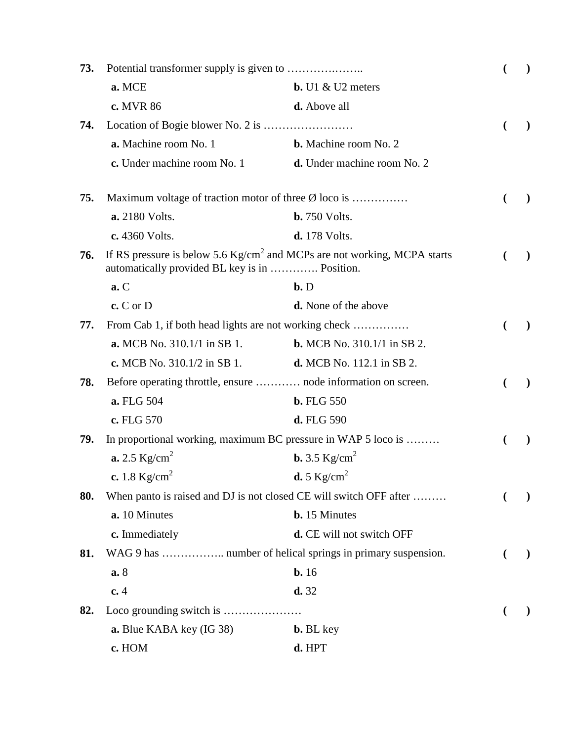| 73. |                                                                |                                                                                    | $\lambda$     |
|-----|----------------------------------------------------------------|------------------------------------------------------------------------------------|---------------|
|     | a. MCE                                                         | $b. U1 &$ U2 meters                                                                |               |
|     | c. MVR 86                                                      | d. Above all                                                                       |               |
| 74. |                                                                |                                                                                    | $\lambda$     |
|     | a. Machine room No. 1                                          | <b>b.</b> Machine room No. 2                                                       |               |
|     | c. Under machine room No. 1                                    | d. Under machine room No. 2                                                        |               |
| 75. | Maximum voltage of traction motor of three $\emptyset$ loco is |                                                                                    |               |
|     | a. 2180 Volts.                                                 | <b>b.</b> 750 Volts.                                                               |               |
|     | c. 4360 Volts.                                                 | <b>d.</b> 178 Volts.                                                               |               |
| 76. | automatically provided BL key is in  Position.                 | If RS pressure is below 5.6 $\text{Kg/cm}^2$ and MCPs are not working, MCPA starts | $\lambda$     |
|     | a.C                                                            | $b$ . $D$                                                                          |               |
|     | $c. C$ or $D$                                                  | <b>d.</b> None of the above                                                        |               |
| 77. | From Cab 1, if both head lights are not working check          |                                                                                    |               |
|     | <b>a.</b> MCB No. 310.1/1 in SB 1.                             | <b>b.</b> MCB No. 310.1/1 in SB 2.                                                 |               |
|     | c. MCB No. $310.1/2$ in SB 1.                                  | <b>d.</b> MCB No. 112.1 in SB 2.                                                   |               |
| 78. | Before operating throttle, ensure  node information on screen. |                                                                                    | $\mathcal{L}$ |
|     | a. FLG 504                                                     | <b>b.</b> FLG 550                                                                  |               |
|     | c. FLG 570                                                     | d. FLG 590                                                                         |               |
| 79. | In proportional working, maximum BC pressure in WAP 5 loco is  |                                                                                    | $\mathcal{E}$ |
|     | <b>a.</b> 2.5 $Kg/cm^2$                                        | <b>b.</b> 3.5 $Kg/cm^2$                                                            |               |
|     | c. 1.8 $Kg/cm^2$                                               | <b>d.</b> 5 $Kg/cm^2$                                                              |               |
| 80. |                                                                | When panto is raised and DJ is not closed CE will switch OFF after                 | $\lambda$     |
|     | a. 10 Minutes                                                  | <b>b.</b> 15 Minutes                                                               |               |
|     | c. Immediately                                                 | d. CE will not switch OFF                                                          |               |
| 81. | WAG 9 has  number of helical springs in primary suspension.    |                                                                                    | $\mathcal{L}$ |
|     | a. 8                                                           | b.16                                                                               |               |
|     | c.4                                                            | d.32                                                                               |               |
| 82. |                                                                |                                                                                    |               |
|     | a. Blue KABA key (IG 38)                                       | <b>b.</b> BL key                                                                   |               |
|     | c. HOM                                                         | d. HPT                                                                             |               |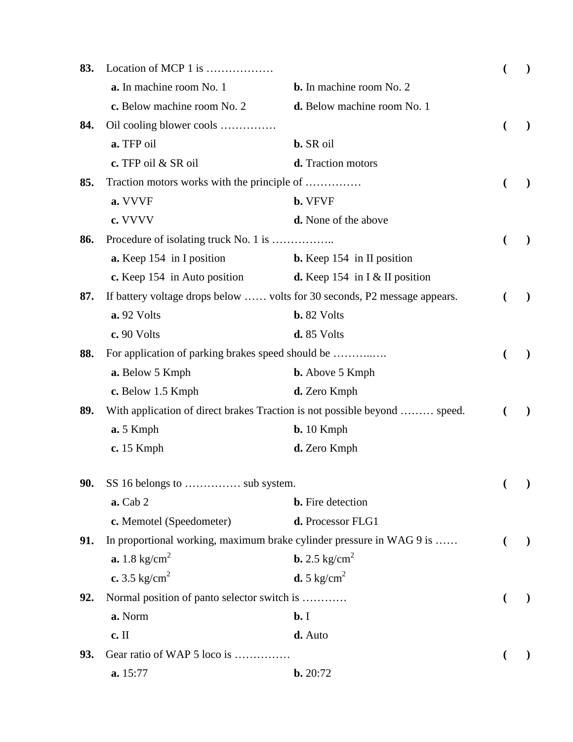| 83. | Location of MCP 1 is                              |                                                                           |                |               |
|-----|---------------------------------------------------|---------------------------------------------------------------------------|----------------|---------------|
|     | a. In machine room No. 1                          | <b>b.</b> In machine room No. 2                                           |                |               |
|     | c. Below machine room No. 2                       | d. Below machine room No. 1                                               |                |               |
| 84. | Oil cooling blower cools                          |                                                                           | $\overline{(}$ |               |
|     | a. TFP oil                                        | <b>b.</b> SR oil                                                          |                |               |
|     | c. TFP oil & SR oil                               | d. Traction motors                                                        |                |               |
| 85. | Traction motors works with the principle of       |                                                                           |                |               |
|     | a. VVVF                                           | <b>b.</b> VFVF                                                            |                |               |
|     | c. VVVV                                           | d. None of the above                                                      |                |               |
| 86. |                                                   |                                                                           |                |               |
|     | a. Keep 154 in I position                         | <b>b.</b> Keep 154 in II position                                         |                |               |
|     | c. Keep 154 in Auto position                      | <b>d.</b> Keep 154 in $\lceil \sqrt{a} \rceil$ II position                |                |               |
| 87. |                                                   | If battery voltage drops below  volts for 30 seconds, P2 message appears. |                |               |
|     | a. 92 Volts                                       | <b>b.</b> 82 Volts                                                        |                |               |
|     | c. 90 Volts                                       | d. 85 Volts                                                               |                |               |
| 88. | For application of parking brakes speed should be |                                                                           |                |               |
|     | a. Below 5 Kmph                                   | <b>b.</b> Above 5 Kmph                                                    |                |               |
|     | c. Below 1.5 Kmph                                 | d. Zero Kmph                                                              |                |               |
| 89. |                                                   | With application of direct brakes Traction is not possible beyond  speed. |                |               |
|     | a. 5 Kmph                                         | $b. 10$ Kmph                                                              |                |               |
|     | $c. 15$ Kmph                                      | d. Zero Kmph                                                              |                |               |
| 90. |                                                   |                                                                           |                |               |
|     | <b>a.</b> Cab 2                                   | <b>b.</b> Fire detection                                                  |                |               |
|     | c. Memotel (Speedometer)                          | d. Processor FLG1                                                         |                |               |
| 91. |                                                   | In proportional working, maximum brake cylinder pressure in WAG 9 is      |                | $\mathcal{L}$ |
|     | <b>a.</b> 1.8 kg/cm <sup>2</sup>                  | <b>b.</b> 2.5 kg/cm <sup>2</sup>                                          |                |               |
|     | c. 3.5 kg/cm <sup>2</sup>                         | <b>d.</b> 5 kg/cm <sup>2</sup>                                            |                |               |
| 92. | Normal position of panto selector switch is       |                                                                           |                |               |
|     | a. Norm                                           | $b$ . I                                                                   |                |               |
|     | c. II                                             | d. Auto                                                                   |                |               |
| 93. | Gear ratio of WAP 5 loco is                       |                                                                           |                |               |
|     | a. 15:77                                          | b. 20:72                                                                  |                |               |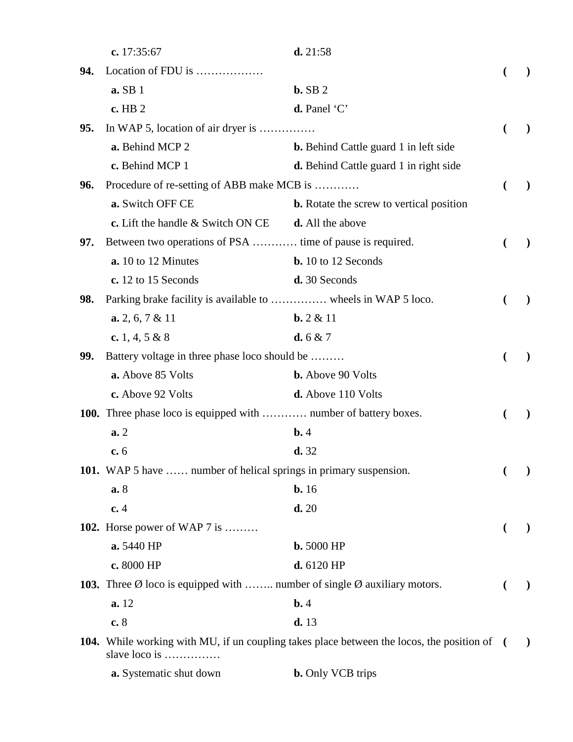|     | c. 17:35:67                                                                                  | d. 21:58                                                                                           |              |
|-----|----------------------------------------------------------------------------------------------|----------------------------------------------------------------------------------------------------|--------------|
| 94. | Location of FDU is                                                                           |                                                                                                    |              |
|     | a. SB 1                                                                                      | $b.$ SB $2$                                                                                        |              |
|     | c. HB 2                                                                                      | d. Panel 'C'                                                                                       |              |
| 95. | In WAP 5, location of air dryer is                                                           |                                                                                                    |              |
|     | a. Behind MCP 2                                                                              | <b>b.</b> Behind Cattle guard 1 in left side                                                       |              |
|     | c. Behind MCP 1                                                                              | <b>d.</b> Behind Cattle guard 1 in right side                                                      |              |
| 96. | Procedure of re-setting of ABB make MCB is                                                   |                                                                                                    | $\lambda$    |
|     | a. Switch OFF CE                                                                             | <b>b.</b> Rotate the screw to vertical position                                                    |              |
|     | c. Lift the handle & Switch ON CE                                                            | d. All the above                                                                                   |              |
| 97. | Between two operations of PSA  time of pause is required.                                    |                                                                                                    |              |
|     | a. 10 to 12 Minutes                                                                          | <b>b.</b> 10 to 12 Seconds                                                                         |              |
|     | c. 12 to 15 Seconds                                                                          | d. 30 Seconds                                                                                      |              |
| 98. | Parking brake facility is available to  wheels in WAP 5 loco.                                |                                                                                                    | $\lambda$    |
|     | $a. 2, 6, 7 \& 11$                                                                           | $b. 2 & 11$                                                                                        |              |
|     | c. 1, 4, 5 & 8                                                                               | d. 6 & 7                                                                                           |              |
| 99. | Battery voltage in three phase loco should be                                                |                                                                                                    |              |
|     | a. Above 85 Volts                                                                            | <b>b.</b> Above 90 Volts                                                                           |              |
|     | c. Above 92 Volts                                                                            | d. Above 110 Volts                                                                                 |              |
|     | 100. Three phase loco is equipped with  number of battery boxes.                             |                                                                                                    |              |
|     | a.2                                                                                          | $\mathbf{b.4}$                                                                                     |              |
|     | c.6                                                                                          | d.32                                                                                               |              |
|     | 101. WAP 5 have  number of helical springs in primary suspension.                            |                                                                                                    |              |
|     | a.8                                                                                          | $b. 16$                                                                                            |              |
|     | c.4                                                                                          | d.20                                                                                               |              |
|     | 102. Horse power of WAP 7 is                                                                 |                                                                                                    |              |
|     | a. 5440 HP                                                                                   | <b>b.</b> 5000 HP                                                                                  |              |
|     | c. 8000 HP                                                                                   | d. 6120 HP                                                                                         |              |
|     | 103. Three $\emptyset$ loco is equipped with  number of single $\emptyset$ auxiliary motors. |                                                                                                    | $\mathbf{I}$ |
|     | a. 12                                                                                        | $b$ .4                                                                                             |              |
|     | c. 8                                                                                         | d.13                                                                                               |              |
|     | slave loco is                                                                                | <b>104.</b> While working with MU, if un coupling takes place between the locos, the position of ( | $\lambda$    |

**a.** Systematic shut down **b.** Only VCB trips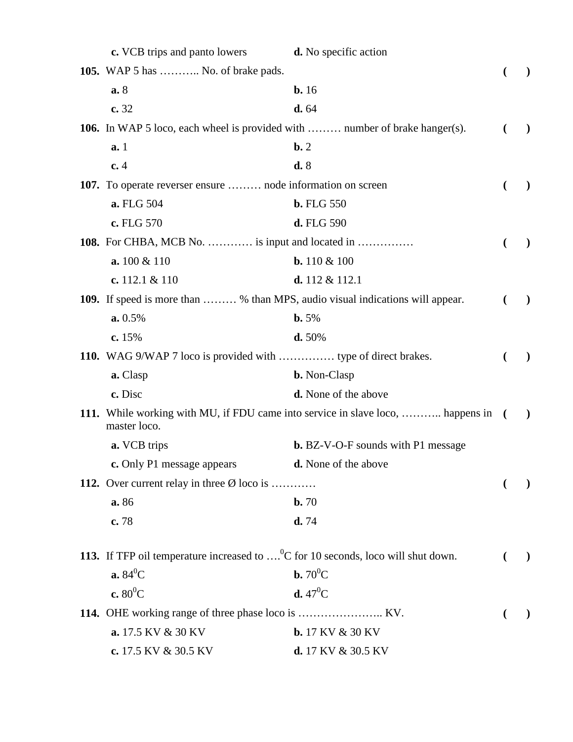| <b>c.</b> VCB trips and panto lowers                                                                 | <b>d.</b> No specific action                                                      |   |               |
|------------------------------------------------------------------------------------------------------|-----------------------------------------------------------------------------------|---|---------------|
| <b>105.</b> WAP 5 has  No. of brake pads.                                                            |                                                                                   |   |               |
| a.8                                                                                                  | b.16                                                                              |   |               |
| c. 32                                                                                                | d. 64                                                                             |   |               |
| 106. In WAP 5 loco, each wheel is provided with  number of brake hanger(s).                          |                                                                                   |   | $\lambda$     |
| a.1                                                                                                  | $\mathbf{b}$ . 2                                                                  |   |               |
| c.4                                                                                                  | d.8                                                                               |   |               |
| 107. To operate reverser ensure  node information on screen                                          |                                                                                   | € |               |
| a. FLG 504                                                                                           | <b>b.</b> FLG 550                                                                 |   |               |
| c. FLG 570                                                                                           | d. FLG 590                                                                        |   |               |
| <b>108.</b> For CHBA, MCB No.  is input and located in                                               |                                                                                   | € |               |
| a. 100 & 110                                                                                         | <b>b.</b> 110 $\&$ 100                                                            |   |               |
| c. $112.1 & 110$                                                                                     | d. $112 & 112.1$                                                                  |   |               |
| 109. If speed is more than  % than MPS, audio visual indications will appear.                        |                                                                                   | € | $\mathcal{L}$ |
| a. 0.5%                                                                                              | $b. 5%$                                                                           |   |               |
| c. $15%$                                                                                             | d.50%                                                                             |   |               |
| 110. WAG 9/WAP 7 loco is provided with  type of direct brakes.                                       |                                                                                   | € | $\lambda$     |
| a. Clasp                                                                                             | <b>b.</b> Non-Clasp                                                               |   |               |
| c. Disc                                                                                              | d. None of the above                                                              |   |               |
| master loco.                                                                                         | 111. While working with MU, if FDU came into service in slave loco,  happens in ( |   | $\lambda$     |
| a. VCB trips                                                                                         | <b>b.</b> BZ-V-O-F sounds with P1 message                                         |   |               |
| c. Only P1 message appears                                                                           | <b>d.</b> None of the above                                                       |   |               |
| 112. Over current relay in three $\emptyset$ loco is                                                 |                                                                                   |   |               |
| a. 86                                                                                                | b.70                                                                              |   |               |
| c.78                                                                                                 | d.74                                                                              |   |               |
| 113. If TFP oil temperature increased to $\dots$ <sup>0</sup> C for 10 seconds, loco will shut down. |                                                                                   |   |               |
| $a.84^0C$                                                                                            | <b>b.</b> $70^0C$                                                                 |   |               |
| c. $80^0C$                                                                                           | <b>d.</b> $47^{\circ}$ C                                                          |   |               |
|                                                                                                      |                                                                                   |   |               |
| a. 17.5 KV & 30 KV                                                                                   | <b>b.</b> 17 KV & 30 KV                                                           |   |               |
| c. 17.5 KV & 30.5 KV                                                                                 | d. 17 KV & 30.5 KV                                                                |   |               |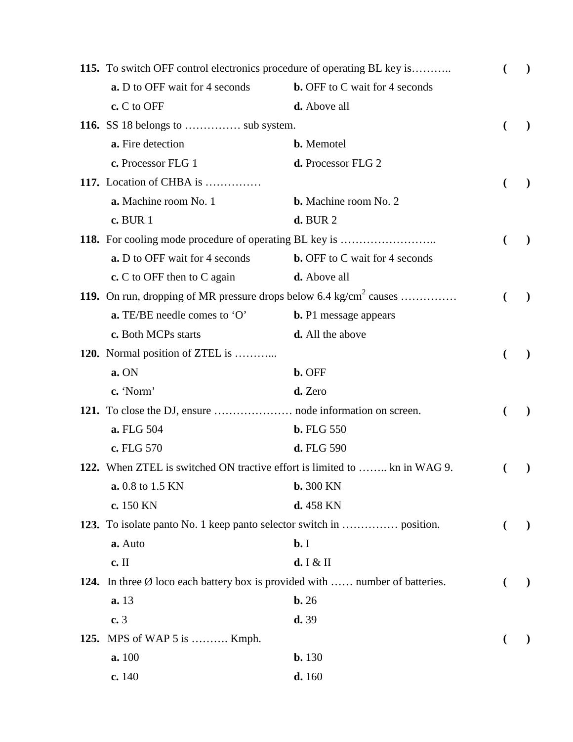|      | 115. To switch OFF control electronics procedure of operating BL key is                |                                       |  | $\lambda$     |
|------|----------------------------------------------------------------------------------------|---------------------------------------|--|---------------|
|      | <b>a.</b> D to OFF wait for 4 seconds                                                  | <b>b.</b> OFF to C wait for 4 seconds |  |               |
|      | c. C to OFF                                                                            | d. Above all                          |  |               |
|      | 116. SS 18 belongs to  sub system.                                                     |                                       |  |               |
|      | a. Fire detection                                                                      | <b>b.</b> Memotel                     |  |               |
|      | c. Processor FLG 1                                                                     | d. Processor FLG 2                    |  |               |
|      | 117. Location of CHBA is                                                               |                                       |  |               |
|      | a. Machine room No. 1                                                                  | <b>b.</b> Machine room No. 2          |  |               |
|      | <b>c.</b> BUR 1                                                                        | $d.$ BUR $2$                          |  |               |
|      |                                                                                        |                                       |  |               |
|      | <b>a.</b> D to OFF wait for 4 seconds                                                  | <b>b.</b> OFF to C wait for 4 seconds |  |               |
|      | $c$ . C to OFF then to C again                                                         | <b>d.</b> Above all                   |  |               |
|      | 119. On run, dropping of MR pressure drops below 6.4 $\text{kg/cm}^2$ causes           |                                       |  |               |
|      | <b>a.</b> TE/BE needle comes to $'O'$                                                  | <b>b.</b> P1 message appears          |  |               |
|      | c. Both MCPs starts                                                                    | d. All the above                      |  |               |
|      | <b>120.</b> Normal position of ZTEL is                                                 |                                       |  |               |
|      | a. ON                                                                                  | b. OFF                                |  |               |
|      | c. 'Norm'                                                                              | d. Zero                               |  |               |
|      |                                                                                        |                                       |  |               |
|      | a. FLG 504                                                                             | <b>b.</b> FLG 550                     |  |               |
|      | c. FLG 570                                                                             | d. FLG 590                            |  |               |
|      | 122. When ZTEL is switched ON tractive effort is limited to  kn in WAG 9.              |                                       |  |               |
|      | a. 0.8 to 1.5 KN                                                                       | <b>b.</b> 300 KN                      |  |               |
|      | c. 150 KN                                                                              | $d.458$ KN                            |  |               |
|      |                                                                                        |                                       |  | $\mathcal{L}$ |
|      | a. Auto                                                                                | $b$ . I                               |  |               |
|      | c. II                                                                                  | d. I $&$ II                           |  |               |
|      | 124. In three $\emptyset$ loco each battery box is provided with  number of batteries. |                                       |  |               |
|      | a.13                                                                                   | $\mathbf{b.}26$                       |  |               |
|      | c.3                                                                                    | d.39                                  |  |               |
| 125. | MPS of WAP 5 is  Kmph.                                                                 |                                       |  |               |
|      | a. 100                                                                                 | $b. 130$                              |  |               |
|      | c.140                                                                                  | d.160                                 |  |               |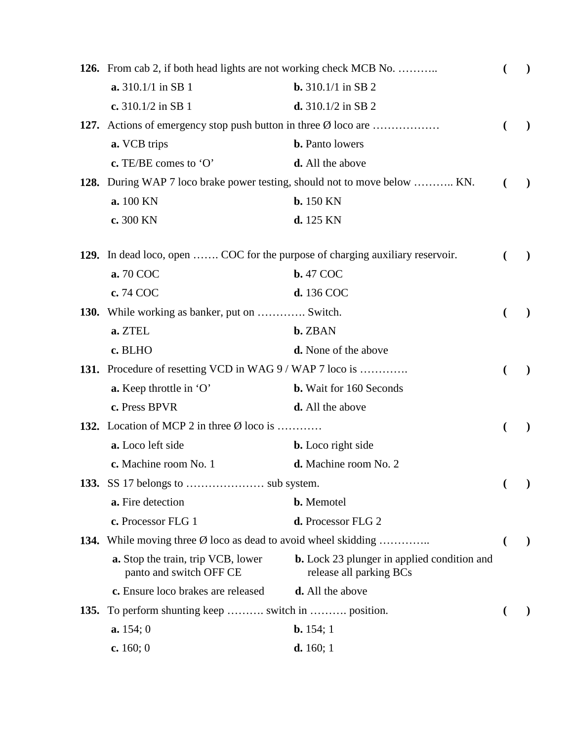| 126. From cab 2, if both head lights are not working check MCB No.<br>€         |                                                                               |   | $\mathcal{L}$ |
|---------------------------------------------------------------------------------|-------------------------------------------------------------------------------|---|---------------|
| <b>a.</b> 310.1/1 in SB 1                                                       | <b>b.</b> 310.1/1 in SB 2                                                     |   |               |
| c. 310.1/2 in SB 1                                                              | d. $310.1/2$ in SB 2                                                          |   |               |
| 127. Actions of emergency stop push button in three Ø loco are                  |                                                                               | € | $\lambda$     |
| a. VCB trips                                                                    | <b>b.</b> Panto lowers                                                        |   |               |
| c. TE/BE comes to $'O'$                                                         | d. All the above                                                              |   |               |
|                                                                                 | 128. During WAP 7 loco brake power testing, should not to move below  KN.     | € | $\lambda$     |
| a. 100 KN                                                                       | <b>b.</b> 150 KN                                                              |   |               |
| c. 300 KN                                                                       | d. 125 KN                                                                     |   |               |
| 129. In dead loco, open  COC for the purpose of charging auxiliary reservoir.   |                                                                               |   | $\lambda$     |
| a. 70 COC                                                                       | <b>b.</b> 47 COC                                                              |   |               |
| c. 74 COC                                                                       | d. 136 COC                                                                    |   |               |
| <b>130.</b> While working as banker, put on  Switch.                            |                                                                               |   | $\lambda$     |
| a. ZTEL                                                                         | <b>b.</b> ZBAN                                                                |   |               |
| c. BLHO                                                                         | <b>d.</b> None of the above                                                   |   |               |
| 131. Procedure of resetting VCD in WAG 9 / WAP 7 loco is                        |                                                                               |   |               |
| a. Keep throttle in 'O'                                                         | <b>b.</b> Wait for 160 Seconds                                                |   |               |
| c. Press BPVR                                                                   | <b>d.</b> All the above                                                       |   |               |
| 132. Location of MCP 2 in three $\emptyset$ loco is                             |                                                                               |   |               |
| a. Loco left side                                                               | <b>b.</b> Loco right side                                                     |   |               |
| c. Machine room No. 1                                                           | d. Machine room No. 2                                                         |   |               |
|                                                                                 |                                                                               |   |               |
| a. Fire detection                                                               | <b>b.</b> Memotel                                                             |   |               |
| c. Processor FLG 1                                                              | d. Processor FLG 2                                                            |   |               |
| <b>134.</b> While moving three $\emptyset$ loco as dead to avoid wheel skidding |                                                                               | € | $\mathcal{Y}$ |
| <b>a.</b> Stop the train, trip VCB, lower<br>panto and switch OFF CE            | <b>b.</b> Lock 23 plunger in applied condition and<br>release all parking BCs |   |               |
| c. Ensure loco brakes are released                                              | <b>d.</b> All the above                                                       |   |               |
| <b>135.</b> To perform shunting keep  switch in  position.                      |                                                                               |   |               |
| a. 154; 0                                                                       | <b>b.</b> 154; 1                                                              |   |               |
| c. $160; 0$                                                                     | <b>d.</b> 160; 1                                                              |   |               |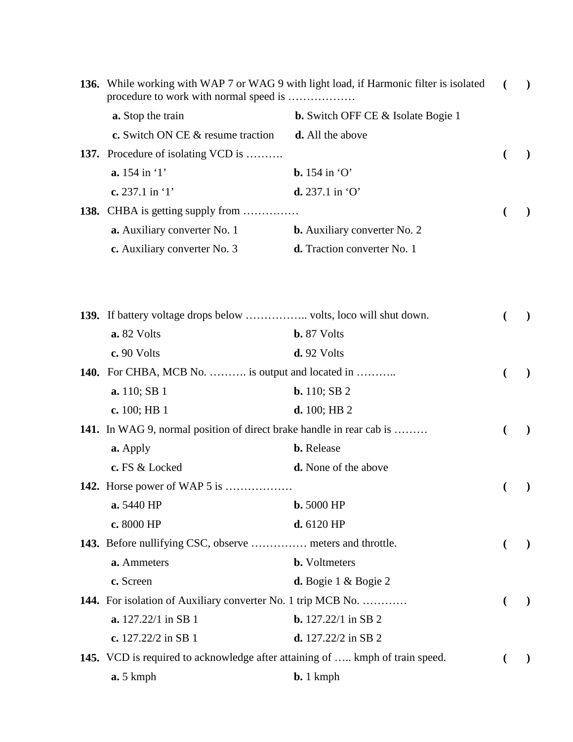|             | 136. While working with WAP 7 or WAG 9 with light load, if Harmonic filter is isolated<br>procedure to work with normal speed is |                                           | $\lambda$ |
|-------------|----------------------------------------------------------------------------------------------------------------------------------|-------------------------------------------|-----------|
|             | a. Stop the train                                                                                                                | <b>b.</b> Switch OFF CE & Isolate Bogie 1 |           |
|             | c. Switch ON CE & resume traction                                                                                                | <b>d.</b> All the above                   |           |
|             | <b>137.</b> Procedure of isolating VCD is                                                                                        |                                           |           |
|             | a. 154 in '1'                                                                                                                    | $\mathbf{b}$ . 154 in 'O'                 |           |
|             | c. 237.1 in $1$                                                                                                                  | $d. 237.1$ in 'O'                         |           |
| <b>138.</b> | CHBA is getting supply from                                                                                                      |                                           | $\lambda$ |
|             | a. Auxiliary converter No. 1                                                                                                     | <b>b.</b> Auxiliary converter No. 2       |           |
|             | c. Auxiliary converter No. 3                                                                                                     | <b>d.</b> Traction converter No. 1        |           |
|             |                                                                                                                                  |                                           |           |
|             |                                                                                                                                  |                                           |           |
|             | a. 82 Volts                                                                                                                      | <b>b.</b> 87 Volts                        |           |
|             | c. 90 Volts                                                                                                                      | $d.92$ Volts                              |           |
|             | <b>140.</b> For CHBA, MCB No.  is output and located in                                                                          |                                           |           |
|             | <b>a.</b> 110; SB 1                                                                                                              | <b>b.</b> 110; SB $2$                     |           |
|             | c. $100;$ HB 1                                                                                                                   | d. 100; HB2                               |           |
|             | 141. In WAG 9, normal position of direct brake handle in rear cab is                                                             |                                           | $\lambda$ |
|             | a. Apply                                                                                                                         | <b>b.</b> Release                         |           |
|             | c. FS & Locked                                                                                                                   | <b>d.</b> None of the above               |           |
|             | <b>142.</b> Horse power of WAP 5 is                                                                                              |                                           |           |
|             | a. 5440 HP                                                                                                                       | <b>b.</b> 5000 HP                         |           |
|             | c. 8000 HP                                                                                                                       | d. 6120 HP                                |           |
|             | 143. Before nullifying CSC, observe  meters and throttle.                                                                        |                                           |           |
|             | a. Ammeters                                                                                                                      | <b>b.</b> Voltmeters                      |           |
|             | c. Screen                                                                                                                        | <b>d.</b> Bogie $1 \&$ Bogie $2$          |           |
|             | <b>144.</b> For isolation of Auxiliary converter No. 1 trip MCB No.                                                              |                                           |           |
|             | <b>a.</b> 127.22/1 in SB 1                                                                                                       | <b>b.</b> $127.22/1$ in SB 2              |           |
|             | c. $127.22/2$ in SB 1                                                                                                            | <b>d.</b> $127.22/2$ in SB 2              |           |
|             | 145. VCD is required to acknowledge after attaining of  kmph of train speed.                                                     |                                           |           |
|             | $a.5$ kmph                                                                                                                       | $b. 1 kmph$                               |           |
|             |                                                                                                                                  |                                           |           |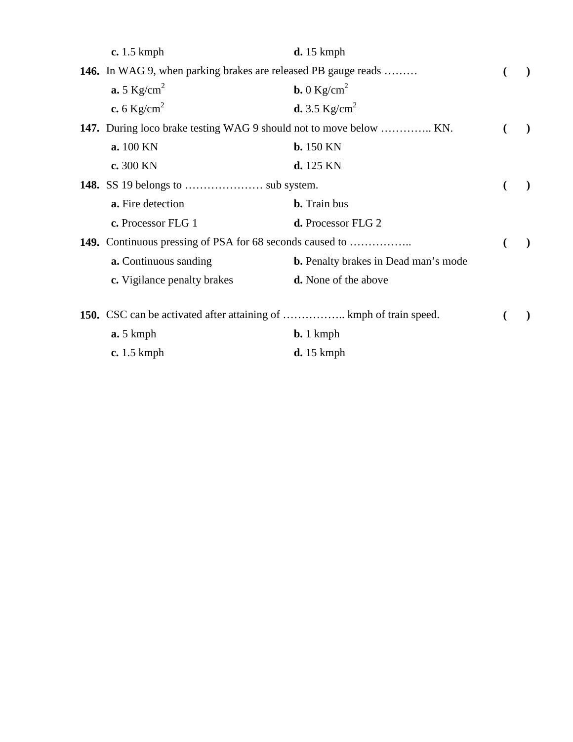| $c. 1.5$ kmph                                                             | $d. 15$ kmph                                |           |
|---------------------------------------------------------------------------|---------------------------------------------|-----------|
| <b>146.</b> In WAG 9, when parking brakes are released PB gauge reads     |                                             |           |
| $\mathbf{a.5}$ Kg/cm <sup>2</sup>                                         | <b>b.</b> 0 $\text{Kg/cm}^2$                |           |
| c. 6 $Kg/cm^2$                                                            | <b>d.</b> 3.5 $Kg/cm^2$                     |           |
| <b>147.</b> During loco brake testing WAG 9 should not to move below  KN. |                                             | $\lambda$ |
| a. 100 KN                                                                 | $b.150$ KN                                  |           |
| c. 300 KN                                                                 | d. 125 KN                                   |           |
|                                                                           |                                             |           |
| a. Fire detection                                                         | <b>b.</b> Train bus                         |           |
| c. Processor FLG 1                                                        | d. Processor FLG 2                          |           |
| 149. Continuous pressing of PSA for 68 seconds caused to                  |                                             |           |
| <b>a.</b> Continuous sanding                                              | <b>b.</b> Penalty brakes in Dead man's mode |           |
| c. Vigilance penalty brakes                                               | <b>d.</b> None of the above                 |           |
|                                                                           |                                             |           |
| a.5 kmph                                                                  | $\mathbf{b.}$ 1 kmph                        |           |
| $c. 1.5$ kmph                                                             | $d. 15$ kmph                                |           |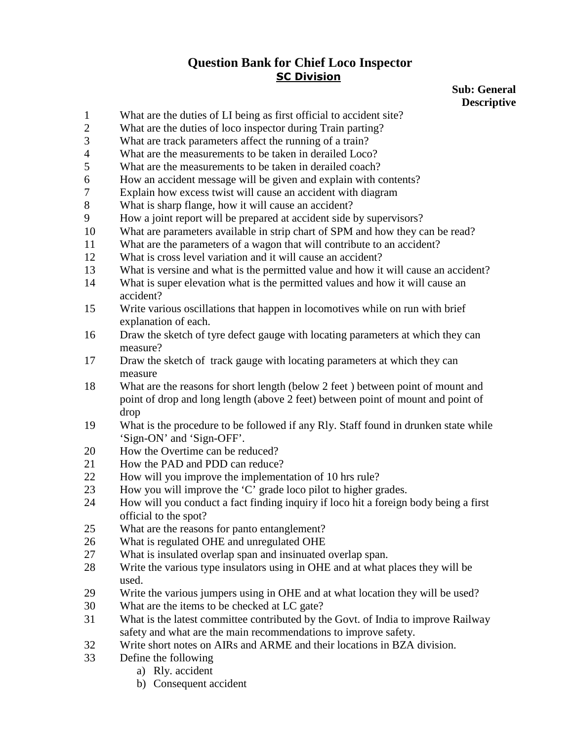### **Sub: General Descriptive**

- 1 What are the duties of LI being as first official to accident site?
- 2 What are the duties of loco inspector during Train parting?
- 3 What are track parameters affect the running of a train?
- 4 What are the measurements to be taken in derailed Loco?
- 5 What are the measurements to be taken in derailed coach?
- 6 How an accident message will be given and explain with contents?
- 7 Explain how excess twist will cause an accident with diagram
- 8 What is sharp flange, how it will cause an accident?
- 9 How a joint report will be prepared at accident side by supervisors?
- 10 What are parameters available in strip chart of SPM and how they can be read?
- 11 What are the parameters of a wagon that will contribute to an accident?
- 12 What is cross level variation and it will cause an accident?
- 13 What is versine and what is the permitted value and how it will cause an accident?
- 14 What is super elevation what is the permitted values and how it will cause an accident?
- 15 Write various oscillations that happen in locomotives while on run with brief explanation of each.
- 16 Draw the sketch of tyre defect gauge with locating parameters at which they can measure?
- 17 Draw the sketch of track gauge with locating parameters at which they can measure
- 18 What are the reasons for short length (below 2 feet ) between point of mount and point of drop and long length (above 2 feet) between point of mount and point of drop
- 19 What is the procedure to be followed if any Rly. Staff found in drunken state while 'Sign-ON' and 'Sign-OFF'.
- 20 How the Overtime can be reduced?
- 21 How the PAD and PDD can reduce?
- 22 How will you improve the implementation of 10 hrs rule?
- 23 How you will improve the 'C' grade loco pilot to higher grades.
- 24 How will you conduct a fact finding inquiry if loco hit a foreign body being a first official to the spot?
- 25 What are the reasons for panto entanglement?
- 26 What is regulated OHE and unregulated OHE
- 27 What is insulated overlap span and insinuated overlap span.
- 28 Write the various type insulators using in OHE and at what places they will be used.
- 29 Write the various jumpers using in OHE and at what location they will be used?
- 30 What are the items to be checked at LC gate?
- 31 What is the latest committee contributed by the Govt. of India to improve Railway safety and what are the main recommendations to improve safety.
- 32 Write short notes on AIRs and ARME and their locations in BZA division.
- 33 Define the following
	- a) Rly. accident
	- b) Consequent accident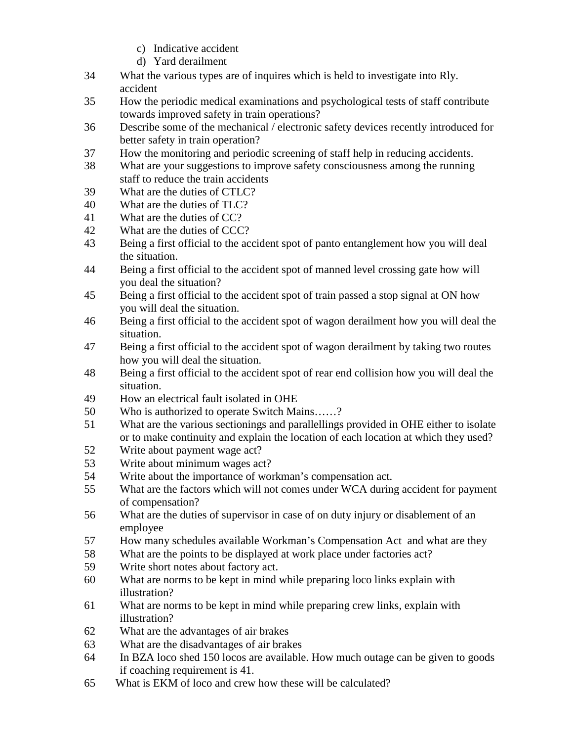- c) Indicative accident
- d) Yard derailment
- 34 What the various types are of inquires which is held to investigate into Rly. accident
- 35 How the periodic medical examinations and psychological tests of staff contribute towards improved safety in train operations?
- 36 Describe some of the mechanical / electronic safety devices recently introduced for better safety in train operation?
- 37 How the monitoring and periodic screening of staff help in reducing accidents.
- 38 What are your suggestions to improve safety consciousness among the running staff to reduce the train accidents
- 39 What are the duties of CTLC?
- 40 What are the duties of TLC?
- 41 What are the duties of CC?
- 42 What are the duties of CCC?
- 43 Being a first official to the accident spot of panto entanglement how you will deal the situation.
- 44 Being a first official to the accident spot of manned level crossing gate how will you deal the situation?
- 45 Being a first official to the accident spot of train passed a stop signal at ON how you will deal the situation.
- 46 Being a first official to the accident spot of wagon derailment how you will deal the situation.
- 47 Being a first official to the accident spot of wagon derailment by taking two routes how you will deal the situation.
- 48 Being a first official to the accident spot of rear end collision how you will deal the situation.
- 49 How an electrical fault isolated in OHE
- 50 Who is authorized to operate Switch Mains……?
- 51 What are the various sectionings and parallellings provided in OHE either to isolate or to make continuity and explain the location of each location at which they used?
- 52 Write about payment wage act?
- 53 Write about minimum wages act?
- 54 Write about the importance of workman's compensation act.
- 55 What are the factors which will not comes under WCA during accident for payment of compensation?
- 56 What are the duties of supervisor in case of on duty injury or disablement of an employee
- 57 How many schedules available Workman's Compensation Act and what are they
- 58 What are the points to be displayed at work place under factories act?
- 59 Write short notes about factory act.
- 60 What are norms to be kept in mind while preparing loco links explain with illustration?
- 61 What are norms to be kept in mind while preparing crew links, explain with illustration?
- 62 What are the advantages of air brakes
- 63 What are the disadvantages of air brakes
- 64 In BZA loco shed 150 locos are available. How much outage can be given to goods if coaching requirement is 41.
- 65 What is EKM of loco and crew how these will be calculated?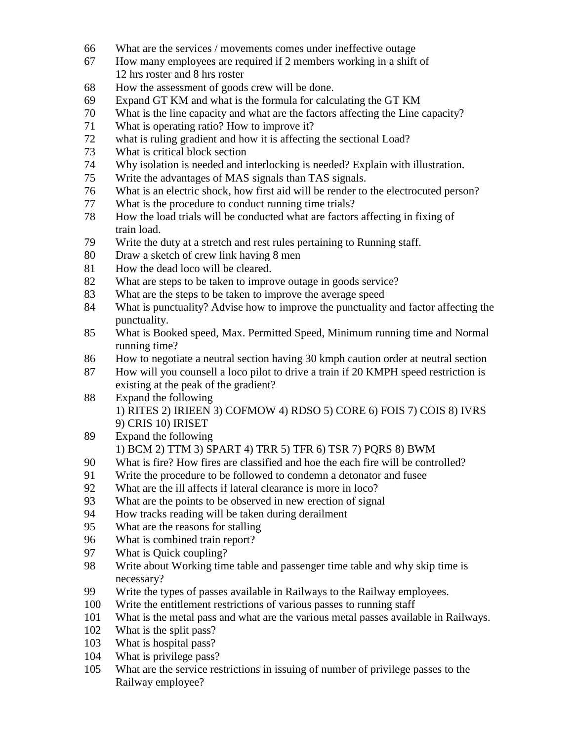- 66 What are the services / movements comes under ineffective outage
- 67 How many employees are required if 2 members working in a shift of 12 hrs roster and 8 hrs roster
- 68 How the assessment of goods crew will be done.
- 69 Expand GT KM and what is the formula for calculating the GT KM
- 70 What is the line capacity and what are the factors affecting the Line capacity?
- 71 What is operating ratio? How to improve it?
- 72 what is ruling gradient and how it is affecting the sectional Load?
- 73 What is critical block section
- 74 Why isolation is needed and interlocking is needed? Explain with illustration.
- 75 Write the advantages of MAS signals than TAS signals.
- 76 What is an electric shock, how first aid will be render to the electrocuted person?
- 77 What is the procedure to conduct running time trials?
- 78 How the load trials will be conducted what are factors affecting in fixing of train load.
- 79 Write the duty at a stretch and rest rules pertaining to Running staff.
- 80 Draw a sketch of crew link having 8 men
- 81 How the dead loco will be cleared.
- 82 What are steps to be taken to improve outage in goods service?
- 83 What are the steps to be taken to improve the average speed
- 84 What is punctuality? Advise how to improve the punctuality and factor affecting the punctuality.
- 85 What is Booked speed, Max. Permitted Speed, Minimum running time and Normal running time?
- 86 How to negotiate a neutral section having 30 kmph caution order at neutral section
- 87 How will you counsell a loco pilot to drive a train if 20 KMPH speed restriction is existing at the peak of the gradient?
- 88 Expand the following 1) RITES 2) IRIEEN 3) COFMOW 4) RDSO 5) CORE 6) FOIS 7) COIS 8) IVRS 9) CRIS 10) IRISET
- 89 Expand the following 1) BCM 2) TTM 3) SPART 4) TRR 5) TFR 6) TSR 7) PQRS 8) BWM
- 90 What is fire? How fires are classified and hoe the each fire will be controlled?
- 91 Write the procedure to be followed to condemn a detonator and fusee
- 92 What are the ill affects if lateral clearance is more in loco?
- 93 What are the points to be observed in new erection of signal
- 94 How tracks reading will be taken during derailment
- 95 What are the reasons for stalling
- 96 What is combined train report?
- 97 What is Quick coupling?
- 98 Write about Working time table and passenger time table and why skip time is necessary?
- 99 Write the types of passes available in Railways to the Railway employees.
- 100 Write the entitlement restrictions of various passes to running staff
- 101 What is the metal pass and what are the various metal passes available in Railways.
- 102 What is the split pass?
- 103 What is hospital pass?
- 104 What is privilege pass?
- 105 What are the service restrictions in issuing of number of privilege passes to the Railway employee?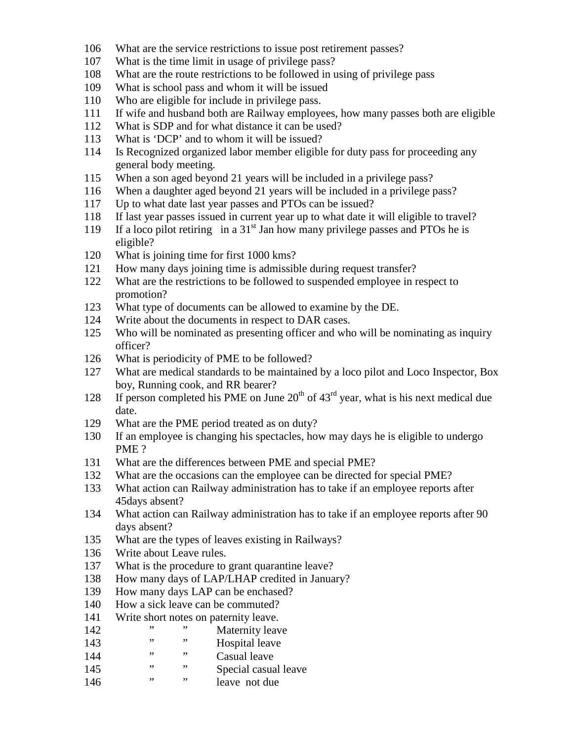- 106 What are the service restrictions to issue post retirement passes?
- 107 What is the time limit in usage of privilege pass?
- 108 What are the route restrictions to be followed in using of privilege pass
- 109 What is school pass and whom it will be issued
- 110 Who are eligible for include in privilege pass.
- 111 If wife and husband both are Railway employees, how many passes both are eligible
- 112 What is SDP and for what distance it can be used?
- 113 What is 'DCP' and to whom it will be issued?
- 114 Is Recognized organized labor member eligible for duty pass for proceeding any general body meeting.
- 115 When a son aged beyond 21 years will be included in a privilege pass?
- 116 When a daughter aged beyond 21 years will be included in a privilege pass?
- 117 Up to what date last year passes and PTOs can be issued?
- 118 If last year passes issued in current year up to what date it will eligible to travel?
- 119 If a loco pilot retiring in a  $31<sup>st</sup>$  Jan how many privilege passes and PTOs he is eligible?
- 120 What is joining time for first 1000 kms?
- 121 How many days joining time is admissible during request transfer?
- 122 What are the restrictions to be followed to suspended employee in respect to promotion?
- 123 What type of documents can be allowed to examine by the DE.
- 124 Write about the documents in respect to DAR cases.
- 125 Who will be nominated as presenting officer and who will be nominating as inquiry officer?
- 126 What is periodicity of PME to be followed?
- 127 What are medical standards to be maintained by a loco pilot and Loco Inspector, Box boy, Running cook, and RR bearer?
- 128 If person completed his PME on June  $20<sup>th</sup>$  of  $43<sup>rd</sup>$  year, what is his next medical due date.
- 129 What are the PME period treated as on duty?
- 130 If an employee is changing his spectacles, how may days he is eligible to undergo PME ?
- 131 What are the differences between PME and special PME?
- 132 What are the occasions can the employee can be directed for special PME?
- 133 What action can Railway administration has to take if an employee reports after 45days absent?
- 134 What action can Railway administration has to take if an employee reports after 90 days absent?
- 135 What are the types of leaves existing in Railways?
- 136 Write about Leave rules.
- 137 What is the procedure to grant quarantine leave?
- 138 How many days of LAP/LHAP credited in January?
- 139 How many days LAP can be enchased?
- 140 How a sick leave can be commuted?
- 141 Write short notes on paternity leave.<br>  $\frac{142}{142}$   $\frac{142}{142}$
- 142 " " Maternity leave
- 143 " " Hospital leave
- 144 " " Casual leave
- 145 " " Special casual leave
- 146 " " leave not due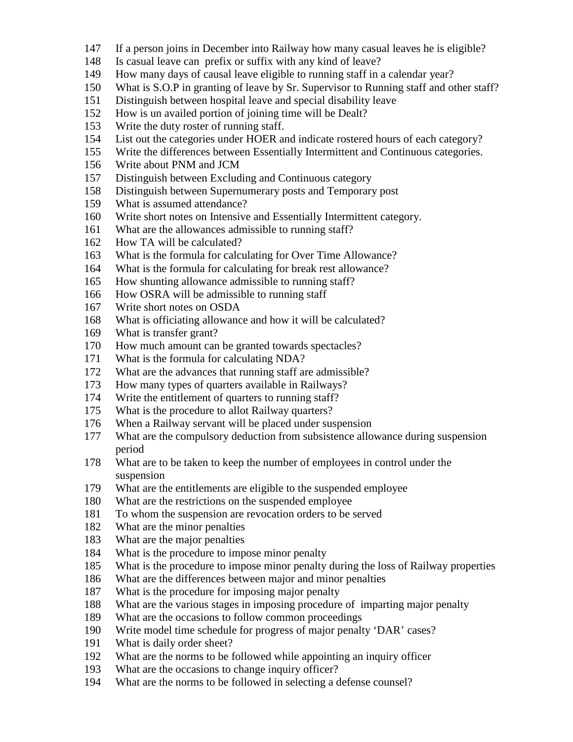- 147 If a person joins in December into Railway how many casual leaves he is eligible?
- 148 Is casual leave can prefix or suffix with any kind of leave?
- 149 How many days of causal leave eligible to running staff in a calendar year?
- 150 What is S.O.P in granting of leave by Sr. Supervisor to Running staff and other staff?
- 151 Distinguish between hospital leave and special disability leave
- 152 How is un availed portion of joining time will be Dealt?
- 153 Write the duty roster of running staff.
- 154 List out the categories under HOER and indicate rostered hours of each category?
- 155 Write the differences between Essentially Intermittent and Continuous categories.
- 156 Write about PNM and JCM
- 157 Distinguish between Excluding and Continuous category
- 158 Distinguish between Supernumerary posts and Temporary post
- 159 What is assumed attendance?
- 160 Write short notes on Intensive and Essentially Intermittent category.
- 161 What are the allowances admissible to running staff?
- 162 How TA will be calculated?
- 163 What is the formula for calculating for Over Time Allowance?
- 164 What is the formula for calculating for break rest allowance?
- 165 How shunting allowance admissible to running staff?
- 166 How OSRA will be admissible to running staff
- 167 Write short notes on OSDA
- 168 What is officiating allowance and how it will be calculated?
- 169 What is transfer grant?
- 170 How much amount can be granted towards spectacles?
- 171 What is the formula for calculating NDA?
- 172 What are the advances that running staff are admissible?
- 173 How many types of quarters available in Railways?
- 174 Write the entitlement of quarters to running staff?
- 175 What is the procedure to allot Railway quarters?
- 176 When a Railway servant will be placed under suspension
- 177 What are the compulsory deduction from subsistence allowance during suspension period
- 178 What are to be taken to keep the number of employees in control under the suspension
- 179 What are the entitlements are eligible to the suspended employee
- 180 What are the restrictions on the suspended employee
- 181 To whom the suspension are revocation orders to be served
- 182 What are the minor penalties
- 183 What are the major penalties
- 184 What is the procedure to impose minor penalty
- 185 What is the procedure to impose minor penalty during the loss of Railway properties
- 186 What are the differences between major and minor penalties
- 187 What is the procedure for imposing major penalty
- 188 What are the various stages in imposing procedure of imparting major penalty
- 189 What are the occasions to follow common proceedings
- 190 Write model time schedule for progress of major penalty 'DAR' cases?
- 191 What is daily order sheet?
- 192 What are the norms to be followed while appointing an inquiry officer
- 193 What are the occasions to change inquiry officer?
- 194 What are the norms to be followed in selecting a defense counsel?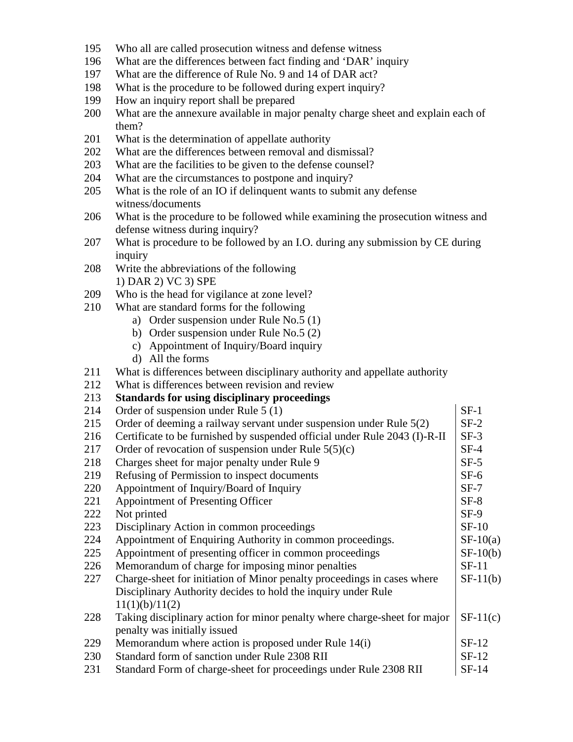- 195 Who all are called prosecution witness and defense witness
- 196 What are the differences between fact finding and 'DAR' inquiry
- 197 What are the difference of Rule No. 9 and 14 of DAR act?
- 198 What is the procedure to be followed during expert inquiry?
- 199 How an inquiry report shall be prepared
- 200 What are the annexure available in major penalty charge sheet and explain each of them?
- 201 What is the determination of appellate authority
- 202 What are the differences between removal and dismissal?
- 203 What are the facilities to be given to the defense counsel?
- 204 What are the circumstances to postpone and inquiry?
- 205 What is the role of an IO if delinquent wants to submit any defense witness/documents
- 206 What is the procedure to be followed while examining the prosecution witness and defense witness during inquiry?
- 207 What is procedure to be followed by an I.O. during any submission by CE during inquiry
- 208 Write the abbreviations of the following 1) DAR 2) VC 3) SPE
- 209 Who is the head for vigilance at zone level?
- 210 What are standard forms for the following
	- a) Order suspension under Rule No.5 (1)
	- b) Order suspension under Rule No.5 (2)
	- c) Appointment of Inquiry/Board inquiry
	- d) All the forms
- 211 What is differences between disciplinary authority and appellate authority

### 212 What is differences between revision and review

213 **Standards for using disciplinary proceedings** 

| 214 | Order of suspension under Rule 5 (1)                                       | $SF-1$     |
|-----|----------------------------------------------------------------------------|------------|
| 215 | Order of deeming a railway servant under suspension under Rule 5(2)        | $SF-2$     |
| 216 | Certificate to be furnished by suspended official under Rule 2043 (I)-R-II | $SF-3$     |
| 217 | Order of revocation of suspension under Rule $5(5)(c)$                     | $SF-4$     |
| 218 | Charges sheet for major penalty under Rule 9                               | $SF-5$     |
| 219 | Refusing of Permission to inspect documents                                | $SF-6$     |
| 220 | Appointment of Inquiry/Board of Inquiry                                    | $SF-7$     |
| 221 | Appointment of Presenting Officer                                          | $SF-8$     |
| 222 | Not printed                                                                | $SF-9$     |
| 223 | Disciplinary Action in common proceedings                                  | $SF-10$    |
| 224 | Appointment of Enquiring Authority in common proceedings.                  | $SF-10(a)$ |
| 225 | Appointment of presenting officer in common proceedings                    | $SF-10(b)$ |
| 226 | Memorandum of charge for imposing minor penalties                          | $SF-11$    |
| 227 | Charge-sheet for initiation of Minor penalty proceedings in cases where    | $SF-11(b)$ |
|     | Disciplinary Authority decides to hold the inquiry under Rule              |            |
|     | 11(1)(b)/11(2)                                                             |            |
| 228 | Taking disciplinary action for minor penalty where charge-sheet for major  | $SF-11(c)$ |
|     | penalty was initially issued                                               |            |
| 229 | Memorandum where action is proposed under Rule 14(i)                       | $SF-12$    |
| 230 | Standard form of sanction under Rule 2308 RII                              | $SF-12$    |
| 231 | Standard Form of charge-sheet for proceedings under Rule 2308 RII          | SF-14      |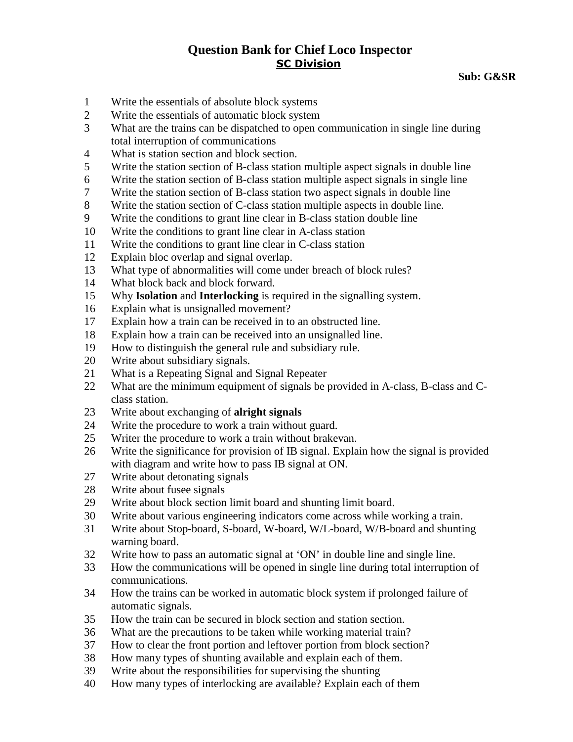**Sub: G&SR** 

- 1 Write the essentials of absolute block systems
- 2 Write the essentials of automatic block system
- 3 What are the trains can be dispatched to open communication in single line during total interruption of communications
- 4 What is station section and block section.
- 5 Write the station section of B-class station multiple aspect signals in double line
- 6 Write the station section of B-class station multiple aspect signals in single line
- 7 Write the station section of B-class station two aspect signals in double line
- 8 Write the station section of C-class station multiple aspects in double line.
- 9 Write the conditions to grant line clear in B-class station double line
- 10 Write the conditions to grant line clear in A-class station
- 11 Write the conditions to grant line clear in C-class station
- 12 Explain bloc overlap and signal overlap.
- 13 What type of abnormalities will come under breach of block rules?
- 14 What block back and block forward.
- 15 Why **Isolation** and **Interlocking** is required in the signalling system.
- 16 Explain what is unsignalled movement?
- 17 Explain how a train can be received in to an obstructed line.
- 18 Explain how a train can be received into an unsignalled line.
- 19 How to distinguish the general rule and subsidiary rule.
- 20 Write about subsidiary signals.
- 21 What is a Repeating Signal and Signal Repeater
- 22 What are the minimum equipment of signals be provided in A-class, B-class and Cclass station.
- 23 Write about exchanging of **alright signals**
- 24 Write the procedure to work a train without guard.
- 25 Writer the procedure to work a train without brakevan.
- 26 Write the significance for provision of IB signal. Explain how the signal is provided with diagram and write how to pass IB signal at ON.
- 27 Write about detonating signals
- 28 Write about fusee signals
- 29 Write about block section limit board and shunting limit board.
- 30 Write about various engineering indicators come across while working a train.
- 31 Write about Stop-board, S-board, W-board, W/L-board, W/B-board and shunting warning board.
- 32 Write how to pass an automatic signal at 'ON' in double line and single line.
- 33 How the communications will be opened in single line during total interruption of communications.
- 34 How the trains can be worked in automatic block system if prolonged failure of automatic signals.
- 35 How the train can be secured in block section and station section.
- 36 What are the precautions to be taken while working material train?
- 37 How to clear the front portion and leftover portion from block section?
- 38 How many types of shunting available and explain each of them.
- 39 Write about the responsibilities for supervising the shunting
- 40 How many types of interlocking are available? Explain each of them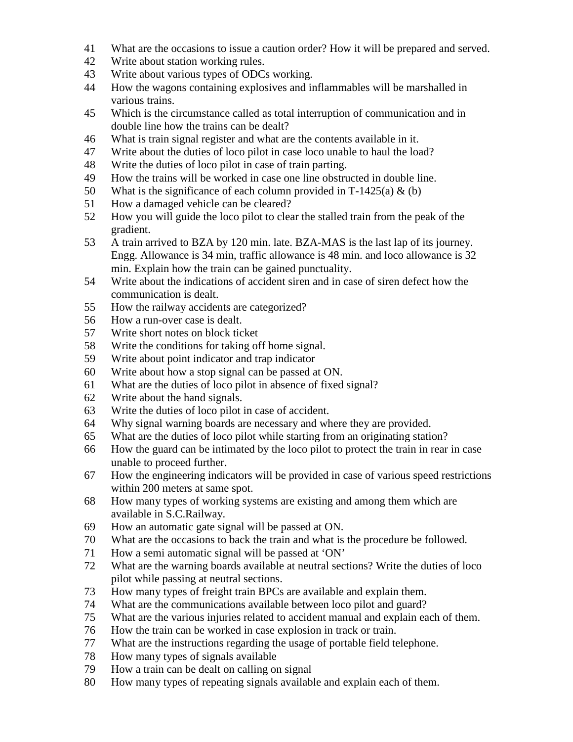- 41 What are the occasions to issue a caution order? How it will be prepared and served.
- 42 Write about station working rules.
- 43 Write about various types of ODCs working.
- 44 How the wagons containing explosives and inflammables will be marshalled in various trains.
- 45 Which is the circumstance called as total interruption of communication and in double line how the trains can be dealt?
- 46 What is train signal register and what are the contents available in it.
- 47 Write about the duties of loco pilot in case loco unable to haul the load?
- 48 Write the duties of loco pilot in case of train parting.
- 49 How the trains will be worked in case one line obstructed in double line.
- 50 What is the significance of each column provided in T-1425(a)  $\&$  (b)
- 51 How a damaged vehicle can be cleared?
- 52 How you will guide the loco pilot to clear the stalled train from the peak of the gradient.
- 53 A train arrived to BZA by 120 min. late. BZA-MAS is the last lap of its journey. Engg. Allowance is 34 min, traffic allowance is 48 min. and loco allowance is 32 min. Explain how the train can be gained punctuality.
- 54 Write about the indications of accident siren and in case of siren defect how the communication is dealt.
- 55 How the railway accidents are categorized?
- 56 How a run-over case is dealt.
- 57 Write short notes on block ticket
- 58 Write the conditions for taking off home signal.
- 59 Write about point indicator and trap indicator
- 60 Write about how a stop signal can be passed at ON.
- 61 What are the duties of loco pilot in absence of fixed signal?
- 62 Write about the hand signals.
- 63 Write the duties of loco pilot in case of accident.
- 64 Why signal warning boards are necessary and where they are provided.
- 65 What are the duties of loco pilot while starting from an originating station?
- 66 How the guard can be intimated by the loco pilot to protect the train in rear in case unable to proceed further.
- 67 How the engineering indicators will be provided in case of various speed restrictions within 200 meters at same spot.
- 68 How many types of working systems are existing and among them which are available in S.C.Railway.
- 69 How an automatic gate signal will be passed at ON.
- 70 What are the occasions to back the train and what is the procedure be followed.
- 71 How a semi automatic signal will be passed at 'ON'
- 72 What are the warning boards available at neutral sections? Write the duties of loco pilot while passing at neutral sections.
- 73 How many types of freight train BPCs are available and explain them.
- 74 What are the communications available between loco pilot and guard?
- 75 What are the various injuries related to accident manual and explain each of them.
- 76 How the train can be worked in case explosion in track or train.
- 77 What are the instructions regarding the usage of portable field telephone.
- 78 How many types of signals available
- 79 How a train can be dealt on calling on signal
- 80 How many types of repeating signals available and explain each of them.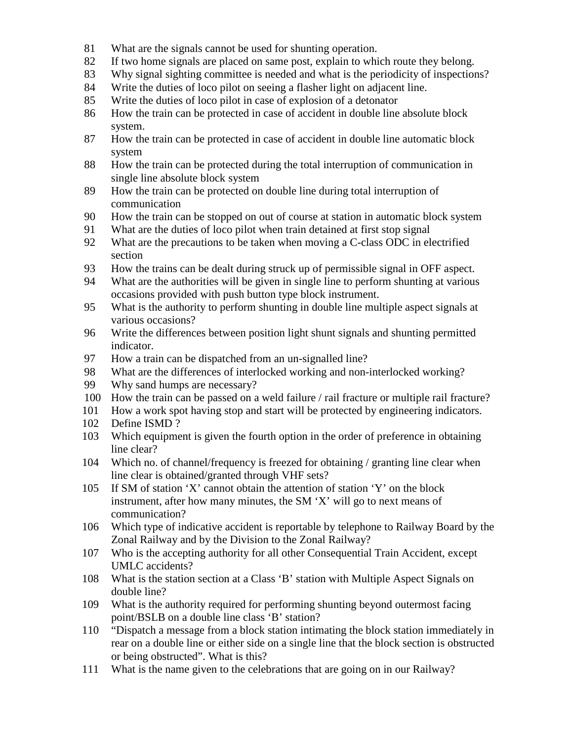- 81 What are the signals cannot be used for shunting operation.
- 82 If two home signals are placed on same post, explain to which route they belong.
- 83 Why signal sighting committee is needed and what is the periodicity of inspections?
- 84 Write the duties of loco pilot on seeing a flasher light on adjacent line.
- 85 Write the duties of loco pilot in case of explosion of a detonator
- 86 How the train can be protected in case of accident in double line absolute block system.
- 87 How the train can be protected in case of accident in double line automatic block system
- 88 How the train can be protected during the total interruption of communication in single line absolute block system
- 89 How the train can be protected on double line during total interruption of communication
- 90 How the train can be stopped on out of course at station in automatic block system
- 91 What are the duties of loco pilot when train detained at first stop signal
- 92 What are the precautions to be taken when moving a C-class ODC in electrified section
- 93 How the trains can be dealt during struck up of permissible signal in OFF aspect.
- 94 What are the authorities will be given in single line to perform shunting at various occasions provided with push button type block instrument.
- 95 What is the authority to perform shunting in double line multiple aspect signals at various occasions?
- 96 Write the differences between position light shunt signals and shunting permitted indicator.
- 97 How a train can be dispatched from an un-signalled line?
- 98 What are the differences of interlocked working and non-interlocked working?
- 99 Why sand humps are necessary?
- 100 How the train can be passed on a weld failure / rail fracture or multiple rail fracture?
- 101 How a work spot having stop and start will be protected by engineering indicators.
- 102 Define ISMD ?
- 103 Which equipment is given the fourth option in the order of preference in obtaining line clear?
- 104 Which no. of channel/frequency is freezed for obtaining / granting line clear when line clear is obtained/granted through VHF sets?
- 105 If SM of station 'X' cannot obtain the attention of station 'Y' on the block instrument, after how many minutes, the SM 'X' will go to next means of communication?
- 106 Which type of indicative accident is reportable by telephone to Railway Board by the Zonal Railway and by the Division to the Zonal Railway?
- 107 Who is the accepting authority for all other Consequential Train Accident, except UMLC accidents?
- 108 What is the station section at a Class 'B' station with Multiple Aspect Signals on double line?
- 109 What is the authority required for performing shunting beyond outermost facing point/BSLB on a double line class 'B' station?
- 110 "Dispatch a message from a block station intimating the block station immediately in rear on a double line or either side on a single line that the block section is obstructed or being obstructed". What is this?
- 111 What is the name given to the celebrations that are going on in our Railway?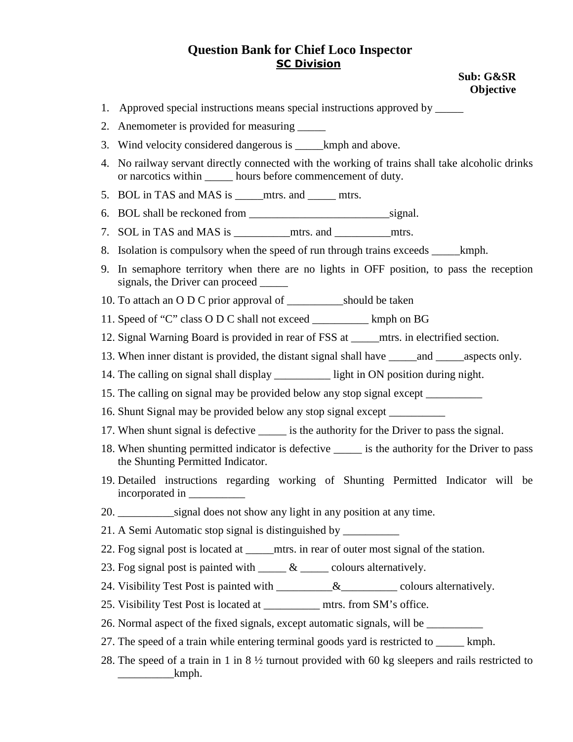#### **Sub: G&SR Objective**

- 1. Approved special instructions means special instructions approved by \_\_\_\_\_
- 2. Anemometer is provided for measuring
- 3. Wind velocity considered dangerous is \_\_\_\_\_kmph and above.
- 4. No railway servant directly connected with the working of trains shall take alcoholic drinks or narcotics within hours before commencement of duty.
- 5. BOL in TAS and MAS is mtrs. and mtrs.
- 6. BOL shall be reckoned from \_\_\_\_\_\_\_\_\_\_\_\_\_\_\_\_\_\_\_\_\_\_\_\_\_signal.
- 7. SOL in TAS and MAS is \_\_\_\_\_\_\_\_\_\_mtrs. and \_\_\_\_\_\_\_\_\_\_mtrs.
- 8. Isolation is compulsory when the speed of run through trains exceeds \_\_\_\_\_kmph.
- 9. In semaphore territory when there are no lights in OFF position, to pass the reception signals, the Driver can proceed  $\overline{\phantom{a}}$
- 10. To attach an O D C prior approval of \_\_\_\_\_\_\_\_\_\_should be taken
- 11. Speed of "C" class O D C shall not exceed \_\_\_\_\_\_\_\_\_\_ kmph on BG
- 12. Signal Warning Board is provided in rear of FSS at \_\_\_\_\_mtrs. in electrified section.
- 13. When inner distant is provided, the distant signal shall have and aspects only.
- 14. The calling on signal shall display \_\_\_\_\_\_\_\_\_\_ light in ON position during night.
- 15. The calling on signal may be provided below any stop signal except \_\_\_\_\_\_\_\_\_\_
- 16. Shunt Signal may be provided below any stop signal except \_\_\_\_\_\_\_\_\_\_
- 17. When shunt signal is defective \_\_\_\_\_\_ is the authority for the Driver to pass the signal.
- 18. When shunting permitted indicator is defective is the authority for the Driver to pass the Shunting Permitted Indicator.
- 19. Detailed instructions regarding working of Shunting Permitted Indicator will be incorporated in \_\_\_\_\_\_\_\_\_\_
- 20. \_\_\_\_\_\_\_\_\_\_signal does not show any light in any position at any time.
- 21. A Semi Automatic stop signal is distinguished by \_\_\_\_\_\_\_\_\_\_
- 22. Fog signal post is located at \_\_\_\_\_mtrs. in rear of outer most signal of the station.
- 23. Fog signal post is painted with  $\_\_\_\_\&$   $\_\_\_\_$  colours alternatively.
- 24. Visibility Test Post is painted with \_\_\_\_\_\_\_\_\_&\_\_\_\_\_\_\_\_\_\_\_\_\_ colours alternatively.
- 25. Visibility Test Post is located at \_\_\_\_\_\_\_\_\_\_ mtrs. from SM's office.
- 26. Normal aspect of the fixed signals, except automatic signals, will be \_\_\_\_\_\_\_\_\_\_
- 27. The speed of a train while entering terminal goods yard is restricted to \_\_\_\_\_ kmph.
- 28. The speed of a train in 1 in 8 ½ turnout provided with 60 kg sleepers and rails restricted to  $\begin{array}{c} \text{kmph.} \end{array}$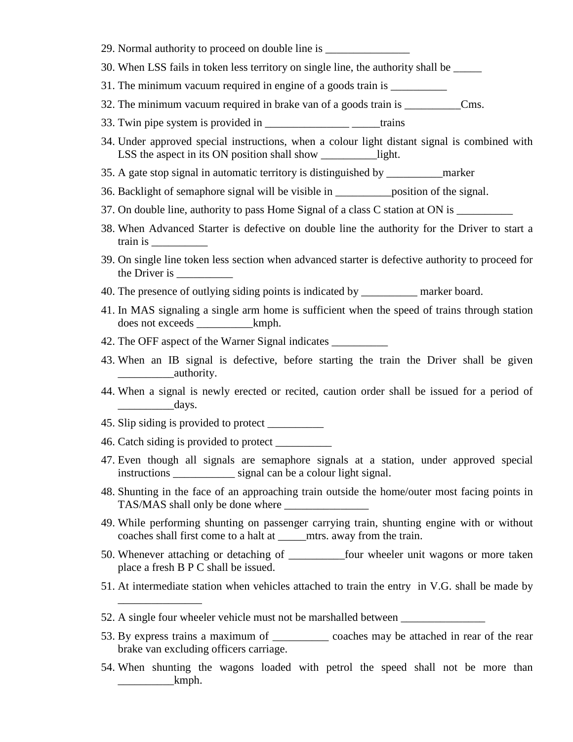- 29. Normal authority to proceed on double line is
- 30. When LSS fails in token less territory on single line, the authority shall be \_\_\_\_\_
- 31. The minimum vacuum required in engine of a goods train is \_\_\_\_\_\_\_\_\_\_\_\_
- 32. The minimum vacuum required in brake van of a goods train is \_\_\_\_\_\_\_\_\_\_Cms.
- 33. Twin pipe system is provided in \_\_\_\_\_\_\_\_\_\_\_\_\_\_\_\_\_\_\_\_\_\_\_\_\_\_\_\_\_trains
- 34. Under approved special instructions, when a colour light distant signal is combined with LSS the aspect in its ON position shall show \_\_\_\_\_\_\_\_\_\_\_\_\_light.
- 35. A gate stop signal in automatic territory is distinguished by \_\_\_\_\_\_\_\_\_\_marker
- 36. Backlight of semaphore signal will be visible in \_\_\_\_\_\_\_\_\_\_position of the signal.
- 37. On double line, authority to pass Home Signal of a class C station at ON is \_\_\_\_\_\_\_\_\_\_
- 38. When Advanced Starter is defective on double line the authority for the Driver to start a train is \_\_\_\_\_\_\_\_\_\_
- 39. On single line token less section when advanced starter is defective authority to proceed for the Driver is \_\_\_\_\_\_\_\_\_\_
- 40. The presence of outlying siding points is indicated by \_\_\_\_\_\_\_\_\_\_ marker board.
- 41. In MAS signaling a single arm home is sufficient when the speed of trains through station does not exceeds  $kmph.$
- 42. The OFF aspect of the Warner Signal indicates
- 43. When an IB signal is defective, before starting the train the Driver shall be given \_\_\_\_\_\_\_\_\_\_authority.
- 44. When a signal is newly erected or recited, caution order shall be issued for a period of days.
- 45. Slip siding is provided to protect \_\_\_\_\_\_\_\_\_\_
- 46. Catch siding is provided to protect \_\_\_\_\_\_\_\_\_\_

\_\_\_\_\_\_\_\_\_\_\_\_\_\_\_

- 47. Even though all signals are semaphore signals at a station, under approved special instructions \_\_\_\_\_\_\_\_\_\_\_ signal can be a colour light signal.
- 48. Shunting in the face of an approaching train outside the home/outer most facing points in TAS/MAS shall only be done where \_\_\_\_\_\_\_\_\_\_\_\_\_\_\_
- 49. While performing shunting on passenger carrying train, shunting engine with or without coaches shall first come to a halt at \_\_\_\_\_mtrs. away from the train.
- 50. Whenever attaching or detaching of \_\_\_\_\_\_\_\_\_\_four wheeler unit wagons or more taken place a fresh B P C shall be issued.
- 51. At intermediate station when vehicles attached to train the entry in V.G. shall be made by
- 52. A single four wheeler vehicle must not be marshalled between \_\_\_\_\_\_\_\_\_\_\_\_\_\_\_
- 53. By express trains a maximum of \_\_\_\_\_\_\_\_\_\_ coaches may be attached in rear of the rear brake van excluding officers carriage.
- 54. When shunting the wagons loaded with petrol the speed shall not be more than  $\mu$  kmph.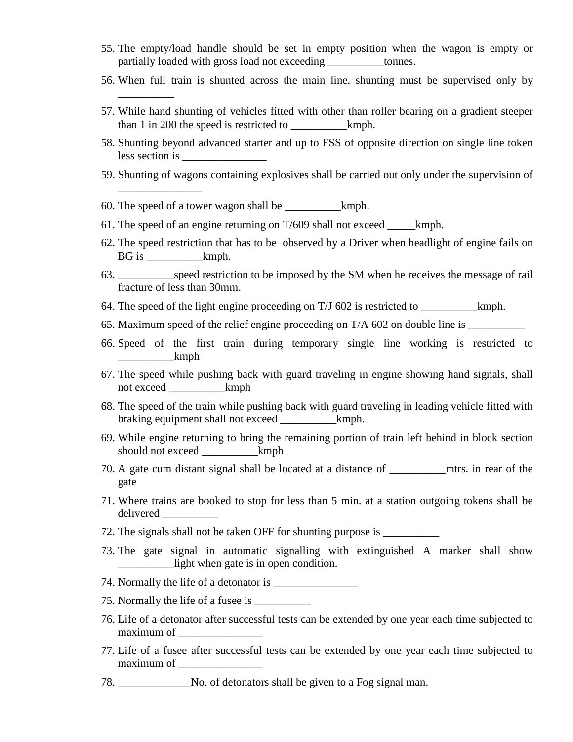- 55. The empty/load handle should be set in empty position when the wagon is empty or partially loaded with gross load not exceeding \_\_\_\_\_\_\_\_\_\_tonnes.
- 56. When full train is shunted across the main line, shunting must be supervised only by
- 57. While hand shunting of vehicles fitted with other than roller bearing on a gradient steeper than 1 in 200 the speed is restricted to  $kmph$ .
- 58. Shunting beyond advanced starter and up to FSS of opposite direction on single line token less section is \_\_\_\_\_\_\_\_\_\_\_\_\_\_\_
- 59. Shunting of wagons containing explosives shall be carried out only under the supervision of
- 60. The speed of a tower wagon shall be \_\_\_\_\_\_\_\_\_\_kmph.

\_\_\_\_\_\_\_\_\_\_

\_\_\_\_\_\_\_\_\_\_\_\_\_\_\_

- 61. The speed of an engine returning on T/609 shall not exceed \_\_\_\_\_kmph.
- 62. The speed restriction that has to be observed by a Driver when headlight of engine fails on BG is <u>kmph.</u>
- 63. \_\_\_\_\_\_\_\_\_\_speed restriction to be imposed by the SM when he receives the message of rail fracture of less than 30mm.
- 64. The speed of the light engine proceeding on T/J 602 is restricted to \_\_\_\_\_\_\_\_\_\_kmph.
- 65. Maximum speed of the relief engine proceeding on T/A 602 on double line is \_\_\_\_\_\_\_\_\_\_
- 66. Speed of the first train during temporary single line working is restricted to \_\_\_\_\_\_\_\_\_\_kmph
- 67. The speed while pushing back with guard traveling in engine showing hand signals, shall not exceed \_\_\_\_\_\_\_\_\_\_kmph
- 68. The speed of the train while pushing back with guard traveling in leading vehicle fitted with braking equipment shall not exceed \_\_\_\_\_\_\_\_\_\_kmph.
- 69. While engine returning to bring the remaining portion of train left behind in block section should not exceed \_\_\_\_\_\_\_\_\_\_kmph
- 70. A gate cum distant signal shall be located at a distance of mtrs. in rear of the gate
- 71. Where trains are booked to stop for less than 5 min. at a station outgoing tokens shall be delivered \_\_\_\_\_\_\_\_\_\_
- 72. The signals shall not be taken OFF for shunting purpose is
- 73. The gate signal in automatic signalling with extinguished A marker shall show \_\_\_\_\_\_\_\_\_\_light when gate is in open condition.
- 74. Normally the life of a detonator is \_\_\_\_\_\_\_\_\_\_\_\_\_\_\_
- 75. Normally the life of a fusee is \_\_\_\_\_\_\_\_\_\_
- 76. Life of a detonator after successful tests can be extended by one year each time subjected to maximum of
- 77. Life of a fusee after successful tests can be extended by one year each time subjected to maximum of
- 78. \_\_\_\_\_\_\_\_\_\_\_\_\_No. of detonators shall be given to a Fog signal man.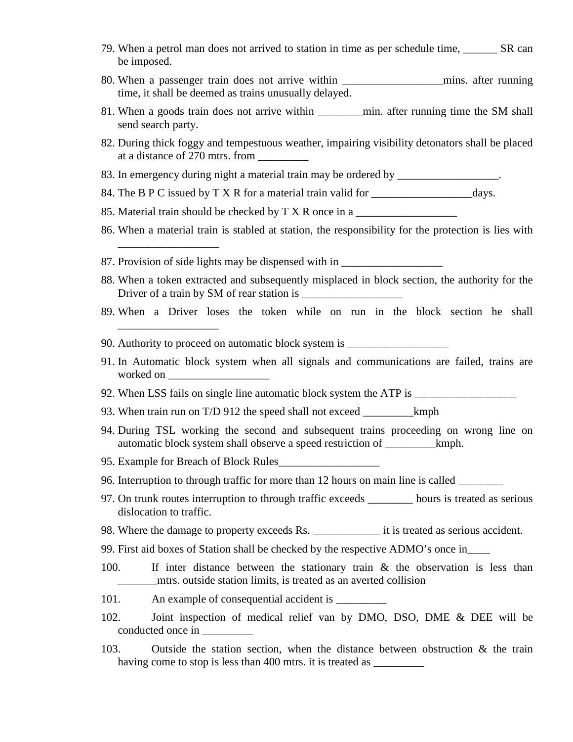- 79. When a petrol man does not arrived to station in time as per schedule time, SR can be imposed.
- 80. When a passenger train does not arrive within \_\_\_\_\_\_\_\_\_\_\_\_\_\_\_\_\_\_mins. after running time, it shall be deemed as trains unusually delayed.
- 81. When a goods train does not arrive within \_\_\_\_\_\_\_\_min. after running time the SM shall send search party.
- 82. During thick foggy and tempestuous weather, impairing visibility detonators shall be placed at a distance of 270 mtrs. from
- 83. In emergency during night a material train may be ordered by \_\_\_\_\_\_\_\_\_\_\_\_\_\_\_\_.
- 84. The B P C issued by T X R for a material train valid for \_\_\_\_\_\_\_\_\_\_\_\_\_\_\_\_\_\_days.
- 85. Material train should be checked by T X R once in a

\_\_\_\_\_\_\_\_\_\_\_\_\_\_\_\_\_\_

- 86. When a material train is stabled at station, the responsibility for the protection is lies with
- 87. Provision of side lights may be dispensed with in \_\_\_\_\_\_\_\_\_\_\_\_\_\_\_\_\_\_\_\_\_\_\_\_\_\_\_
- 88. When a token extracted and subsequently misplaced in block section, the authority for the Driver of a train by SM of rear station is \_\_\_\_\_\_\_\_\_\_\_\_\_\_\_\_\_\_
- 89. When a Driver loses the token while on run in the block section he shall \_\_\_\_\_\_\_\_\_\_\_\_\_\_\_\_\_\_
- 90. Authority to proceed on automatic block system is \_\_\_\_\_\_\_\_\_\_\_\_\_\_\_\_\_\_\_\_\_\_\_\_\_\_
- 91. In Automatic block system when all signals and communications are failed, trains are worked on **worked**
- 92. When LSS fails on single line automatic block system the ATP is
- 93. When train run on T/D 912 the speed shall not exceed \_\_\_\_\_\_\_\_\_kmph
- 94. During TSL working the second and subsequent trains proceeding on wrong line on automatic block system shall observe a speed restriction of \_\_\_\_\_\_\_\_\_kmph.
- 95. Example for Breach of Block Rules\_\_\_\_\_\_\_\_\_\_\_\_\_\_\_\_\_\_
- 96. Interruption to through traffic for more than 12 hours on main line is called \_\_\_\_\_\_\_\_
- 97. On trunk routes interruption to through traffic exceeds \_\_\_\_\_\_\_\_ hours is treated as serious dislocation to traffic.
- 98. Where the damage to property exceeds Rs. \_\_\_\_\_\_\_\_\_\_\_\_ it is treated as serious accident.
- 99. First aid boxes of Station shall be checked by the respective ADMO's once in\_\_\_\_
- 100. If inter distance between the stationary train & the observation is less than \_\_\_\_\_\_\_mtrs. outside station limits, is treated as an averted collision
- 101. An example of consequential accident is \_\_\_\_\_\_\_\_\_
- 102. Joint inspection of medical relief van by DMO, DSO, DME & DEE will be conducted once in \_\_\_\_\_\_\_\_\_
- 103. Outside the station section, when the distance between obstruction & the train having come to stop is less than 400 mtrs, it is treated as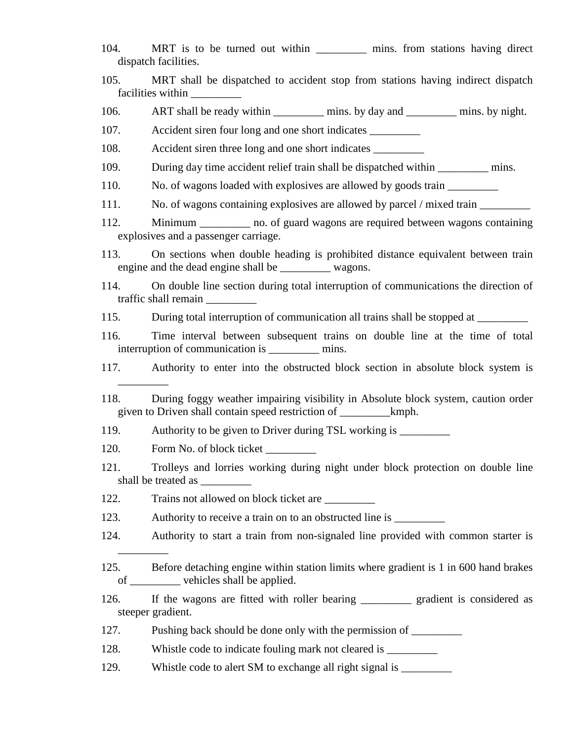- 104. MRT is to be turned out within mins. from stations having direct dispatch facilities.
- 105. MRT shall be dispatched to accident stop from stations having indirect dispatch facilities within
- 106. ART shall be ready within \_\_\_\_\_\_\_\_\_\_ mins. by day and \_\_\_\_\_\_\_\_\_ mins. by night.
- 107. Accident siren four long and one short indicates \_\_\_\_\_\_\_\_\_
- 108. Accident siren three long and one short indicates \_\_\_\_\_\_\_\_\_\_\_\_\_\_\_\_\_\_\_\_\_\_\_\_\_\_
- 109. During day time accident relief train shall be dispatched within \_\_\_\_\_\_\_\_\_ mins.
- 110. No. of wagons loaded with explosives are allowed by goods train
- 111. No. of wagons containing explosives are allowed by parcel / mixed train \_\_\_\_\_\_\_\_\_
- 112. Minimum hot of guard wagons are required between wagons containing explosives and a passenger carriage.
- 113. On sections when double heading is prohibited distance equivalent between train engine and the dead engine shall be \_\_\_\_\_\_\_\_\_ wagons.
- 114. On double line section during total interruption of communications the direction of traffic shall remain \_\_\_\_\_\_\_\_\_
- 115. During total interruption of communication all trains shall be stopped at \_\_\_\_\_\_\_\_
- 116. Time interval between subsequent trains on double line at the time of total interruption of communication is \_\_\_\_\_\_\_\_\_ mins.
- 117. Authority to enter into the obstructed block section in absolute block system is
- 118. During foggy weather impairing visibility in Absolute block system, caution order given to Driven shall contain speed restriction of \_\_\_\_\_\_\_\_\_kmph.
- 119. Authority to be given to Driver during TSL working is \_\_\_\_\_\_\_\_\_\_\_\_\_\_\_\_\_\_\_\_\_
- 120. Form No. of block ticket

\_\_\_\_\_\_\_\_\_

\_\_\_\_\_\_\_\_\_

- 121. Trolleys and lorries working during night under block protection on double line shall be treated as \_\_\_\_\_\_\_\_\_
- 122. Trains not allowed on block ticket are \_\_\_\_\_\_\_\_\_
- 123. Authority to receive a train on to an obstructed line is \_\_\_\_\_\_\_\_\_\_\_\_\_\_\_\_\_\_
- 124. Authority to start a train from non-signaled line provided with common starter is
- 125. Before detaching engine within station limits where gradient is 1 in 600 hand brakes of \_\_\_\_\_\_\_\_\_ vehicles shall be applied.
- 126. If the wagons are fitted with roller bearing \_\_\_\_\_\_\_\_\_ gradient is considered as steeper gradient.
- 127. Pushing back should be done only with the permission of
- 128. Whistle code to indicate fouling mark not cleared is \_\_\_\_\_\_\_\_\_\_\_\_\_\_\_\_\_\_\_\_\_\_
- 129. Whistle code to alert SM to exchange all right signal is \_\_\_\_\_\_\_\_\_\_\_\_\_\_\_\_\_\_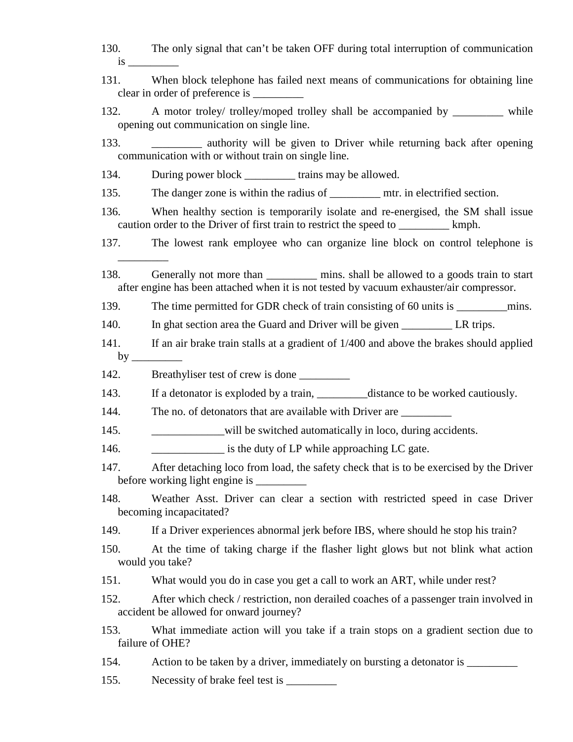- 130. The only signal that can't be taken OFF during total interruption of communication is \_\_\_\_\_\_\_\_\_
- 131. When block telephone has failed next means of communications for obtaining line clear in order of preference is  $\overline{\phantom{a}}$
- 132. A motor troley/ trolley/moped trolley shall be accompanied by while opening out communication on single line.
- 133. \_\_\_\_\_\_\_\_\_ authority will be given to Driver while returning back after opening communication with or without train on single line.
- 134. During power block \_\_\_\_\_\_\_\_\_ trains may be allowed.
- 135. The danger zone is within the radius of <u>\_\_\_\_\_\_\_</u> mtr. in electrified section.
- 136. When healthy section is temporarily isolate and re-energised, the SM shall issue caution order to the Driver of first train to restrict the speed to \_\_\_\_\_\_\_\_\_ kmph.
- 137. The lowest rank employee who can organize line block on control telephone is
- 138. Generally not more than <u>see mins</u> shall be allowed to a goods train to start after engine has been attached when it is not tested by vacuum exhauster/air compressor.
- 139. The time permitted for GDR check of train consisting of 60 units is \_\_\_\_\_\_\_\_\_\_\_\_mins.
- 140. In ghat section area the Guard and Driver will be given \_\_\_\_\_\_\_\_\_ LR trips.
- 141. If an air brake train stalls at a gradient of 1/400 and above the brakes should applied by  $\_\_$
- 142. Breathyliser test of crew is done

 $\overline{\phantom{a}}$   $\overline{\phantom{a}}$ 

- 143. If a detonator is exploded by a train, distance to be worked cautiously.
- 144. The no. of detonators that are available with Driver are \_\_\_\_\_\_\_\_\_\_\_\_\_\_\_\_\_\_
- 145. \_\_\_\_\_\_\_\_\_\_\_\_will be switched automatically in loco, during accidents.
- 146. **a** is the duty of LP while approaching LC gate.
- 147. After detaching loco from load, the safety check that is to be exercised by the Driver before working light engine is \_\_\_\_\_\_\_\_\_
- 148. Weather Asst. Driver can clear a section with restricted speed in case Driver becoming incapacitated?
- 149. If a Driver experiences abnormal jerk before IBS, where should he stop his train?
- 150. At the time of taking charge if the flasher light glows but not blink what action would you take?
- 151. What would you do in case you get a call to work an ART, while under rest?
- 152. After which check / restriction, non derailed coaches of a passenger train involved in accident be allowed for onward journey?
- 153. What immediate action will you take if a train stops on a gradient section due to failure of OHE?
- 154. Action to be taken by a driver, immediately on bursting a detonator is
- 155. Necessity of brake feel test is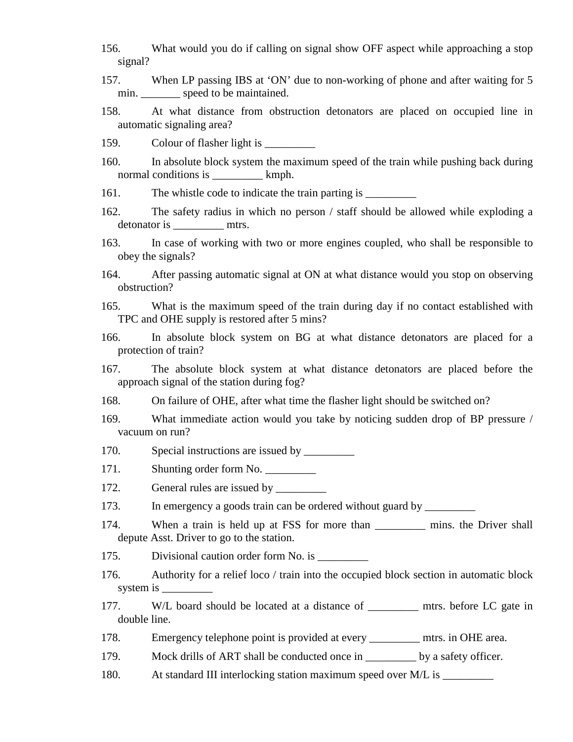- 156. What would you do if calling on signal show OFF aspect while approaching a stop signal?
- 157. When LP passing IBS at 'ON' due to non-working of phone and after waiting for 5 min. \_\_\_\_\_\_\_\_ speed to be maintained.
- 158. At what distance from obstruction detonators are placed on occupied line in automatic signaling area?
- 159. Colour of flasher light is \_\_\_\_\_\_\_\_\_
- 160. In absolute block system the maximum speed of the train while pushing back during normal conditions is \_\_\_\_\_\_\_\_\_\_\_ kmph.
- 161. The whistle code to indicate the train parting is
- 162. The safety radius in which no person / staff should be allowed while exploding a detonator is \_\_\_\_\_\_\_\_\_\_\_\_\_\_ mtrs.
- 163. In case of working with two or more engines coupled, who shall be responsible to obey the signals?
- 164. After passing automatic signal at ON at what distance would you stop on observing obstruction?
- 165. What is the maximum speed of the train during day if no contact established with TPC and OHE supply is restored after 5 mins?
- 166. In absolute block system on BG at what distance detonators are placed for a protection of train?
- 167. The absolute block system at what distance detonators are placed before the approach signal of the station during fog?
- 168. On failure of OHE, after what time the flasher light should be switched on?
- 169. What immediate action would you take by noticing sudden drop of BP pressure / vacuum on run?
- 170. Special instructions are issued by
- 171. Shunting order form No.
- 172. General rules are issued by \_\_\_\_\_\_\_\_\_
- 173. In emergency a goods train can be ordered without guard by \_\_\_\_\_\_\_\_\_\_\_\_\_\_\_\_
- 174. When a train is held up at FSS for more than \_\_\_\_\_\_\_\_\_ mins. the Driver shall depute Asst. Driver to go to the station.
- 175. Divisional caution order form No. is \_\_\_\_\_\_\_\_\_
- 176. Authority for a relief loco / train into the occupied block section in automatic block system is  $\equiv$
- 177. W/L board should be located at a distance of \_\_\_\_\_\_\_\_\_ mtrs. before LC gate in double line.
- 178. Emergency telephone point is provided at every \_\_\_\_\_\_\_\_\_ mtrs. in OHE area.
- 179. Mock drills of ART shall be conducted once in \_\_\_\_\_\_\_\_\_ by a safety officer.
- 180. At standard III interlocking station maximum speed over M/L is \_\_\_\_\_\_\_\_\_\_\_\_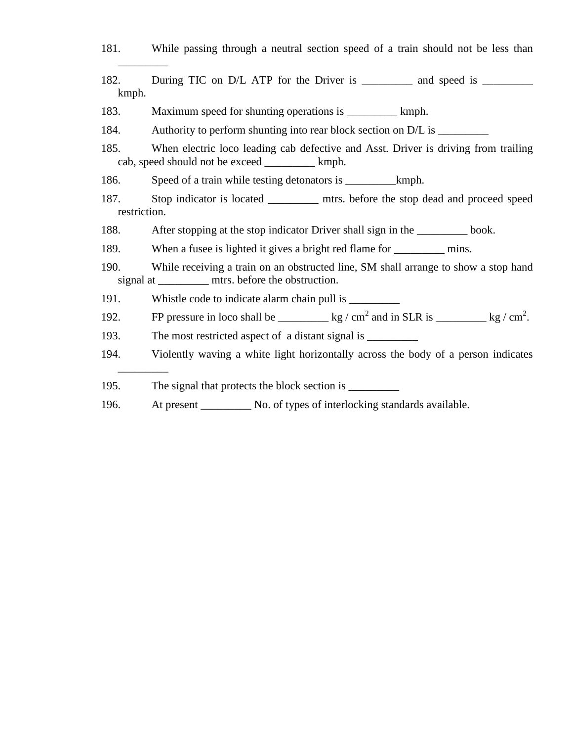| 181.                 | While passing through a neutral section speed of a train should not be less than                                                           |  |  |
|----------------------|--------------------------------------------------------------------------------------------------------------------------------------------|--|--|
| 182.<br>kmph.        | During TIC on D/L ATP for the Driver is ___________ and speed is __________                                                                |  |  |
| 183.                 | Maximum speed for shunting operations is ______________ kmph.                                                                              |  |  |
| 184.                 | Authority to perform shunting into rear block section on D/L is _________                                                                  |  |  |
| 185.                 | When electric loco leading cab defective and Asst. Driver is driving from trailing<br>cab, speed should not be exceed ___________ kmph.    |  |  |
| 186.                 |                                                                                                                                            |  |  |
| 187.<br>restriction. | Stop indicator is located ___________ mtrs. before the stop dead and proceed speed                                                         |  |  |
| 188.                 | After stopping at the stop indicator Driver shall sign in the ___________ book.                                                            |  |  |
| 189.                 | When a fusee is lighted it gives a bright red flame for ___________ mins.                                                                  |  |  |
| 190.                 | While receiving a train on an obstructed line, SM shall arrange to show a stop hand<br>signal at ___________ mtrs. before the obstruction. |  |  |
| 191.                 |                                                                                                                                            |  |  |
| 192.                 | FP pressure in loco shall be __________ kg / cm <sup>2</sup> and in SLR is _________ kg / cm <sup>2</sup> .                                |  |  |
| 193.                 |                                                                                                                                            |  |  |
| 194.                 | Violently waving a white light horizontally across the body of a person indicates                                                          |  |  |
| 195.                 |                                                                                                                                            |  |  |
| 196.                 |                                                                                                                                            |  |  |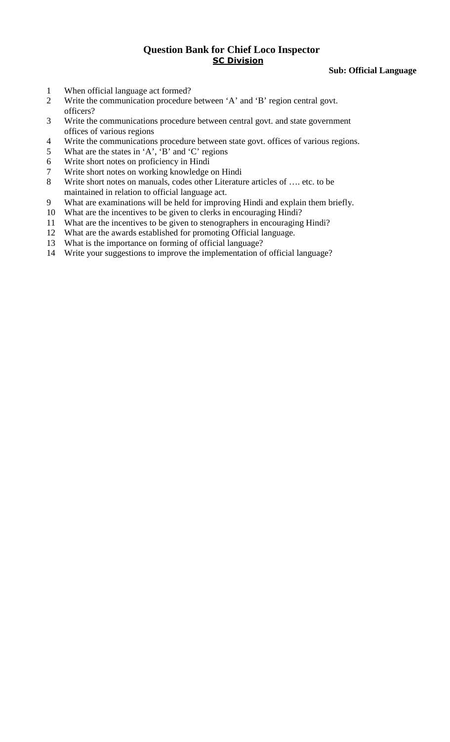**Sub: Official Language** 

- 1 When official language act formed?
- 2 Write the communication procedure between 'A' and 'B' region central govt. officers?
- 3 Write the communications procedure between central govt. and state government offices of various regions
- 4 Write the communications procedure between state govt. offices of various regions.
- 5 What are the states in 'A', 'B' and 'C' regions
- 6 Write short notes on proficiency in Hindi
- 7 Write short notes on working knowledge on Hindi
- 8 Write short notes on manuals, codes other Literature articles of …. etc. to be maintained in relation to official language act.
- 9 What are examinations will be held for improving Hindi and explain them briefly.
- 10 What are the incentives to be given to clerks in encouraging Hindi?
- 11 What are the incentives to be given to stenographers in encouraging Hindi?
- 12 What are the awards established for promoting Official language.
- 13 What is the importance on forming of official language?
- 14 Write your suggestions to improve the implementation of official language?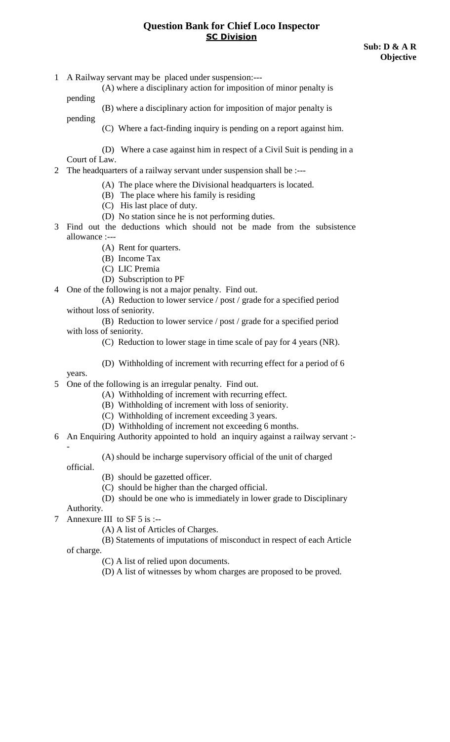1 A Railway servant may be placed under suspension:---

 (A) where a disciplinary action for imposition of minor penalty is pending

(B) where a disciplinary action for imposition of major penalty is

pending

- (C) Where a fact-finding inquiry is pending on a report against him.
- (D) Where a case against him in respect of a Civil Suit is pending in a Court of Law.
- 2 The headquarters of a railway servant under suspension shall be :---
	- (A) The place where the Divisional headquarters is located.
	- (B) The place where his family is residing
	- (C) His last place of duty.
	- (D) No station since he is not performing duties.
- 3 Find out the deductions which should not be made from the subsistence allowance :---
	- (A) Rent for quarters.
	- (B) Income Tax
	- (C) LIC Premia
	- (D) Subscription to PF
- 4 One of the following is not a major penalty. Find out.
	- (A) Reduction to lower service / post / grade for a specified period without loss of seniority.
	- (B) Reduction to lower service / post / grade for a specified period with loss of seniority.
		- (C) Reduction to lower stage in time scale of pay for 4 years (NR).
		- (D) Withholding of increment with recurring effect for a period of 6

years.

- 5 One of the following is an irregular penalty. Find out.
	- (A) Withholding of increment with recurring effect.
	- (B) Withholding of increment with loss of seniority.
	- (C) Withholding of increment exceeding 3 years.
	- (D) Withholding of increment not exceeding 6 months.
- 6 An Enquiring Authority appointed to hold an inquiry against a railway servant :-
	- (A) should be incharge supervisory official of the unit of charged

official.

-

- (B) should be gazetted officer.
- (C) should be higher than the charged official.
- (D) should be one who is immediately in lower grade to Disciplinary

Authority.

- 7 Annexure III to SF 5 is :--
	- (A) A list of Articles of Charges.

(B) Statements of imputations of misconduct in respect of each Article

of charge.

- (C) A list of relied upon documents.
- (D) A list of witnesses by whom charges are proposed to be proved.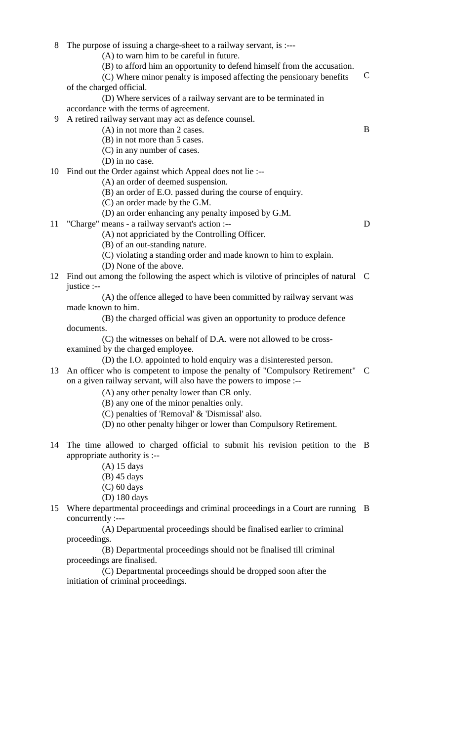- 8 The purpose of issuing a charge-sheet to a railway servant, is :--- C (A) to warn him to be careful in future. (B) to afford him an opportunity to defend himself from the accusation. (C) Where minor penalty is imposed affecting the pensionary benefits of the charged official. (D) Where services of a railway servant are to be terminated in accordance with the terms of agreement. 9 A retired railway servant may act as defence counsel. (A) in not more than 2 cases. B (B) in not more than 5 cases. (C) in any number of cases. (D) in no case. 10 Find out the Order against which Appeal does not lie :-- (A) an order of deemed suspension. (B) an order of E.O. passed during the course of enquiry. (C) an order made by the G.M. (D) an order enhancing any penalty imposed by G.M. 11 "Charge" means - a railway servant's action :-- D (A) not appriciated by the Controlling Officer. (B) of an out-standing nature. (C) violating a standing order and made known to him to explain. (D) None of the above. 12 Find out among the following the aspect which is vilotive of principles of natural C justice :-- (A) the offence alleged to have been committed by railway servant was made known to him. (B) the charged official was given an opportunity to produce defence documents. (C) the witnesses on behalf of D.A. were not allowed to be crossexamined by the charged employee. (D) the I.O. appointed to hold enquiry was a disinterested person. 13 An officer who is competent to impose the penalty of "Compulsory Retirement" C on a given railway servant, will also have the powers to impose :-- (A) any other penalty lower than CR only. (B) any one of the minor penalties only.
	- (C) penalties of 'Removal' & 'Dismissal' also.
	- (D) no other penalty hihger or lower than Compulsory Retirement.
- 14 The time allowed to charged official to submit his revision petition to the B appropriate authority is :--
	- (A) 15 days
	- (B) 45 days
	- (C) 60 days
	- (D) 180 days
- 15 Where departmental proceedings and criminal proceedings in a Court are running B concurrently :---

 (A) Departmental proceedings should be finalised earlier to criminal proceedings.

 (B) Departmental proceedings should not be finalised till criminal proceedings are finalised.

 (C) Departmental proceedings should be dropped soon after the initiation of criminal proceedings.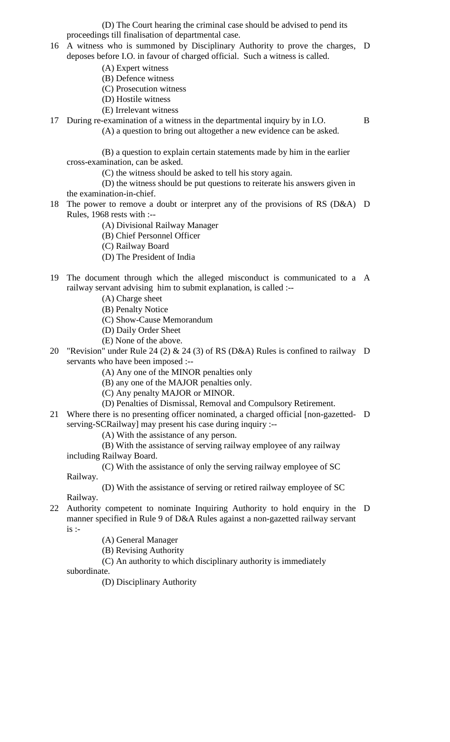(D) The Court hearing the criminal case should be advised to pend its proceedings till finalisation of departmental case.

- 16 A witness who is summoned by Disciplinary Authority to prove the charges, D deposes before I.O. in favour of charged official. Such a witness is called.
	- (A) Expert witness
	- (B) Defence witness
	- (C) Prosecution witness
	- (D) Hostile witness
	- (E) Irrelevant witness

17 During re-examination of a witness in the departmental inquiry by in I.O. B (A) a question to bring out altogether a new evidence can be asked.

 (B) a question to explain certain statements made by him in the earlier cross-examination, can be asked.

(C) the witness should be asked to tell his story again.

 (D) the witness should be put questions to reiterate his answers given in the examination-in-chief.

18 The power to remove a doubt or interpret any of the provisions of RS (D&A) D Rules, 1968 rests with :--

(A) Divisional Railway Manager

- (B) Chief Personnel Officer
- (C) Railway Board
- (D) The President of India
- 19 The document through which the alleged misconduct is communicated to a A railway servant advising him to submit explanation, is called :--
	- (A) Charge sheet
	- (B) Penalty Notice
	- (C) Show-Cause Memorandum
	- (D) Daily Order Sheet
	- (E) None of the above.
- 20 "Revision" under Rule 24 (2) & 24 (3) of RS (D&A) Rules is confined to railway D servants who have been imposed :--
	- (A) Any one of the MINOR penalties only
	- (B) any one of the MAJOR penalties only.
	- (C) Any penalty MAJOR or MINOR.
	- (D) Penalties of Dismissal, Removal and Compulsory Retirement.
- 21 Where there is no presenting officer nominated, a charged official [non-gazetted-D serving-SCRailway] may present his case during inquiry :--
	- (A) With the assistance of any person.

 (B) With the assistance of serving railway employee of any railway including Railway Board.

 (C) With the assistance of only the serving railway employee of SC Railway.

(D) With the assistance of serving or retired railway employee of SC

- Railway.
- 22 Authority competent to nominate Inquiring Authority to hold enquiry in the D manner specified in Rule 9 of D&A Rules against a non-gazetted railway servant  $is$  :-

(A) General Manager

(B) Revising Authority

 (C) An authority to which disciplinary authority is immediately subordinate.

(D) Disciplinary Authority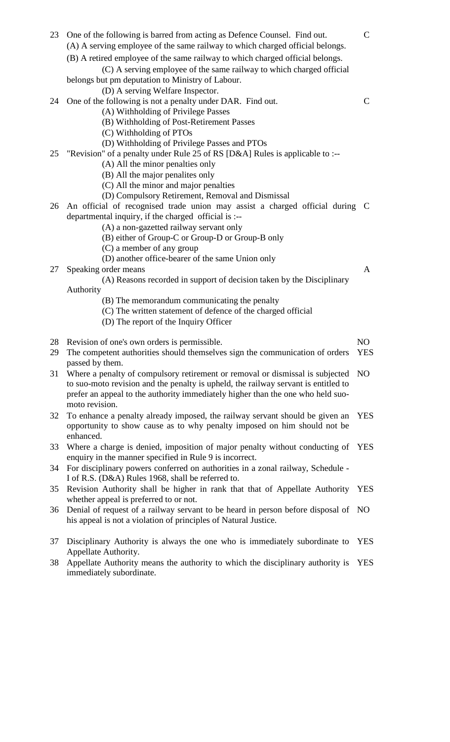| 23 | One of the following is barred from acting as Defence Counsel. Find out.<br>(A) A serving employee of the same railway to which charged official belongs.<br>(B) A retired employee of the same railway to which charged official belongs. |                |
|----|--------------------------------------------------------------------------------------------------------------------------------------------------------------------------------------------------------------------------------------------|----------------|
|    | (C) A serving employee of the same railway to which charged official<br>belongs but pm deputation to Ministry of Labour.                                                                                                                   |                |
|    | (D) A serving Welfare Inspector.                                                                                                                                                                                                           |                |
| 24 | One of the following is not a penalty under DAR. Find out.                                                                                                                                                                                 | $\mathsf{C}$   |
|    | (A) Withholding of Privilege Passes<br>(B) Withholding of Post-Retirement Passes                                                                                                                                                           |                |
|    | (C) Withholding of PTOs                                                                                                                                                                                                                    |                |
|    | (D) Withholding of Privilege Passes and PTOs                                                                                                                                                                                               |                |
| 25 | "Revision" of a penalty under Rule 25 of RS [D&A] Rules is applicable to :--                                                                                                                                                               |                |
|    | (A) All the minor penalties only                                                                                                                                                                                                           |                |
|    | (B) All the major penalities only                                                                                                                                                                                                          |                |
|    | (C) All the minor and major penalties                                                                                                                                                                                                      |                |
|    | (D) Compulsory Retirement, Removal and Dismissal                                                                                                                                                                                           |                |
| 26 | An official of recognised trade union may assist a charged official during C<br>departmental inquiry, if the charged official is :--                                                                                                       |                |
|    | (A) a non-gazetted railway servant only                                                                                                                                                                                                    |                |
|    | (B) either of Group-C or Group-D or Group-B only                                                                                                                                                                                           |                |
|    | (C) a member of any group                                                                                                                                                                                                                  |                |
|    | (D) another office-bearer of the same Union only                                                                                                                                                                                           |                |
| 27 | Speaking order means                                                                                                                                                                                                                       | A              |
|    | (A) Reasons recorded in support of decision taken by the Disciplinary                                                                                                                                                                      |                |
|    | Authority                                                                                                                                                                                                                                  |                |
|    | (B) The memorandum communicating the penalty                                                                                                                                                                                               |                |
|    | (C) The written statement of defence of the charged official<br>(D) The report of the Inquiry Officer                                                                                                                                      |                |
|    |                                                                                                                                                                                                                                            |                |
| 28 | Revision of one's own orders is permissible.                                                                                                                                                                                               | NO             |
| 29 | The competent authorities should themselves sign the communication of orders                                                                                                                                                               | <b>YES</b>     |
|    | passed by them.                                                                                                                                                                                                                            |                |
| 31 | Where a penalty of compulsory retirement or removal or dismissal is subjected                                                                                                                                                              | N <sub>O</sub> |
|    | to suo-moto revision and the penalty is upheld, the railway servant is entitled to                                                                                                                                                         |                |
|    | prefer an appeal to the authority immediately higher than the one who held suo-                                                                                                                                                            |                |
|    | moto revision.                                                                                                                                                                                                                             | <b>YES</b>     |
| 32 | To enhance a penalty already imposed, the railway servant should be given an<br>opportunity to show cause as to why penalty imposed on him should not be                                                                                   |                |
|    | enhanced.                                                                                                                                                                                                                                  |                |
| 33 | Where a charge is denied, imposition of major penalty without conducting of                                                                                                                                                                | <b>YES</b>     |
|    | enquiry in the manner specified in Rule 9 is incorrect.                                                                                                                                                                                    |                |
| 34 | For disciplinary powers conferred on authorities in a zonal railway, Schedule -                                                                                                                                                            |                |
|    | I of R.S. (D&A) Rules 1968, shall be referred to.                                                                                                                                                                                          |                |
| 35 | Revision Authority shall be higher in rank that that of Appellate Authority                                                                                                                                                                | <b>YES</b>     |
|    | whether appeal is preferred to or not.                                                                                                                                                                                                     |                |
| 36 | Denial of request of a railway servant to be heard in person before disposal of                                                                                                                                                            | N <sub>O</sub> |
|    | his appeal is not a violation of principles of Natural Justice.                                                                                                                                                                            |                |
|    |                                                                                                                                                                                                                                            |                |
| 37 | Disciplinary Authority is always the one who is immediately subordinate to                                                                                                                                                                 | <b>YES</b>     |
| 38 | Appellate Authority.<br>Appellate Authority means the authority to which the disciplinary authority is                                                                                                                                     | <b>YES</b>     |
|    | immediately subordinate.                                                                                                                                                                                                                   |                |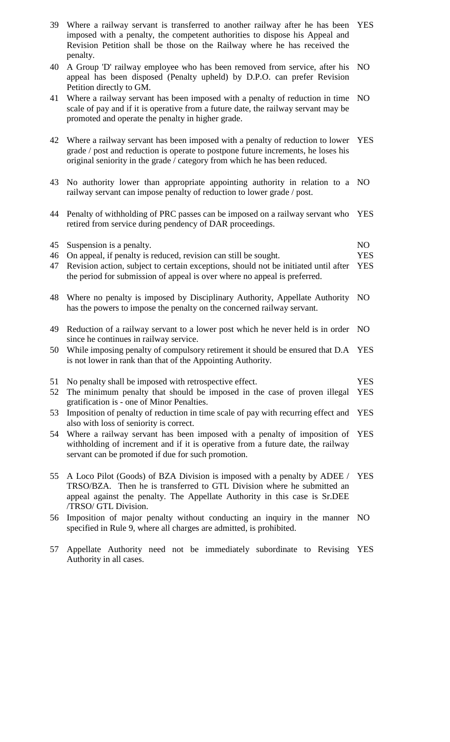| 39 | Where a railway servant is transferred to another railway after he has been<br>imposed with a penalty, the competent authorities to dispose his Appeal and<br>Revision Petition shall be those on the Railway where he has received the<br>penalty.      | <b>YES</b>     |
|----|----------------------------------------------------------------------------------------------------------------------------------------------------------------------------------------------------------------------------------------------------------|----------------|
| 40 | A Group 'D' railway employee who has been removed from service, after his<br>appeal has been disposed (Penalty upheld) by D.P.O. can prefer Revision<br>Petition directly to GM.                                                                         | N <sub>O</sub> |
| 41 | Where a railway servant has been imposed with a penalty of reduction in time<br>scale of pay and if it is operative from a future date, the railway servant may be<br>promoted and operate the penalty in higher grade.                                  | NO.            |
| 42 | Where a railway servant has been imposed with a penalty of reduction to lower<br>grade / post and reduction is operate to postpone future increments, he loses his<br>original seniority in the grade / category from which he has been reduced.         | <b>YES</b>     |
| 43 | No authority lower than appropriate appointing authority in relation to a NO<br>railway servant can impose penalty of reduction to lower grade / post.                                                                                                   |                |
| 44 | Penalty of withholding of PRC passes can be imposed on a railway servant who<br>retired from service during pendency of DAR proceedings.                                                                                                                 | <b>YES</b>     |
| 45 | Suspension is a penalty.                                                                                                                                                                                                                                 | NO             |
| 46 | On appeal, if penalty is reduced, revision can still be sought.                                                                                                                                                                                          | <b>YES</b>     |
| 47 | Revision action, subject to certain exceptions, should not be initiated until after<br>the period for submission of appeal is over where no appeal is preferred.                                                                                         | <b>YES</b>     |
| 48 | Where no penalty is imposed by Disciplinary Authority, Appellate Authority<br>has the powers to impose the penalty on the concerned railway servant.                                                                                                     | N <sub>O</sub> |
| 49 | Reduction of a railway servant to a lower post which he never held is in order NO<br>since he continues in railway service.                                                                                                                              |                |
|    | 50 While imposing penalty of compulsory retirement it should be ensured that D.A YES<br>is not lower in rank than that of the Appointing Authority.                                                                                                      |                |
| 51 | No penalty shall be imposed with retrospective effect.                                                                                                                                                                                                   | <b>YES</b>     |
| 52 | The minimum penalty that should be imposed in the case of proven illegal<br>gratification is - one of Minor Penalties.                                                                                                                                   | <b>YES</b>     |
| 53 | Imposition of penalty of reduction in time scale of pay with recurring effect and<br>also with loss of seniority is correct.                                                                                                                             | <b>YES</b>     |
| 54 | Where a railway servant has been imposed with a penalty of imposition of<br>withholding of increment and if it is operative from a future date, the railway<br>servant can be promoted if due for such promotion.                                        | <b>YES</b>     |
| 55 | A Loco Pilot (Goods) of BZA Division is imposed with a penalty by ADEE /<br>TRSO/BZA. Then he is transferred to GTL Division where he submitted an<br>appeal against the penalty. The Appellate Authority in this case is Sr.DEE<br>/TRSO/ GTL Division. | <b>YES</b>     |
| 56 | Imposition of major penalty without conducting an inquiry in the manner<br>specified in Rule 9, where all charges are admitted, is prohibited.                                                                                                           | NO.            |
| 57 | Appellate Authority need not be immediately subordinate to Revising                                                                                                                                                                                      | <b>YES</b>     |

Authority in all cases.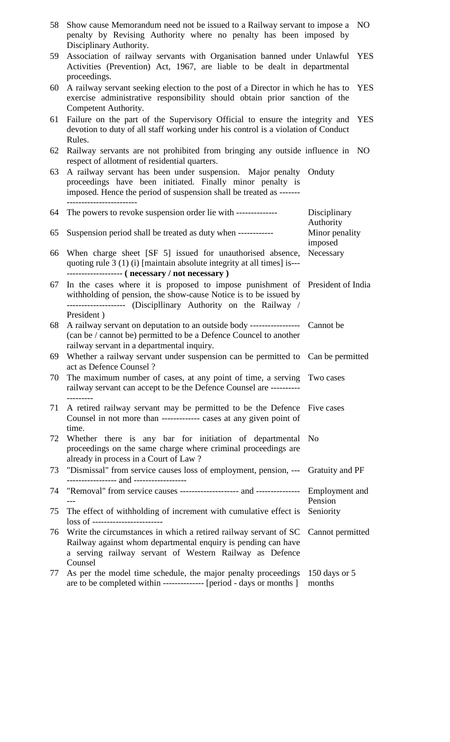| 58 | Show cause Memorandum need not be issued to a Railway servant to impose a NO<br>penalty by Revising Authority where no penalty has been imposed by<br>Disciplinary Authority.                                     |                           |            |
|----|-------------------------------------------------------------------------------------------------------------------------------------------------------------------------------------------------------------------|---------------------------|------------|
| 59 | Association of railway servants with Organisation banned under Unlawful<br>Activities (Prevention) Act, 1967, are liable to be dealt in departmental<br>proceedings.                                              |                           | <b>YES</b> |
| 60 | A railway servant seeking election to the post of a Director in which he has to<br>exercise administrative responsibility should obtain prior sanction of the<br>Competent Authority.                             |                           | <b>YES</b> |
| 61 | Failure on the part of the Supervisory Official to ensure the integrity and<br>devotion to duty of all staff working under his control is a violation of Conduct<br>Rules.                                        |                           | YES        |
| 62 | Railway servants are not prohibited from bringing any outside influence in NO<br>respect of allotment of residential quarters.                                                                                    |                           |            |
| 63 | A railway servant has been under suspension. Major penalty Onduty<br>proceedings have been initiated. Finally minor penalty is<br>imposed. Hence the period of suspension shall be treated as -------             |                           |            |
| 64 | The powers to revoke suspension order lie with --------------                                                                                                                                                     | Disciplinary<br>Authority |            |
| 65 | Suspension period shall be treated as duty when ------------                                                                                                                                                      | Minor penality<br>imposed |            |
| 66 | When charge sheet [SF 5] issued for unauthorised absence,<br>quoting rule 3 (1) (i) [maintain absolute integrity at all times] is---<br>------------------- ( necessary / not necessary )                         | Necessary                 |            |
| 67 | In the cases where it is proposed to impose punishment of President of India<br>withholding of pension, the show-cause Notice is to be issued by<br>------------------- (Discipllinary Authority on the Railway / |                           |            |
| 68 | President)<br>A railway servant on deputation to an outside body ------------------ Cannot be<br>(can be / cannot be) permitted to be a Defence Councel to another<br>railway servant in a departmental inquiry.  |                           |            |
| 69 | Whether a railway servant under suspension can be permitted to Can be permitted<br>act as Defence Counsel?                                                                                                        |                           |            |
| 70 | The maximum number of cases, at any point of time, a serving Two cases<br>railway servant can accept to be the Defence Counsel are ----------                                                                     |                           |            |
| 71 | A retired railway servant may be permitted to be the Defence Five cases<br>Counsel in not more than ------------- cases at any given point of<br>time.                                                            |                           |            |
| 72 | Whether there is any bar for initiation of departmental No<br>proceedings on the same charge where criminal proceedings are<br>already in process in a Court of Law?                                              |                           |            |
| 73 | "Dismissal" from service causes loss of employment, pension, --- Gratuity and PF<br>---------------- and -----------------                                                                                        |                           |            |
| 74 |                                                                                                                                                                                                                   | Pension                   |            |
| 75 | The effect of withholding of increment with cumulative effect is<br>loss of -------------------------                                                                                                             | Seniority                 |            |
| 76 | Write the circumstances in which a retired railway servant of SC<br>Railway against whom departmental enquiry is pending can have<br>a serving railway servant of Western Railway as Defence<br>Counsel           | Cannot permitted          |            |
| 77 | As per the model time schedule, the major penalty proceedings 150 days or 5<br>are to be completed within --------------- [period - days or months ]                                                              | months                    |            |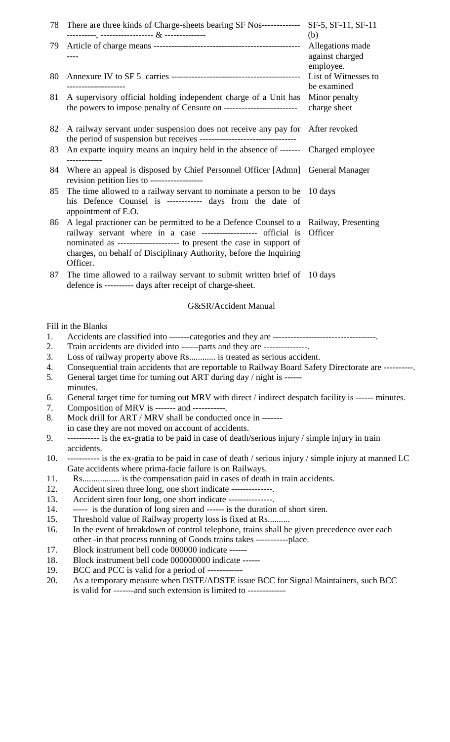| 78         | There are three kinds of Charge-sheets bearing SF Nos--------------                                                                                          | SF-5, SF-11, SF-11                               |
|------------|--------------------------------------------------------------------------------------------------------------------------------------------------------------|--------------------------------------------------|
| 79         |                                                                                                                                                              | (b)<br>Allegations made<br>against charged       |
| 80         |                                                                                                                                                              | employee.<br>List of Witnesses to<br>be examined |
| 81         | A supervisory official holding independent charge of a Unit has<br>the powers to impose penalty of Censure on ---------------------------                    | Minor penalty<br>charge sheet                    |
| 82         | A railway servant under suspension does not receive any pay for After revoked                                                                                |                                                  |
| 83         | An exparte inquiry means an inquiry held in the absence of ------- Charged employee                                                                          |                                                  |
| 84         | Where an appeal is disposed by Chief Personnel Officer [Admn] General Manager<br>revision petition lies to ------------------                                |                                                  |
| 85         | The time allowed to a railway servant to nominate a person to be 10 days<br>his Defence Counsel is ------------ days from the date of<br>appointment of E.O. |                                                  |
| 86         | A legal practioner can be permitted to be a Defence Counsel to a Railway, Presenting<br>railway servant where in a case ------------------- official is      | Officer                                          |
|            | charges, on behalf of Disciplinary Authority, before the Inquiring<br>Officer.                                                                               |                                                  |
| 87         | The time allowed to a railway servant to submit written brief of 10 days<br>defence is ---------- days after receipt of charge-sheet.                        |                                                  |
|            | G&SR/Accident Manual                                                                                                                                         |                                                  |
|            | Fill in the Blanks                                                                                                                                           |                                                  |
| 1.         |                                                                                                                                                              |                                                  |
| 2.         | Train accidents are divided into ------parts and they are ---------------.                                                                                   |                                                  |
| 3.         | Loss of railway property above Rs is treated as serious accident.                                                                                            |                                                  |
| 4.         | Consequential train accidents that are reportable to Railway Board Safety Directorate are ----------                                                         |                                                  |
| 5.         | General target time for turning out ART during day / night is ------<br>minutes.                                                                             |                                                  |
|            | General target time for turning out MRV with direct / indirect despatch facility is ------ minutes.                                                          |                                                  |
| 6.<br>7.   | Composition of MRV is ------- and -----------.                                                                                                               |                                                  |
| 8.         | Mock drill for ART / MRV shall be conducted once in -------                                                                                                  |                                                  |
|            | in case they are not moved on account of accidents.                                                                                                          |                                                  |
| 9.         | ---------- is the ex-gratia to be paid in case of death/serious injury / simple injury in train                                                              |                                                  |
|            | accidents.                                                                                                                                                   |                                                  |
| 10.        | ---------- is the ex-gratia to be paid in case of death / serious injury / simple injury at manned LC                                                        |                                                  |
|            | Gate accidents where prima-facie failure is on Railways.                                                                                                     |                                                  |
| 11.        | Rs is the compensation paid in cases of death in train accidents.                                                                                            |                                                  |
| 12.<br>13. | Accident siren three long, one short indicate --------------.                                                                                                |                                                  |
| 14.        | Accident siren four long, one short indicate ---------------.<br>----- is the duration of long siren and ------ is the duration of short siren.              |                                                  |
| 15.        | Threshold value of Railway property loss is fixed at Rs                                                                                                      |                                                  |
| 16.        | In the event of breakdown of control telephone, trains shall be given precedence over each                                                                   |                                                  |
|            | other -in that process running of Goods trains takes ------------place.                                                                                      |                                                  |
| 17.        | Block instrument bell code 000000 indicate ------                                                                                                            |                                                  |
| 18.        | Block instrument bell code 000000000 indicate ------                                                                                                         |                                                  |
| 19.        | BCC and PCC is valid for a period of ------------                                                                                                            |                                                  |
| 20.        | As a temporary measure when DSTE/ADSTE issue BCC for Signal Maintainers, such BCC                                                                            |                                                  |
|            | is valid for ------- and such extension is limited to -------------                                                                                          |                                                  |
|            |                                                                                                                                                              |                                                  |
|            |                                                                                                                                                              |                                                  |
|            |                                                                                                                                                              |                                                  |
|            |                                                                                                                                                              |                                                  |